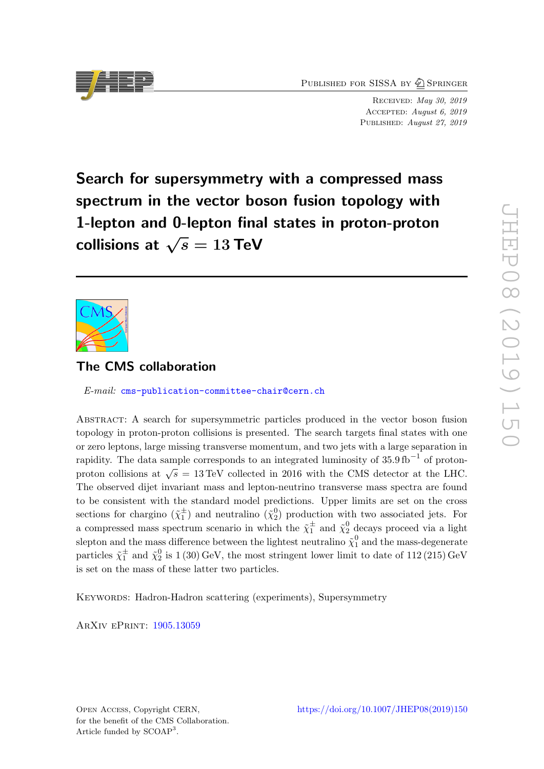PUBLISHED FOR SISSA BY 2 SPRINGER

Received: May 30, 2019 Accepted: August 6, 2019 PUBLISHED: August 27, 2019

Search for supersymmetry with a compressed mass spectrum in the vector boson fusion topology with 1-lepton and 0-lepton final states in proton-proton collisions at  $\sqrt{s} = 13$  TeV



# The CMS collaboration

E-mail: [cms-publication-committee-chair@cern.ch](mailto:cms-publication-committee-chair@cern.ch)

Abstract: A search for supersymmetric particles produced in the vector boson fusion topology in proton-proton collisions is presented. The search targets final states with one or zero leptons, large missing transverse momentum, and two jets with a large separation in rapidity. The data sample corresponds to an integrated luminosity of  $35.9 \text{ fb}^{-1}$  of protonproton collisions at  $\sqrt{s} = 13 \text{ TeV}$  collected in 2016 with the CMS detector at the LHC. The observed dijet invariant mass and lepton-neutrino transverse mass spectra are found to be consistent with the standard model predictions. Upper limits are set on the cross sections for chargino  $({\tilde{\chi}}_1^{\pm})$  and neutralino  $({\tilde{\chi}}_2^0)$  production with two associated jets. For a compressed mass spectrum scenario in which the  $\tilde{\chi}^{\pm}_1$  and  $\tilde{\chi}^0_2$  decays proceed via a light slepton and the mass difference between the lightest neutralino  $\tilde{\chi}^0_1$  and the mass-degenerate particles  $\tilde{\chi}_1^{\pm}$  and  $\tilde{\chi}_2^0$  is 1 (30) GeV, the most stringent lower limit to date of 112 (215) GeV is set on the mass of these latter two particles.

KEYWORDS: Hadron-Hadron scattering (experiments), Supersymmetry

ArXiv ePrint: [1905.13059](https://arxiv.org/abs/1905.13059)

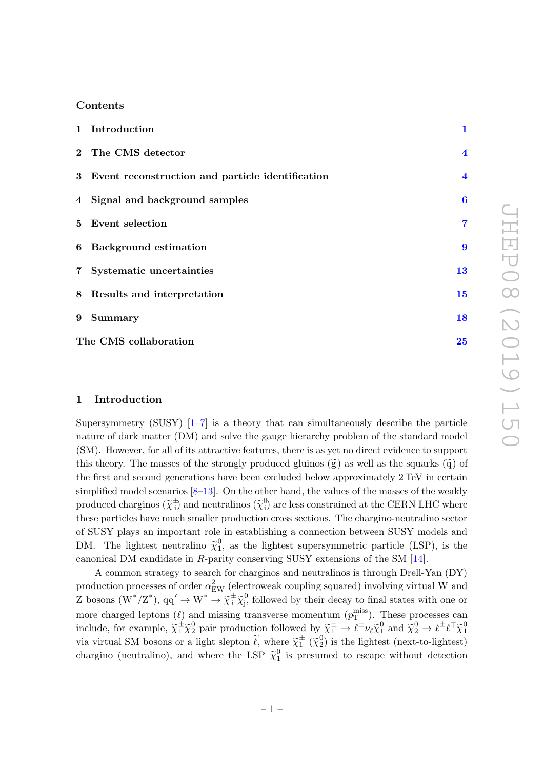## Contents

|                       | 1 Introduction                                     | $\mathbf{1}$            |
|-----------------------|----------------------------------------------------|-------------------------|
|                       | 2 The CMS detector                                 | $\overline{\mathbf{4}}$ |
|                       | 3 Event reconstruction and particle identification | $\overline{\mathbf{4}}$ |
|                       | 4 Signal and background samples                    | $\boldsymbol{6}$        |
|                       | 5 Event selection                                  | $\overline{7}$          |
|                       | 6 Background estimation                            | 9                       |
|                       | 7 Systematic uncertainties                         | 13                      |
|                       | 8 Results and interpretation                       | 15                      |
|                       | 9 Summary                                          | 18                      |
| The CMS collaboration |                                                    |                         |

# <span id="page-1-0"></span>1 Introduction

Supersymmetry (SUSY)  $[1-7]$  $[1-7]$  is a theory that can simultaneously describe the particle nature of dark matter (DM) and solve the gauge hierarchy problem of the standard model (SM). However, for all of its attractive features, there is as yet no direct evidence to support this theory. The masses of the strongly produced gluinos  $(\tilde{g})$  as well as the squarks  $(\tilde{q})$  of the first and second generations have been excluded below approximately 2 TeV in certain simplified model scenarios  $[8-13]$  $[8-13]$ . On the other hand, the values of the masses of the weakly produced charginos  $(\widetilde{\chi}^{\pm}_i)$  and neutralinos  $(\widetilde{\chi}^0_i)$  $_{i}^{0}$ ) are less constrained at the CERN LHC where these particles have much smaller production cross sections. The chargino-neutralino sector of SUSY plays an important role in establishing a connection between SUSY models and DM. The lightest neutralino  $\tilde{\chi}_1^0$ , as the lightest supersymmetric particle (LSP), is the canonical DM candidate in R-parity conserving SUSY extensions of the SM [\[14\]](#page-21-4).

A common strategy to search for charginos and neutralinos is through Drell-Yan (DY) production processes of order  $\alpha_{\rm EW}^2$  (electroweak coupling squared) involving virtual W and Z bosons  $(W^*/Z^*)$ ,  $q\overline{q}' \to W^* \to \tilde{\chi}_i^{\pm} \tilde{\chi}_j^0$  $_{j}^{0}$ , followed by their decay to final states with one or more charged leptons  $(\ell)$  and missing transverse momentum  $(p_T^{\text{miss}})$ . These processes can include, for example,  $\tilde{\chi}_1^{\pm} \tilde{\chi}_2^0$  pair production followed by  $\tilde{\chi}_1^{\pm} \to \ell^{\pm} \nu_{\ell} \tilde{\chi}_1^0$  and  $\tilde{\chi}_2^0 \to \ell^{\pm} \ell^{\mp} \tilde{\chi}_1^0$ via virtual SM bosons or a light slepton  $\tilde{\ell}$ , where  $\tilde{\chi}_1^{\pm}$   $(\tilde{\chi}_2^0)$  is the lightest (next-to-lightest) chargino (neutralino), and where the LSP  $\tilde{\chi}_1^0$  is presumed to escape without detection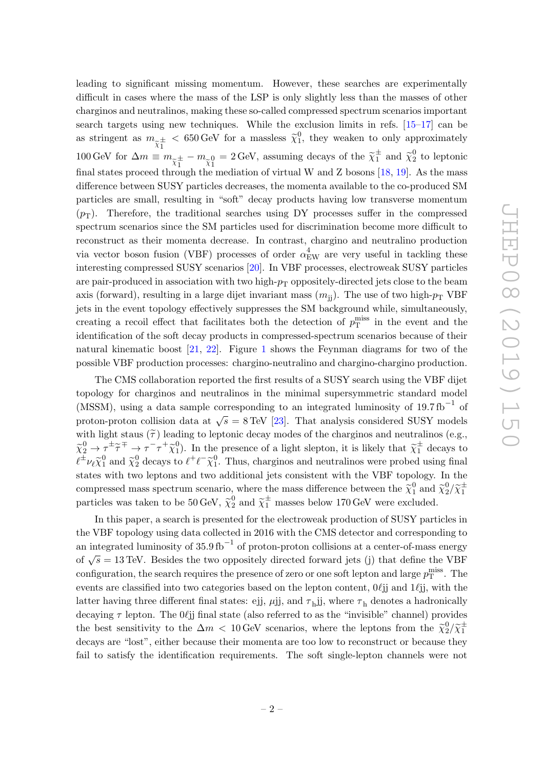leading to significant missing momentum. However, these searches are experimentally difficult in cases where the mass of the LSP is only slightly less than the masses of other charginos and neutralinos, making these so-called compressed spectrum scenarios important search targets using new techniques. While the exclusion limits in refs. [\[15](#page-21-5)[–17\]](#page-22-0) can be as stringent as  $m_{\tilde{\chi}^{\pm}_1} < 650 \,\text{GeV}$  for a massless  $\tilde{\chi}^0_1$ , they weaken to only approximately 1 100 GeV for  $\Delta m \equiv m_{\tilde{\chi}^{\pm}_1}$  $-$  m  $\tilde{\chi}_1^0 = 2 \,\text{GeV}$ , assuming decays of the  $\tilde{\chi}_1^{\pm}$  and  $\tilde{\chi}_2^0$  to leptonic final states proceed through the mediation of virtual W and Z bosons  $[18, 19]$  $[18, 19]$  $[18, 19]$ . As the mass difference between SUSY particles decreases, the momenta available to the co-produced SM particles are small, resulting in "soft" decay products having low transverse momentum  $(p_T)$ . Therefore, the traditional searches using DY processes suffer in the compressed spectrum scenarios since the SM particles used for discrimination become more difficult to reconstruct as their momenta decrease. In contrast, chargino and neutralino production via vector boson fusion (VBF) processes of order  $\alpha_{\rm EW}^4$  are very useful in tackling these interesting compressed SUSY scenarios [\[20\]](#page-22-3). In VBF processes, electroweak SUSY particles are pair-produced in association with two high- $p<sub>T</sub>$  oppositely-directed jets close to the beam axis (forward), resulting in a large dijet invariant mass  $(m_{ii})$ . The use of two high- $p_T$  VBF jets in the event topology effectively suppresses the SM background while, simultaneously, creating a recoil effect that facilitates both the detection of  $p_T^{\text{miss}}$  in the event and the identification of the soft decay products in compressed-spectrum scenarios because of their natural kinematic boost [\[21,](#page-22-4) [22\]](#page-22-5). Figure [1](#page-3-0) shows the Feynman diagrams for two of the possible VBF production processes: chargino-neutralino and chargino-chargino production.

The CMS collaboration reported the first results of a SUSY search using the VBF dijet topology for charginos and neutralinos in the minimal supersymmetric standard model (MSSM), using a data sample corresponding to an integrated luminosity of  $19.7 \text{ fb}^{-1}$  of proton-proton collision data at  $\sqrt{s} = 8 \text{ TeV}$  [\[23\]](#page-22-6). That analysis considered SUSY models with light staus  $(\tilde{\tau})$  leading to leptonic decay modes of the charginos and neutralinos (e.g.,  $\tilde{\chi}_2^0 \rightarrow \tau^{\pm} \tilde{\tau}^{\mp} \rightarrow \tau^- \tau^+ \tilde{\chi}_1^0$ . In the presence of a light slepton, it is likely that  $\tilde{\chi}_1^{\pm}$  decays to  $\ell^{\pm} \nu_{\ell} \tilde{\chi}_{1}^{0}$  and  $\tilde{\chi}_{2}^{0}$  decays to  $\ell^{+} \ell^{-} \tilde{\chi}_{1}^{0}$ . Thus, charginos and neutralinos were probed using final states with two leptons and two additional jets consistent with the VBF topology. In the compressed mass spectrum scenario, where the mass difference between the  $\tilde{\chi}_1^0$  and  $\tilde{\chi}_2^0/\tilde{\chi}_1^{\pm}$ particles was taken to be 50 GeV,  $\tilde{\chi}_2^0$  and  $\tilde{\chi}_1^{\pm}$  masses below 170 GeV were excluded.

In this paper, a search is presented for the electroweak production of SUSY particles in the VBF topology using data collected in 2016 with the CMS detector and corresponding to an integrated luminosity of  $35.9 \text{ fb}^{-1}$  of proton-proton collisions at a center-of-mass energy of  $\sqrt{s} = 13$  TeV. Besides the two oppositely directed forward jets (j) that define the VBF configuration, the search requires the presence of zero or one soft lepton and large  $p_T^{\text{miss}}$ . The events are classified into two categories based on the lepton content,  $0\ell$ jj and  $1\ell$ jj, with the latter having three different final states: ejj,  $\mu$ jj, and  $\tau_h$ jj, where  $\tau_h$  denotes a hadronically decaying  $\tau$  lepton. The  $\theta\ell$  final state (also referred to as the "invisible" channel) provides the best sensitivity to the  $\Delta m < 10 \,\text{GeV}$  scenarios, where the leptons from the  $\tilde{\chi}_2^0/\tilde{\chi}_1^{\pm}$ decays are "lost", either because their momenta are too low to reconstruct or because they fail to satisfy the identification requirements. The soft single-lepton channels were not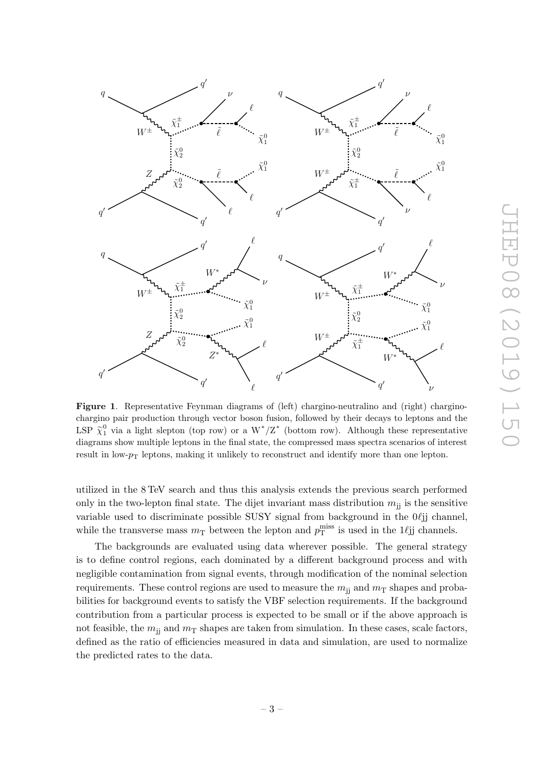

<span id="page-3-0"></span>Figure 1. Representative Feynman diagrams of (left) chargino-neutralino and (right) charginochargino pair production through vector boson fusion, followed by their decays to leptons and the LSP  $\tilde{\chi}_1^0$  via a light slepton (top row) or a  $W^*/Z^*$  (bottom row). Although these representative diagrams show multiple leptons in the final state, the compressed mass spectra scenarios of interest result in low- $p_T$  leptons, making it unlikely to reconstruct and identify more than one lepton.

utilized in the 8 TeV search and thus this analysis extends the previous search performed only in the two-lepton final state. The dijet invariant mass distribution  $m_{ij}$  is the sensitive variable used to discriminate possible SUSY signal from background in the  $0\ell$ jj channel, while the transverse mass  $m<sub>T</sub>$  between the lepton and  $p_T^{\text{miss}}$  is used in the 1 $\ell$ jj channels.

The backgrounds are evaluated using data wherever possible. The general strategy is to define control regions, each dominated by a different background process and with negligible contamination from signal events, through modification of the nominal selection requirements. These control regions are used to measure the  $m_{ii}$  and  $m_{\rm T}$  shapes and probabilities for background events to satisfy the VBF selection requirements. If the background contribution from a particular process is expected to be small or if the above approach is not feasible, the  $m_{ii}$  and  $m_{\overline{T}}$  shapes are taken from simulation. In these cases, scale factors, defined as the ratio of efficiencies measured in data and simulation, are used to normalize the predicted rates to the data.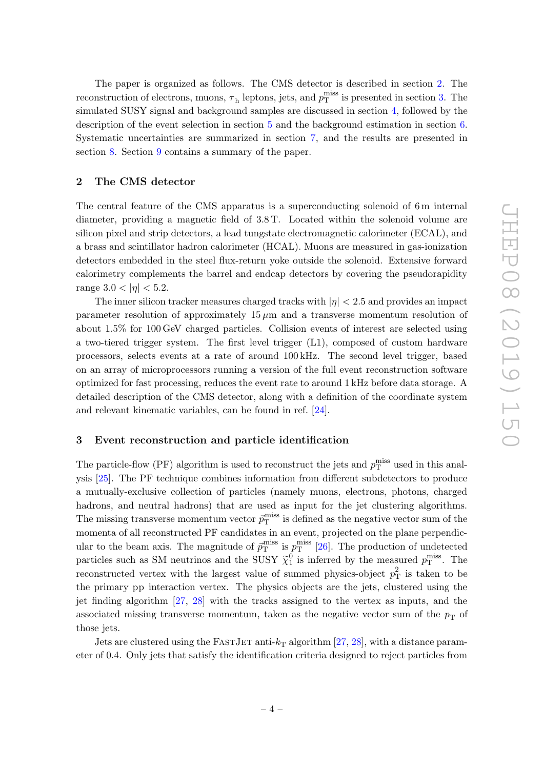The paper is organized as follows. The CMS detector is described in section [2.](#page-4-0) The reconstruction of electrons, muons,  $\tau_h$  leptons, jets, and  $p_T^{\text{miss}}$  is presented in section [3.](#page-4-1) The simulated SUSY signal and background samples are discussed in section [4,](#page-6-0) followed by the description of the event selection in section [5](#page-7-0) and the background estimation in section [6.](#page-9-0) Systematic uncertainties are summarized in section [7,](#page-13-0) and the results are presented in section [8.](#page-15-0) Section [9](#page-18-0) contains a summary of the paper.

### <span id="page-4-0"></span>2 The CMS detector

The central feature of the CMS apparatus is a superconducting solenoid of 6 m internal diameter, providing a magnetic field of 3.8 T. Located within the solenoid volume are silicon pixel and strip detectors, a lead tungstate electromagnetic calorimeter (ECAL), and a brass and scintillator hadron calorimeter (HCAL). Muons are measured in gas-ionization detectors embedded in the steel flux-return yoke outside the solenoid. Extensive forward calorimetry complements the barrel and endcap detectors by covering the pseudorapidity range  $3.0 < |\eta| < 5.2$ .

The inner silicon tracker measures charged tracks with  $|\eta| < 2.5$  and provides an impact parameter resolution of approximately  $15 \mu m$  and a transverse momentum resolution of about 1.5% for 100 GeV charged particles. Collision events of interest are selected using a two-tiered trigger system. The first level trigger (L1), composed of custom hardware processors, selects events at a rate of around 100 kHz. The second level trigger, based on an array of microprocessors running a version of the full event reconstruction software optimized for fast processing, reduces the event rate to around 1 kHz before data storage. A detailed description of the CMS detector, along with a definition of the coordinate system and relevant kinematic variables, can be found in ref. [\[24\]](#page-22-7).

## <span id="page-4-1"></span>3 Event reconstruction and particle identification

The particle-flow (PF) algorithm is used to reconstruct the jets and  $p_T^{\text{miss}}$  used in this analysis [\[25\]](#page-22-8). The PF technique combines information from different subdetectors to produce a mutually-exclusive collection of particles (namely muons, electrons, photons, charged hadrons, and neutral hadrons) that are used as input for the jet clustering algorithms. The missing transverse momentum vector  $\vec{p}_{\text{T}}^{\text{miss}}$  is defined as the negative vector sum of the momenta of all reconstructed PF candidates in an event, projected on the plane perpendicular to the beam axis. The magnitude of  $\bar{p}_{\rm T}^{\rm miss}$  is  $p_{\rm T}^{\rm miss}$  [\[26\]](#page-22-9). The production of undetected particles such as SM neutrinos and the SUSY  $\tilde{\chi}_1^0$  is inferred by the measured  $p_T^{\text{miss}}$ . The reconstructed vertex with the largest value of summed physics-object  $p_T^2$  is taken to be the primary pp interaction vertex. The physics objects are the jets, clustered using the jet finding algorithm [\[27,](#page-22-10) [28\]](#page-22-11) with the tracks assigned to the vertex as inputs, and the associated missing transverse momentum, taken as the negative vector sum of the  $p<sub>T</sub>$  of those jets.

Jets are clustered using the FASTJET anti- $k_T$  algorithm [\[27,](#page-22-10) [28\]](#page-22-11), with a distance parameter of 0.4. Only jets that satisfy the identification criteria designed to reject particles from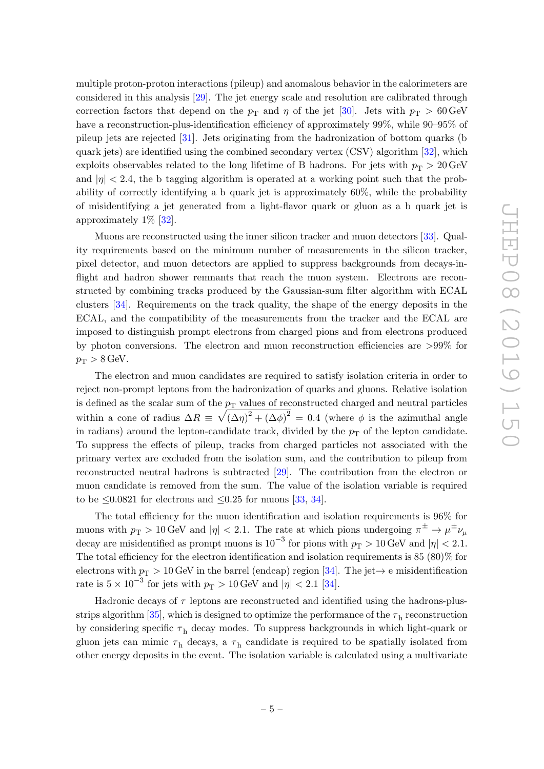multiple proton-proton interactions (pileup) and anomalous behavior in the calorimeters are considered in this analysis [\[29\]](#page-22-12). The jet energy scale and resolution are calibrated through correction factors that depend on the  $p_T$  and  $\eta$  of the jet [\[30\]](#page-22-13). Jets with  $p_T > 60$  GeV have a reconstruction-plus-identification efficiency of approximately 99%, while 90–95% of pileup jets are rejected [\[31\]](#page-22-14). Jets originating from the hadronization of bottom quarks (b quark jets) are identified using the combined secondary vertex (CSV) algorithm [\[32\]](#page-22-15), which exploits observables related to the long lifetime of B hadrons. For jets with  $p_T > 20 \text{ GeV}$ and  $|\eta| < 2.4$ , the b tagging algorithm is operated at a working point such that the probability of correctly identifying a b quark jet is approximately 60%, while the probability of misidentifying a jet generated from a light-flavor quark or gluon as a b quark jet is approximately 1% [\[32\]](#page-22-15).

Muons are reconstructed using the inner silicon tracker and muon detectors [\[33\]](#page-22-16). Quality requirements based on the minimum number of measurements in the silicon tracker, pixel detector, and muon detectors are applied to suppress backgrounds from decays-inflight and hadron shower remnants that reach the muon system. Electrons are reconstructed by combining tracks produced by the Gaussian-sum filter algorithm with ECAL clusters [\[34\]](#page-22-17). Requirements on the track quality, the shape of the energy deposits in the ECAL, and the compatibility of the measurements from the tracker and the ECAL are imposed to distinguish prompt electrons from charged pions and from electrons produced by photon conversions. The electron and muon reconstruction efficiencies are >99% for  $p_{\rm T} > 8$  GeV.

The electron and muon candidates are required to satisfy isolation criteria in order to reject non-prompt leptons from the hadronization of quarks and gluons. Relative isolation is defined as the scalar sum of the  $p_T$  values of reconstructed charged and neutral particles within a cone of radius  $\Delta R \equiv \sqrt{(\Delta \eta)^2 + (\Delta \phi)^2} = 0.4$  (where  $\phi$  is the azimuthal angle in radians) around the lepton-candidate track, divided by the  $p<sub>T</sub>$  of the lepton candidate. To suppress the effects of pileup, tracks from charged particles not associated with the primary vertex are excluded from the isolation sum, and the contribution to pileup from reconstructed neutral hadrons is subtracted [\[29\]](#page-22-12). The contribution from the electron or muon candidate is removed from the sum. The value of the isolation variable is required to be  $\leq 0.0821$  for electrons and  $\leq 0.25$  for muons [\[33,](#page-22-16) [34\]](#page-22-17).

The total efficiency for the muon identification and isolation requirements is 96% for muons with  $p_T > 10 \,\text{GeV}$  and  $|\eta| < 2.1$ . The rate at which pions undergoing  $\pi^{\pm} \to \mu^{\pm} \nu_{\mu}$ decay are misidentified as prompt muons is  $10^{-3}$  for pions with  $p_T > 10$  GeV and  $|\eta| < 2.1$ . The total efficiency for the electron identification and isolation requirements is 85 (80)% for electrons with  $p_T > 10$  GeV in the barrel (endcap) region [\[34\]](#page-22-17). The jet $\rightarrow$  e misidentification rate is  $5 \times 10^{-3}$  for jets with  $p_T > 10$  GeV and  $|\eta| < 2.1$  [\[34\]](#page-22-17).

Hadronic decays of  $\tau$  leptons are reconstructed and identified using the hadrons-plus-strips algorithm [\[35\]](#page-22-18), which is designed to optimize the performance of the  $\tau_{\rm h}$  reconstruction by considering specific  $\tau_h$  decay modes. To suppress backgrounds in which light-quark or gluon jets can mimic  $\tau$ <sub>h</sub> decays, a  $\tau$ <sub>h</sub> candidate is required to be spatially isolated from other energy deposits in the event. The isolation variable is calculated using a multivariate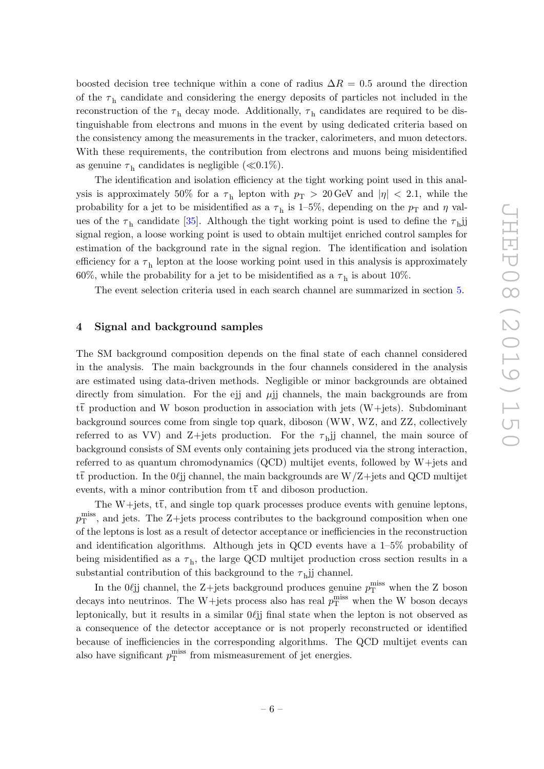boosted decision tree technique within a cone of radius  $\Delta R = 0.5$  around the direction of the  $\tau<sub>h</sub>$  candidate and considering the energy deposits of particles not included in the reconstruction of the  $\tau_h$  decay mode. Additionally,  $\tau_h$  candidates are required to be distinguishable from electrons and muons in the event by using dedicated criteria based on the consistency among the measurements in the tracker, calorimeters, and muon detectors. With these requirements, the contribution from electrons and muons being misidentified as genuine  $\tau$ <sub>h</sub> candidates is negligible ( $\ll 0.1\%$ ).

The identification and isolation efficiency at the tight working point used in this analysis is approximately 50% for a  $\tau_h$  lepton with  $p_T > 20 \,\text{GeV}$  and  $|\eta| < 2.1$ , while the probability for a jet to be misidentified as a  $\tau<sub>h</sub>$  is 1–5%, depending on the  $p<sub>T</sub>$  and  $\eta$  values of the  $\tau$ <sub>h</sub> candidate [\[35\]](#page-22-18). Although the tight working point is used to define the  $\tau$ <sub>h</sub>jj signal region, a loose working point is used to obtain multijet enriched control samples for estimation of the background rate in the signal region. The identification and isolation efficiency for a  $\tau_h$  lepton at the loose working point used in this analysis is approximately 60%, while the probability for a jet to be misidentified as a  $\tau<sub>h</sub>$  is about 10%.

The event selection criteria used in each search channel are summarized in section [5.](#page-7-0)

# <span id="page-6-0"></span>4 Signal and background samples

The SM background composition depends on the final state of each channel considered in the analysis. The main backgrounds in the four channels considered in the analysis are estimated using data-driven methods. Negligible or minor backgrounds are obtained directly from simulation. For the ejj and  $\mu$ jj channels, the main backgrounds are from  $t\bar{t}$  production and W boson production in association with jets (W+jets). Subdominant background sources come from single top quark, diboson (WW, WZ, and ZZ, collectively referred to as VV) and Z+jets production. For the  $\tau<sub>h</sub>$  j channel, the main source of background consists of SM events only containing jets produced via the strong interaction, referred to as quantum chromodynamics (QCD) multijet events, followed by W+jets and  $t\bar{t}$  production. In the  $\theta\ell$  channel, the main backgrounds are W/Z+jets and QCD multijet events, with a minor contribution from  $t\bar{t}$  and diboson production.

The W+jets,  $t\bar{t}$ , and single top quark processes produce events with genuine leptons,  $p_T^{\text{miss}}$ , and jets. The Z+jets process contributes to the background composition when one of the leptons is lost as a result of detector acceptance or inefficiencies in the reconstruction and identification algorithms. Although jets in QCD events have a 1–5% probability of being misidentified as a  $\tau<sub>h</sub>$ , the large QCD multijet production cross section results in a substantial contribution of this background to the  $\tau<sub>h</sub>$ jj channel.

In the 0 $\ell$ jj channel, the Z+jets background produces genuine  $p_T^{\text{miss}}$  when the Z boson decays into neutrinos. The W+jets process also has real  $p_T^{\text{miss}}$  when the W boson decays leptonically, but it results in a similar  $0\ell$  final state when the lepton is not observed as a consequence of the detector acceptance or is not properly reconstructed or identified because of inefficiencies in the corresponding algorithms. The QCD multijet events can also have significant  $p_T^{\text{miss}}$  from mismeasurement of jet energies.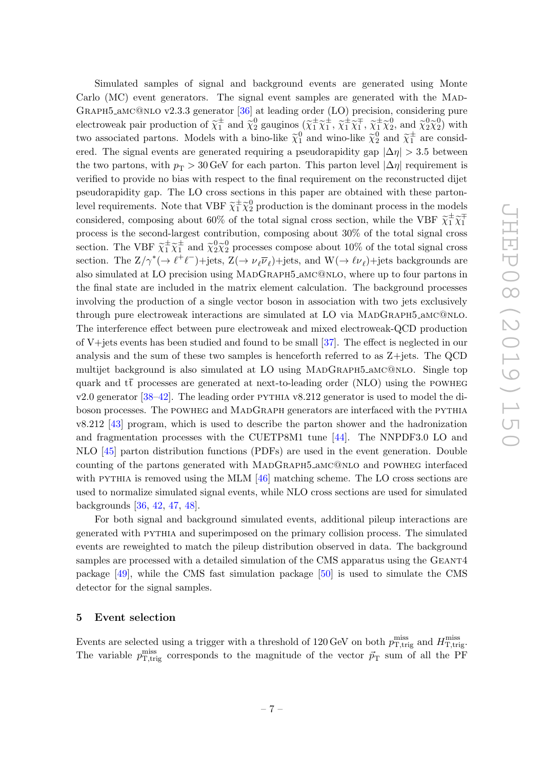Simulated samples of signal and background events are generated using Monte Carlo (MC) event generators. The signal event samples are generated with the MAD-GRAPH5 aMC@NLO v2.3.3 generator [\[36\]](#page-23-0) at leading order (LO) precision, considering pure electroweak pair production of  $\tilde{\chi}_1^{\pm}$  and  $\tilde{\chi}_2^0$  gauginos  $(\tilde{\chi}_1^{\pm} \tilde{\chi}_1^{\pm}, \tilde{\chi}_1^{\pm} \tilde{\chi}_1^{\mp}, \tilde{\chi}_1^{\pm} \tilde{\chi}_2^0)$  and  $\tilde{\chi}_2^0 \tilde{\chi}_2^0$  with two associated partons. Models with a bino-like  $\tilde{\chi}_1^0$  and wino-like  $\tilde{\chi}_2^0$  and  $\tilde{\chi}_1^{\pm}$  are considered. The signal events are generated requiring a pseudorapidity gap  $|\Delta \eta| > 3.5$  between the two partons, with  $p_T > 30$  GeV for each parton. This parton level  $|\Delta \eta|$  requirement is verified to provide no bias with respect to the final requirement on the reconstructed dijet pseudorapidity gap. The LO cross sections in this paper are obtained with these partonlevel requirements. Note that VBF  $\tilde{\chi}_1^{\pm} \tilde{\chi}_2^0$  production is the dominant process in the models considered, composing about 60% of the total signal cross section, while the VBF  $\tilde{\chi}_1^{\pm} \tilde{\chi}_1^{\pm}$ process is the second-largest contribution, composing about 30% of the total signal cross section. The VBF  $\tilde{\chi}_1^{\pm} \tilde{\chi}_1^{\pm}$  and  $\tilde{\chi}_2^0 \tilde{\chi}_2^0$  processes compose about 10% of the total signal cross section. The  $Z/\gamma^*(\to \ell^+\ell^-)$ +jets,  $Z(\to \nu_\ell\overline{\nu}_\ell)$ +jets, and  $W(\to \ell\nu_\ell)$ +jets backgrounds are also simulated at LO precision using MADGRAPH5 aMC@NLO, where up to four partons in the final state are included in the matrix element calculation. The background processes involving the production of a single vector boson in association with two jets exclusively through pure electroweak interactions are simulated at LO via MADGRAPH5 aMC@NLO. The interference effect between pure electroweak and mixed electroweak-QCD production of V+jets events has been studied and found to be small [\[37\]](#page-23-1). The effect is neglected in our analysis and the sum of these two samples is henceforth referred to as  $Z + jets$ . The QCD multijet background is also simulated at LO using MADGRAPH5 aMC@NLO. Single top quark and  $t\bar{t}$  processes are generated at next-to-leading order (NLO) using the POWHEG v2.0 generator [\[38](#page-23-2)[–42\]](#page-23-3). The leading order pythia v8.212 generator is used to model the diboson processes. The powheg and MadGraph generators are interfaced with the pythia v8.212 [\[43\]](#page-23-4) program, which is used to describe the parton shower and the hadronization and fragmentation processes with the CUETP8M1 tune [\[44\]](#page-23-5). The NNPDF3.0 LO and NLO [\[45\]](#page-23-6) parton distribution functions (PDFs) are used in the event generation. Double counting of the partons generated with MadGraph5 amc@nlo and powheg interfaced with PYTHIA is removed using the MLM  $[46]$  matching scheme. The LO cross sections are used to normalize simulated signal events, while NLO cross sections are used for simulated backgrounds [\[36,](#page-23-0) [42,](#page-23-3) [47,](#page-23-8) [48\]](#page-23-9).

For both signal and background simulated events, additional pileup interactions are generated with pythia and superimposed on the primary collision process. The simulated events are reweighted to match the pileup distribution observed in data. The background samples are processed with a detailed simulation of the CMS apparatus using the GEANT4 package [\[49\]](#page-23-10), while the CMS fast simulation package [\[50\]](#page-23-11) is used to simulate the CMS detector for the signal samples.

### <span id="page-7-0"></span>5 Event selection

Events are selected using a trigger with a threshold of 120 GeV on both  $p_{\text{T,trig}}^{\text{miss}}$  and  $H_{\text{T,trig}}^{\text{miss}}$ . The variable  $p_{\text{T,trig}}^{\text{miss}}$  corresponds to the magnitude of the vector  $\vec{p}_{\text{T}}$  sum of all the PF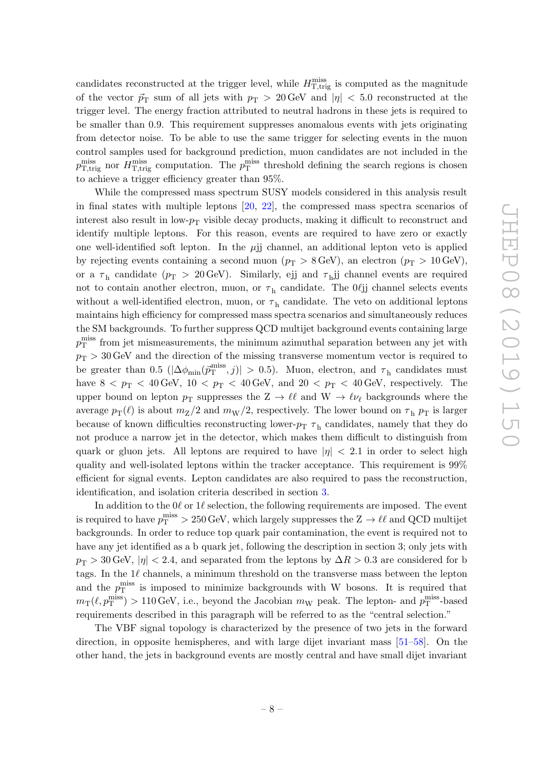candidates reconstructed at the trigger level, while  $H_{\text{T,trig}}^{\text{miss}}$  is computed as the magnitude of the vector  $\vec{p}_{\rm T}$  sum of all jets with  $p_{\rm T} > 20$  GeV and  $|\eta| < 5.0$  reconstructed at the trigger level. The energy fraction attributed to neutral hadrons in these jets is required to be smaller than 0.9. This requirement suppresses anomalous events with jets originating from detector noise. To be able to use the same trigger for selecting events in the muon control samples used for background prediction, muon candidates are not included in the  $p_{\rm T,trig}^{\rm miss}$  nor  $H_{\rm T,trig}^{\rm miss}$  computation. The  $p_{\rm T}^{\rm miss}$  threshold defining the search regions is chosen to achieve a trigger efficiency greater than 95%.

While the compressed mass spectrum SUSY models considered in this analysis result in final states with multiple leptons [\[20,](#page-22-3) [22\]](#page-22-5), the compressed mass spectra scenarios of interest also result in low- $p_T$  visible decay products, making it difficult to reconstruct and identify multiple leptons. For this reason, events are required to have zero or exactly one well-identified soft lepton. In the  $\mu$ j channel, an additional lepton veto is applied by rejecting events containing a second muon ( $p_T > 8 \text{ GeV}$ ), an electron ( $p_T > 10 \text{ GeV}$ ), or a  $\tau$ <sub>h</sub> candidate ( $p_T > 20 \text{ GeV}$ ). Similarly, ejj and  $\tau$ <sub>h</sub>jj channel events are required not to contain another electron, muon, or  $\tau_h$  candidate. The  $0\ell$ jj channel selects events without a well-identified electron, muon, or  $\tau_h$  candidate. The veto on additional leptons maintains high efficiency for compressed mass spectra scenarios and simultaneously reduces the SM backgrounds. To further suppress QCD multijet background events containing large  $p_{\textrm{T}}^{\textrm{miss}}$  from jet mismeasurements, the minimum azimuthal separation between any jet with  $p_T > 30$  GeV and the direction of the missing transverse momentum vector is required to be greater than 0.5 ( $|\Delta \phi_{\rm min}(\vec{p}_{\rm T}^{\rm miss},j)| > 0.5$ ). Muon, electron, and  $\tau_{\rm h}$  candidates must have  $8 < p_T < 40$  GeV,  $10 < p_T < 40$  GeV, and  $20 < p_T < 40$  GeV, respectively. The upper bound on lepton  $p_T$  suppresses the  $Z \to \ell \ell$  and  $W \to \ell \nu_\ell$  backgrounds where the average  $p_T(\ell)$  is about  $m_Z/2$  and  $m_W/2$ , respectively. The lower bound on  $\tau$ <sub>h</sub>  $p_T$  is larger because of known difficulties reconstructing lower- $p_T \tau$ <sub>h</sub> candidates, namely that they do not produce a narrow jet in the detector, which makes them difficult to distinguish from quark or gluon jets. All leptons are required to have  $|\eta| < 2.1$  in order to select high quality and well-isolated leptons within the tracker acceptance. This requirement is 99% efficient for signal events. Lepton candidates are also required to pass the reconstruction, identification, and isolation criteria described in section [3.](#page-4-1)

In addition to the  $0\ell$  or  $1\ell$  selection, the following requirements are imposed. The event is required to have  $p_T^{\text{miss}} > 250 \,\text{GeV}$ , which largely suppresses the  $\text{Z} \to \ell \ell$  and QCD multijet backgrounds. In order to reduce top quark pair contamination, the event is required not to have any jet identified as a b quark jet, following the description in section 3; only jets with  $p_{\rm T} > 30$  GeV,  $|\eta| < 2.4$ , and separated from the leptons by  $\Delta R > 0.3$  are considered for b tags. In the  $1\ell$  channels, a minimum threshold on the transverse mass between the lepton and the  $p_T^{\text{miss}}$  is imposed to minimize backgrounds with W bosons. It is required that  $m_T(\ell, p_T^{\text{miss}}) > 110 \,\text{GeV}$ , i.e., beyond the Jacobian  $m_W$  peak. The lepton- and  $p_T^{\text{miss}}$ -based requirements described in this paragraph will be referred to as the "central selection."

The VBF signal topology is characterized by the presence of two jets in the forward direction, in opposite hemispheres, and with large dijet invariant mass [\[51](#page-23-12)[–58\]](#page-24-0). On the other hand, the jets in background events are mostly central and have small dijet invariant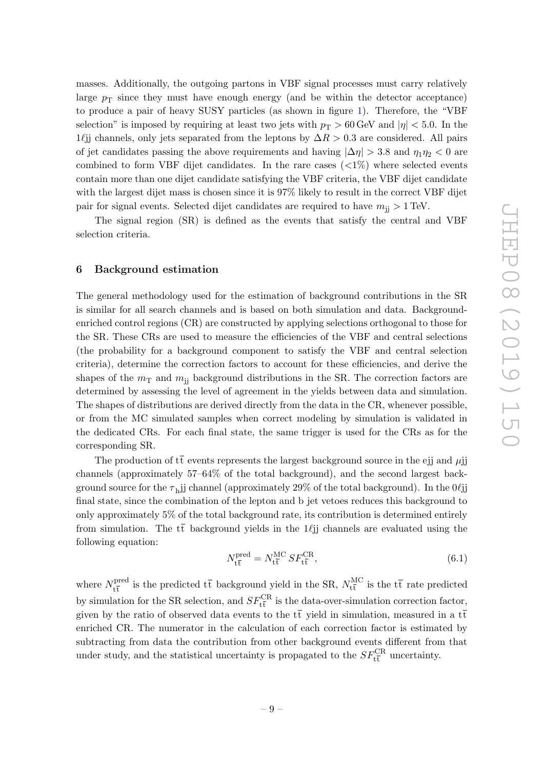masses. Additionally, the outgoing partons in VBF signal processes must carry relatively large  $p_T$  since they must have enough energy (and be within the detector acceptance) to produce a pair of heavy SUSY particles (as shown in figure [1\)](#page-3-0). Therefore, the "VBF selection" is imposed by requiring at least two jets with  $p_T > 60$  GeV and  $|\eta| < 5.0$ . In the  $1\ell$ jj channels, only jets separated from the leptons by  $\Delta R > 0.3$  are considered. All pairs of jet candidates passing the above requirements and having  $|\Delta \eta| > 3.8$  and  $\eta_1 \eta_2 < 0$  are combined to form VBF dijet candidates. In the rare cases  $(<1\%)$  where selected events contain more than one dijet candidate satisfying the VBF criteria, the VBF dijet candidate with the largest dijet mass is chosen since it is 97% likely to result in the correct VBF dijet pair for signal events. Selected dijet candidates are required to have  $m_{jj} > 1$  TeV.

The signal region (SR) is defined as the events that satisfy the central and VBF selection criteria.

### <span id="page-9-0"></span>6 Background estimation

The general methodology used for the estimation of background contributions in the SR is similar for all search channels and is based on both simulation and data. Backgroundenriched control regions (CR) are constructed by applying selections orthogonal to those for the SR. These CRs are used to measure the efficiencies of the VBF and central selections (the probability for a background component to satisfy the VBF and central selection criteria), determine the correction factors to account for these efficiencies, and derive the shapes of the  $m<sub>T</sub>$  and  $m<sub>ij</sub>$  background distributions in the SR. The correction factors are determined by assessing the level of agreement in the yields between data and simulation. The shapes of distributions are derived directly from the data in the CR, whenever possible, or from the MC simulated samples when correct modeling by simulation is validated in the dedicated CRs. For each final state, the same trigger is used for the CRs as for the corresponding SR.

The production of  $t\bar{t}$  events represents the largest background source in the ejj and  $\mu$ jj channels (approximately 57–64% of the total background), and the second largest background source for the  $\tau_{\text{h}}$ jj channel (approximately 29% of the total background). In the  $0\ell$ jj final state, since the combination of the lepton and b jet vetoes reduces this background to only approximately 5% of the total background rate, its contribution is determined entirely from simulation. The  $t\bar{t}$  background yields in the  $1\ell$  channels are evaluated using the following equation:

$$
N_{\rm t\bar t}^{\rm pred} = N_{\rm t\bar t}^{\rm MC} \, S F_{\rm t\bar t}^{\rm CR},\tag{6.1}
$$

where  $N_{\star\overline{\star}}^{\text{pred}}$  $t_t^{\text{pred}}$  is the predicted  $t\bar{t}$  background yield in the SR,  $N_{t\bar{t}}^{\text{MC}}$  $t_{\overline{t}}^{\text{MC}}$  is the  $t\overline{t}$  rate predicted by simulation for the SR selection, and  $SF_{t\bar{t}}^{CR}$  is the data-over-simulation correction factor, given by the ratio of observed data events to the  $t\bar{t}$  yield in simulation, measured in a  $t\bar{t}$ enriched CR. The numerator in the calculation of each correction factor is estimated by subtracting from data the contribution from other background events different from that under study, and the statistical uncertainty is propagated to the  $SF_{\text{t}}^{\text{CR}}$  uncertainty.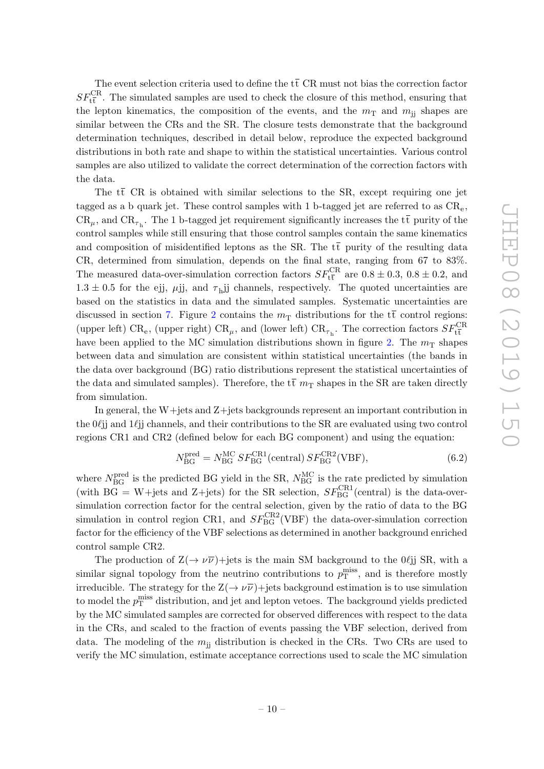The event selection criteria used to define the  $t\bar{t}$  CR must not bias the correction factor  $SF_{\text{t}\bar{\text{t}}}^{\text{CR}}$ . The simulated samples are used to check the closure of this method, ensuring that the lepton kinematics, the composition of the events, and the  $m_T$  and  $m_{ii}$  shapes are similar between the CRs and the SR. The closure tests demonstrate that the background determination techniques, described in detail below, reproduce the expected background distributions in both rate and shape to within the statistical uncertainties. Various control samples are also utilized to validate the correct determination of the correction factors with the data.

The  $t\bar{t}$  CR is obtained with similar selections to the SR, except requiring one jet tagged as a b quark jet. These control samples with 1 b-tagged jet are referred to as  $CR_e$ ,  $\text{CR}_{\mu}$ , and  $\text{CR}_{\tau_{\text{h}}}$ . The 1 b-tagged jet requirement significantly increases the  $\text{t}\bar{\text{t}}$  purity of the control samples while still ensuring that those control samples contain the same kinematics and composition of misidentified leptons as the SR. The  $t\bar{t}$  purity of the resulting data CR, determined from simulation, depends on the final state, ranging from 67 to 83%. The measured data-over-simulation correction factors  $SF_{\text{tf}}^{\text{CR}}$  are  $0.8 \pm 0.3$ ,  $0.8 \pm 0.2$ , and  $1.3 \pm 0.5$  for the ejj,  $\mu$ jj, and  $\tau_h$ jj channels, respectively. The quoted uncertainties are based on the statistics in data and the simulated samples. Systematic uncertainties are discussed in section [7.](#page-13-0) Figure [2](#page-11-0) contains the  $m<sub>T</sub>$  distributions for the  $t\bar{t}$  control regions: (upper left) CR<sub>e</sub>, (upper right) CR<sub> $\mu$ </sub>, and (lower left) CR<sub> $\tau_h$ </sub>. The correction factors  $SF_{\rm t\bar{t}}^{\rm CR}$ have been applied to the MC simulation distributions shown in figure [2.](#page-11-0) The  $m<sub>T</sub>$  shapes between data and simulation are consistent within statistical uncertainties (the bands in the data over background (BG) ratio distributions represent the statistical uncertainties of the data and simulated samples). Therefore, the  $t\bar{t}$   $m<sub>T</sub>$  shapes in the SR are taken directly from simulation.

In general, the W+jets and Z+jets backgrounds represent an important contribution in the  $0\ell$ jj and  $1\ell$ jj channels, and their contributions to the SR are evaluated using two control regions CR1 and CR2 (defined below for each BG component) and using the equation:

$$
N_{\rm BG}^{\rm pred} = N_{\rm BG}^{\rm MC} S F_{\rm BG}^{\rm CR1} \text{(central)} S F_{\rm BG}^{\rm CR2} \text{(VBF)},\tag{6.2}
$$

where  $N_{\text{BG}}^{\text{pred}}$  is the predicted BG yield in the SR,  $N_{\text{BG}}^{\text{MC}}$  is the rate predicted by simulation (with BG = W+jets and Z+jets) for the SR selection,  $SF_{BG}^{CR1}$  (central) is the data-oversimulation correction factor for the central selection, given by the ratio of data to the BG simulation in control region CR1, and  $SF_{BG}^{CR2}(VBF)$  the data-over-simulation correction factor for the efficiency of the VBF selections as determined in another background enriched control sample CR2.

The production of  $\mathbb{Z}(\rightarrow \nu\bar{\nu})$ +jets is the main SM background to the 0 $\ell$ jj SR, with a similar signal topology from the neutrino contributions to  $p_T^{\text{miss}}$ , and is therefore mostly irreducible. The strategy for the  $Z(\rightarrow \nu \bar{\nu})$ +jets background estimation is to use simulation to model the  $p_T^{\text{miss}}$  distribution, and jet and lepton vetoes. The background yields predicted by the MC simulated samples are corrected for observed differences with respect to the data in the CRs, and scaled to the fraction of events passing the VBF selection, derived from data. The modeling of the  $m_{ii}$  distribution is checked in the CRs. Two CRs are used to verify the MC simulation, estimate acceptance corrections used to scale the MC simulation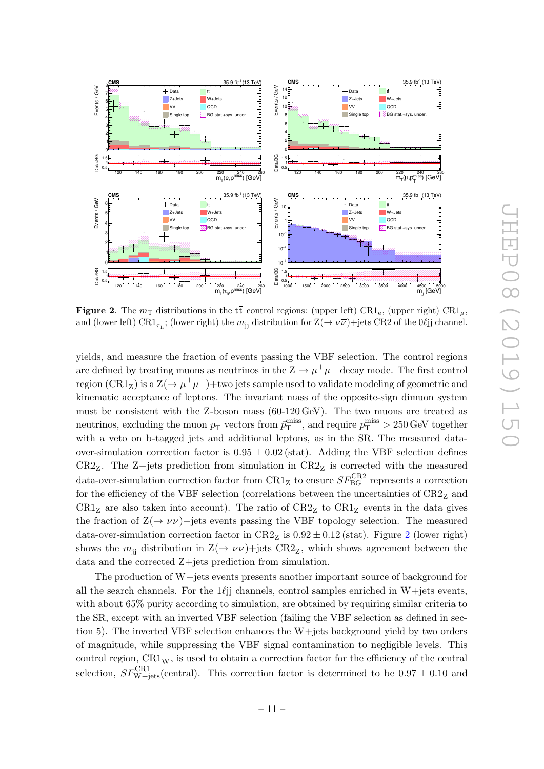

<span id="page-11-0"></span>**Figure 2**. The  $m<sub>T</sub>$  distributions in the  $t\bar{t}$  control regions: (upper left) CR1<sub>e</sub>, (upper right) CR1<sub>µ</sub>, and (lower left)  $\text{CR1}_{\tau_{\text{h}}}$ ; (lower right) the  $m_{jj}$  distribution for  $\text{Z}(\to\nu\overline{\nu}) + \text{jets CR2}$  of the 0 $\ell$ jj channel.

yields, and measure the fraction of events passing the VBF selection. The control regions are defined by treating muons as neutrinos in the  $Z \to \mu^+ \mu^-$  decay mode. The first control region  ${\rm (CR1_Z)}$  is a  ${\rm Z}(\to\mu^+\mu^-) +$ two jets sample used to validate modeling of geometric and kinematic acceptance of leptons. The invariant mass of the opposite-sign dimuon system must be consistent with the Z-boson mass (60-120 GeV). The two muons are treated as neutrinos, excluding the muon  $p_T$  vectors from  $\vec{p}_T^{\text{miss}}$ , and require  $p_T^{\text{miss}} > 250 \,\text{GeV}$  together with a veto on b-tagged jets and additional leptons, as in the SR. The measured dataover-simulation correction factor is  $0.95 \pm 0.02$  (stat). Adding the VBF selection defines  $CR2<sub>Z</sub>$ . The Z+jets prediction from simulation in  $CR2<sub>Z</sub>$  is corrected with the measured data-over-simulation correction factor from  $\text{CR1}_\text{Z}$  to ensure  $SF_{\text{BG}}^{\text{CR2}}$  represents a correction for the efficiency of the VBF selection (correlations between the uncertainties of  $CR2<sub>Z</sub>$  and  $CR1<sub>Z</sub>$  are also taken into account). The ratio of  $CR2<sub>Z</sub>$  to  $CR1<sub>Z</sub>$  events in the data gives the fraction of  $Z(\rightarrow \nu \bar{\nu})$ +jets events passing the VBF topology selection. The measured data-over-simulation correction factor in  $CR2<sub>Z</sub>$  $CR2<sub>Z</sub>$  $CR2<sub>Z</sub>$  is  $0.92 \pm 0.12$  (stat). Figure 2 (lower right) shows the  $m_{ij}$  distribution in  $Z(\rightarrow \nu \bar{\nu})$ +jets CR2<sub>Z</sub>, which shows agreement between the data and the corrected Z+jets prediction from simulation.

The production of W+jets events presents another important source of background for all the search channels. For the  $1\ell$ j channels, control samples enriched in W+jets events, with about 65% purity according to simulation, are obtained by requiring similar criteria to the SR, except with an inverted VBF selection (failing the VBF selection as defined in section 5). The inverted VBF selection enhances the W+jets background yield by two orders of magnitude, while suppressing the VBF signal contamination to negligible levels. This control region,  $CR1_W$ , is used to obtain a correction factor for the efficiency of the central selection,  $SF_{W+jets}^{CR1}$  (central). This correction factor is determined to be  $0.97 \pm 0.10$  and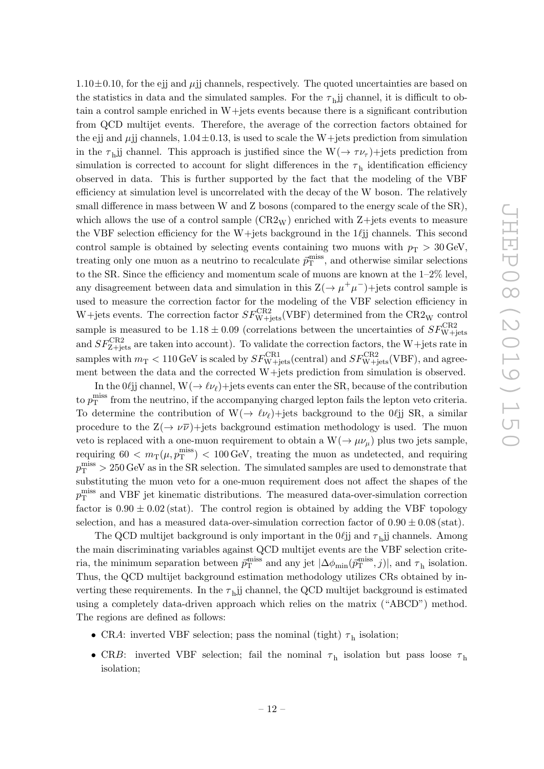$1.10\pm0.10$ , for the ejj and  $\mu$ jj channels, respectively. The quoted uncertainties are based on the statistics in data and the simulated samples. For the  $\tau<sub>h</sub>$ jj channel, it is difficult to obtain a control sample enriched in W+jets events because there is a significant contribution from QCD multijet events. Therefore, the average of the correction factors obtained for the ejj and  $\mu$ jj channels, 1.04 $\pm$ 0.13, is used to scale the W+jets prediction from simulation in the  $\tau_{h}$ jj channel. This approach is justified since the  $W(\rightarrow \tau \nu_{\tau})$ +jets prediction from simulation is corrected to account for slight differences in the  $\tau<sub>h</sub>$  identification efficiency observed in data. This is further supported by the fact that the modeling of the VBF efficiency at simulation level is uncorrelated with the decay of the W boson. The relatively small difference in mass between W and Z bosons (compared to the energy scale of the SR), which allows the use of a control sample  $(CR2_W)$  enriched with Z+jets events to measure the VBF selection efficiency for the W+jets background in the  $1\ell$ jj channels. This second control sample is obtained by selecting events containing two muons with  $p_T > 30$  GeV, treating only one muon as a neutrino to recalculate  $\vec{p}_{\rm T}^{\rm miss}$ , and otherwise similar selections to the SR. Since the efficiency and momentum scale of muons are known at the  $1-2\%$  level, any disagreement between data and simulation in this  $Z(\rightarrow \mu^+\mu^-)$ +jets control sample is used to measure the correction factor for the modeling of the VBF selection efficiency in W+jets events. The correction factor  $SF_{W+jets}^{CR2}(VBF)$  determined from the  $CR2_W$  control sample is measured to be  $1.18 \pm 0.09$  (correlations between the uncertainties of  $SF_{W+jets}^{CR2}$ and  $SF<sub>Z+jets</sub><sup>CR2</sup>$  are taken into account). To validate the correction factors, the W+jets rate in samples with  $m_T < 110$  GeV is scaled by  $SF_{W+jets}^{CR1}$  (central) and  $SF_{W+jets}^{CR2}(VBF)$ , and agreement between the data and the corrected W+jets prediction from simulation is observed.

In the  $0\ell$ jj channel, W $(\rightarrow \ell \nu_\ell)$ +jets events can enter the SR, because of the contribution to  $p_{\textrm{T}}^{\textrm{miss}}$  from the neutrino, if the accompanying charged lepton fails the lepton veto criteria. To determine the contribution of  $W(\to \ell \nu_\ell)$ +jets background to the 0 $\ell$ jj SR, a similar procedure to the  $Z(\rightarrow \nu \bar{\nu})$ +jets background estimation methodology is used. The muon veto is replaced with a one-muon requirement to obtain a  $W(\rightarrow \mu\nu_{\mu})$  plus two jets sample, requiring  $60 < m_T(\mu, p_T^{\text{miss}}) < 100 \,\text{GeV}$ , treating the muon as undetected, and requiring  $p_{\rm T}^{\rm miss} > 250\,\text{GeV}$  as in the SR selection. The simulated samples are used to demonstrate that substituting the muon veto for a one-muon requirement does not affect the shapes of the  $p_T^{\text{miss}}$  and VBF jet kinematic distributions. The measured data-over-simulation correction factor is  $0.90 \pm 0.02$  (stat). The control region is obtained by adding the VBF topology selection, and has a measured data-over-simulation correction factor of  $0.90 \pm 0.08$  (stat).

The QCD multijet background is only important in the  $0\ell$ jj and  $\tau_h$ jj channels. Among the main discriminating variables against QCD multijet events are the VBF selection criteria, the minimum separation between  $\vec{p}_{\rm T}^{\rm miss}$  and any jet  $|\Delta\phi_{\rm min}(\vec{p}_{\rm T}^{\rm miss},j)|$ , and  $\tau_{\rm h}$  isolation. Thus, the QCD multijet background estimation methodology utilizes CRs obtained by inverting these requirements. In the  $\tau<sub>h</sub>$ jj channel, the QCD multijet background is estimated using a completely data-driven approach which relies on the matrix ("ABCD") method. The regions are defined as follows:

- CRA: inverted VBF selection; pass the nominal (tight)  $\tau_h$  isolation;
- CRB: inverted VBF selection; fail the nominal  $\tau_h$  isolation but pass loose  $\tau_h$ isolation;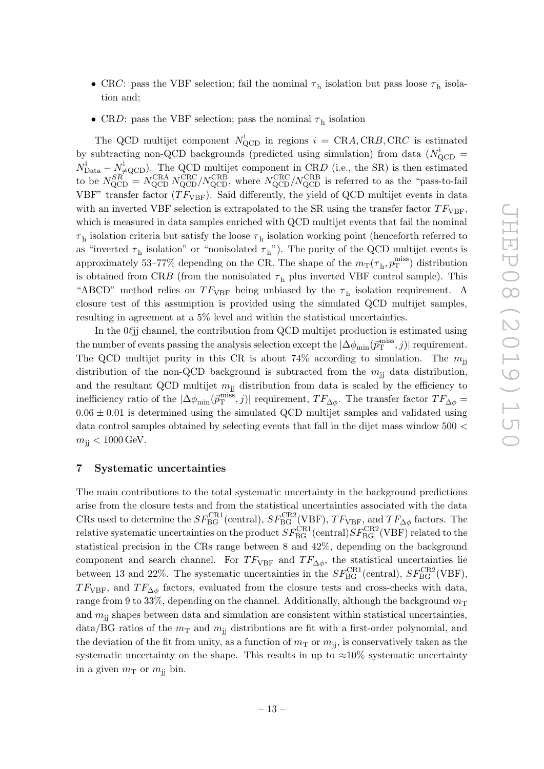- CRC: pass the VBF selection; fail the nominal  $\tau_h$  isolation but pass loose  $\tau_h$  isolation and;
- $\bullet$  CRD: pass the VBF selection; pass the nominal  $\tau_{\, \text{h}}$  isolation

The QCD multijet component  $N_{\text{QCD}}^i$  in regions  $i = \text{CRA}, \text{CRB}, \text{CRC}$  is estimated by subtracting non-QCD backgrounds (predicted using simulation) from data ( $N_{\rm QCD}^{\rm i}$  =  $N_{\text{Data}}^{\text{i}} - N_{\text{PQCD}}^{\text{i}}$ . The QCD multijet component in CRD (i.e., the SR) is then estimated to be  $N_{\text{QCD}}^{SR} = N_{\text{QCD}}^{\text{CRA}} N_{\text{QCD}}^{\text{CRC}} / N_{\text{QCD}}^{\text{CRB}}$ , where  $N_{\text{QCD}}^{\text{CRC}} / N_{\text{QCD}}^{\text{CRB}}$  is referred to as the "pass-to-fail VBF" transfer factor  $(TF_{VBF})$ . Said differently, the yield of QCD multijet events in data with an inverted VBF selection is extrapolated to the SR using the transfer factor  $TF_{\text{VBF}}$ , which is measured in data samples enriched with QCD multijet events that fail the nominal  $\tau_{\, \mathrm{h}}$  isolation criteria but satisfy the loose  $\tau_{\, \mathrm{h}}$  isolation working point (henceforth referred to as "inverted  $\tau_h$  isolation" or "nonisolated  $\tau_h$ "). The purity of the QCD multijet events is approximately 53–77% depending on the CR. The shape of the  $m_{\rm T}(\tau_{\rm h}, p_{\rm T}^{\rm miss})$  distribution is obtained from CRB (from the nonisolated  $\tau<sub>h</sub>$  plus inverted VBF control sample). This "ABCD" method relies on  $TF_{VBF}$  being unbiased by the  $\tau_h$  isolation requirement. A closure test of this assumption is provided using the simulated QCD multijet samples, resulting in agreement at a 5% level and within the statistical uncertainties.

In the  $0\ell$ jj channel, the contribution from QCD multijet production is estimated using the number of events passing the analysis selection except the  $|\Delta\phi_{\rm min}(\vec{p}_{\rm T}^{\rm miss},j)|$  requirement. The QCD multijet purity in this CR is about 74% according to simulation. The  $m_{ii}$ distribution of the non-QCD background is subtracted from the  $m_{ii}$  data distribution, and the resultant QCD multijet  $m_{ij}$  distribution from data is scaled by the efficiency to inefficiency ratio of the  $|\Delta\phi_{min}(\vec{p}_{\text{T}}^{\text{miss}},j)|$  requirement,  $TF_{\Delta\phi}$ . The transfer factor  $TF_{\Delta\phi}$  =  $0.06 \pm 0.01$  is determined using the simulated QCD multijet samples and validated using data control samples obtained by selecting events that fall in the dijet mass window 500 <  $m_{ii} < 1000 \,\text{GeV}.$ 

### <span id="page-13-0"></span>7 Systematic uncertainties

The main contributions to the total systematic uncertainty in the background predictions arise from the closure tests and from the statistical uncertainties associated with the data CRs used to determine the  $SF_{BG}^{CR1}$ (central),  $SF_{BG}^{CR2}$ (VBF),  $TF_{VBF}$ , and  $TF_{\Delta\phi}$  factors. The  ${\rm relative~ systematic~uncertainties~on~the~product}~SF_{\rm BG}^{\rm CR1}({\rm central})SF_{\rm BG}^{\rm CR2}({\rm VBF})$  related to the statistical precision in the CRs range between 8 and 42%, depending on the background component and search channel. For  $TF_{\text{VBF}}$  and  $TF_{\Delta\phi}$ , the statistical uncertainties lie between 13 and 22%. The systematic uncertainties in the  $SF_{BG}^{CR1}$  (central),  $SF_{BG}^{CR2}$  (VBF),  $TF_{\text{VBF}}$ , and  $TF_{\Delta\phi}$  factors, evaluated from the closure tests and cross-checks with data, range from 9 to 33%, depending on the channel. Additionally, although the background  $m<sub>T</sub>$ and  $m_{ii}$  shapes between data and simulation are consistent within statistical uncertainties, data/BG ratios of the  $m<sub>T</sub>$  and  $m<sub>ij</sub>$  distributions are fit with a first-order polynomial, and the deviation of the fit from unity, as a function of  $m<sub>T</sub>$  or  $m<sub>ii</sub>$ , is conservatively taken as the systematic uncertainty on the shape. This results in up to  $\approx 10\%$  systematic uncertainty in a given  $m<sub>T</sub>$  or  $m<sub>ij</sub>$  bin.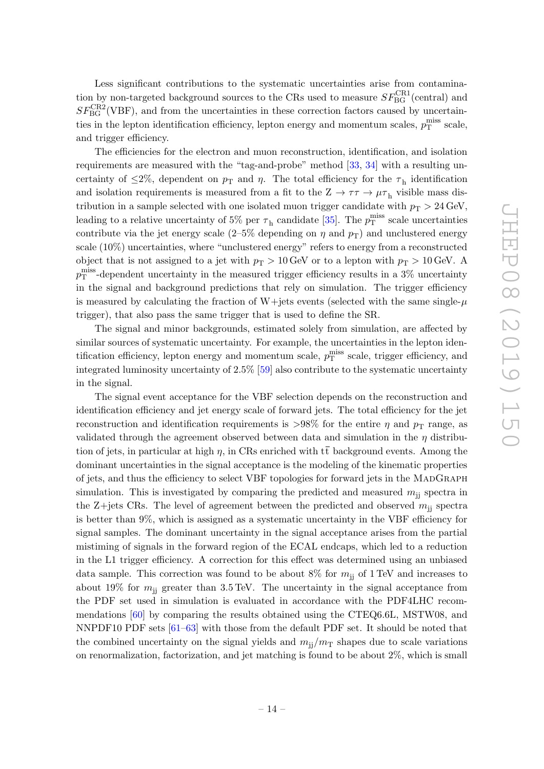Less significant contributions to the systematic uncertainties arise from contamination by non-targeted background sources to the CRs used to measure  $SF_{BG}^{\n  $\text{CR1}}$  (central) and$  $SF_{BG}^{CR2}$  (VBF), and from the uncertainties in these correction factors caused by uncertainties in the lepton identification efficiency, lepton energy and momentum scales,  $p_T^{\text{miss}}$  scale, and trigger efficiency.

The efficiencies for the electron and muon reconstruction, identification, and isolation requirements are measured with the "tag-and-probe" method [\[33,](#page-22-16) [34\]](#page-22-17) with a resulting uncertainty of  $\leq$ 2%, dependent on  $p_T$  and  $\eta$ . The total efficiency for the  $\tau$ <sub>h</sub> identification and isolation requirements is measured from a fit to the  $Z \to \tau\tau \to \mu\tau_h$  visible mass distribution in a sample selected with one isolated muon trigger candidate with  $p_T > 24$  GeV, leading to a relative uncertainty of 5% per  $\tau<sub>h</sub>$  candidate [\[35\]](#page-22-18). The  $p_T^{\text{miss}}$  scale uncertainties contribute via the jet energy scale  $(2-5\%$  depending on  $\eta$  and  $p_T$ ) and unclustered energy scale (10%) uncertainties, where "unclustered energy" refers to energy from a reconstructed object that is not assigned to a jet with  $p_T > 10 \,\text{GeV}$  or to a lepton with  $p_T > 10 \,\text{GeV}$ . A  $p_{\text{T}}^{\text{miss}}$ -dependent uncertainty in the measured trigger efficiency results in a 3% uncertainty in the signal and background predictions that rely on simulation. The trigger efficiency is measured by calculating the fraction of W+jets events (selected with the same single- $\mu$ trigger), that also pass the same trigger that is used to define the SR.

The signal and minor backgrounds, estimated solely from simulation, are affected by similar sources of systematic uncertainty. For example, the uncertainties in the lepton identification efficiency, lepton energy and momentum scale,  $p_T^{\text{miss}}$  scale, trigger efficiency, and integrated luminosity uncertainty of 2.5% [\[59\]](#page-24-1) also contribute to the systematic uncertainty in the signal.

The signal event acceptance for the VBF selection depends on the reconstruction and identification efficiency and jet energy scale of forward jets. The total efficiency for the jet reconstruction and identification requirements is  $>98\%$  for the entire  $\eta$  and  $p_T$  range, as validated through the agreement observed between data and simulation in the  $\eta$  distribution of jets, in particular at high  $\eta$ , in CRs enriched with  $t\bar{t}$  background events. Among the dominant uncertainties in the signal acceptance is the modeling of the kinematic properties of jets, and thus the efficiency to select VBF topologies for forward jets in the MADGRAPH simulation. This is investigated by comparing the predicted and measured  $m_{ii}$  spectra in the Z+jets CRs. The level of agreement between the predicted and observed  $m_{ii}$  spectra is better than 9%, which is assigned as a systematic uncertainty in the VBF efficiency for signal samples. The dominant uncertainty in the signal acceptance arises from the partial mistiming of signals in the forward region of the ECAL endcaps, which led to a reduction in the L1 trigger efficiency. A correction for this effect was determined using an unbiased data sample. This correction was found to be about 8% for  $m_{ii}$  of 1 TeV and increases to about 19% for  $m_{ii}$  greater than 3.5 TeV. The uncertainty in the signal acceptance from the PDF set used in simulation is evaluated in accordance with the PDF4LHC recommendations [\[60\]](#page-24-2) by comparing the results obtained using the CTEQ6.6L, MSTW08, and NNPDF10 PDF sets [\[61–](#page-24-3)[63\]](#page-24-4) with those from the default PDF set. It should be noted that the combined uncertainty on the signal yields and  $m_{ii}/m_{\rm T}$  shapes due to scale variations on renormalization, factorization, and jet matching is found to be about 2%, which is small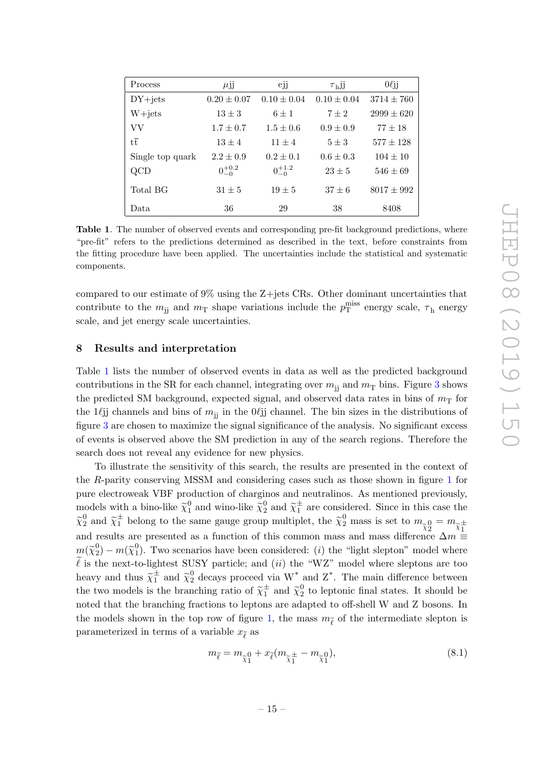| Process          | $\mu$ .]        | ejj             | $\tau_{\rm h}$ jj | $0 \ell$ jj    |
|------------------|-----------------|-----------------|-------------------|----------------|
| $DY+jets$        | $0.20 \pm 0.07$ | $0.10 \pm 0.04$ | $0.10 \pm 0.04$   | $3714 \pm 760$ |
| $W+jets$         | $13 \pm 3$      | $6 \pm 1$       | $7\pm 2$          | $2999 \pm 620$ |
| <b>VV</b>        | $1.7 \pm 0.7$   | $1.5 \pm 0.6$   | $0.9 \pm 0.9$     | $77 \pm 18$    |
| $t\overline{t}$  | $13 + 4$        | $11 + 4$        | $5 \pm 3$         | $577 \pm 128$  |
| Single top quark | $2.2 \pm 0.9$   | $0.2 \pm 0.1$   | $0.6 \pm 0.3$     | $104 \pm 10$   |
| QCD              | $0^{+0.2}_{-0}$ | $0^{+1.2}_{-0}$ | $23 \pm 5$        | $546 \pm 69$   |
| Total BG         | $31 \pm 5$      | $19 + 5$        | $37 \pm 6$        | $8017 \pm 992$ |
| Data.            | 36              | 29              | 38                | 8408           |

<span id="page-15-1"></span>Table 1. The number of observed events and corresponding pre-fit background predictions, where "pre-fit" refers to the predictions determined as described in the text, before constraints from the fitting procedure have been applied. The uncertainties include the statistical and systematic components.

compared to our estimate of 9% using the Z+jets CRs. Other dominant uncertainties that contribute to the  $m_{jj}$  and  $m_{\rm T}$  shape variations include the  $p_{\rm T}^{\rm miss}$  energy scale,  $\tau$ <sub>h</sub> energy scale, and jet energy scale uncertainties.

### <span id="page-15-0"></span>8 Results and interpretation

Table [1](#page-15-1) lists the number of observed events in data as well as the predicted background contributions in the SR for each channel, integrating over  $m_{ii}$  and  $m_{\overline{T}}$  bins. Figure [3](#page-16-0) shows the predicted SM background, expected signal, and observed data rates in bins of  $m<sub>T</sub>$  for the 1 $\ell$ jj channels and bins of  $m_{ij}$  in the 0 $\ell$ jj channel. The bin sizes in the distributions of figure [3](#page-16-0) are chosen to maximize the signal significance of the analysis. No significant excess of events is observed above the SM prediction in any of the search regions. Therefore the search does not reveal any evidence for new physics.

To illustrate the sensitivity of this search, the results are presented in the context of the R-parity conserving MSSM and considering cases such as those shown in figure [1](#page-3-0) for pure electroweak VBF production of charginos and neutralinos. As mentioned previously, models with a bino-like  $\tilde{\chi}_1^0$  and wino-like  $\tilde{\chi}_2^0$  and  $\tilde{\chi}_1^{\pm}$  are considered. Since in this case the  $\tilde{\chi}_2^0$  and  $\tilde{\chi}_1^{\pm}$  belong to the same gauge group multiplet, the  $\tilde{\chi}_2^0$  mass is set to  $m_{\tilde{\chi}_2^0} = m_{\tilde{\chi}_1^{\pm}}$  $\chi_2$  and  $\chi_1$  seems so the same gauge group manaprot, and  $\chi_2$  mass is see to  $m_{\tilde{\chi}_2^0}^2$   $m_{\tilde{\chi}_1^0}^2$  $m(\tilde{\chi}_2^0) - m(\tilde{\chi}_1^0)$ . Two scenarios have been considered: (*i*) the "light slepton" model where  $\tilde{\ell}$  is the next-to-lightest SUSY particle; and (ii) the "WZ" model where sleptons are too heavy and thus  $\tilde{\chi}_1^{\pm}$  and  $\tilde{\chi}_2^0$  decays proceed via W<sup>\*</sup> and Z<sup>\*</sup>. The main difference between the two models is the branching ratio of  $\tilde{\chi}_1^{\pm}$  and  $\tilde{\chi}_2^0$  to leptonic final states. It should be noted that the branching fractions to leptons are adapted to off-shell W and Z bosons. In the models shown in the top row of figure [1,](#page-3-0) the mass  $m<sub>\tilde{\ell}</sub>$  of the intermediate slepton is parameterized in terms of a variable  $x_{\widetilde{\rho}}$  as

$$
m_{\tilde{\ell}} = m_{\tilde{\chi}_1^0} + x_{\tilde{\ell}} (m_{\tilde{\chi}_1^{\pm}} - m_{\tilde{\chi}_1^0}), \tag{8.1}
$$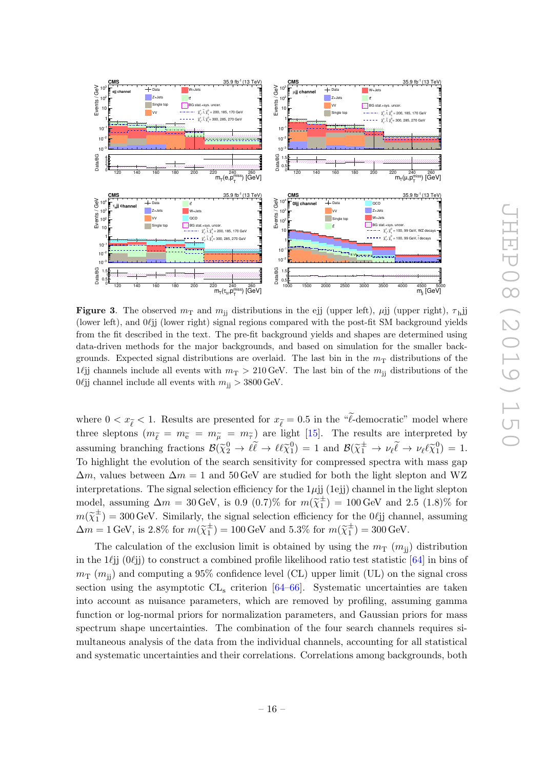

<span id="page-16-0"></span>**Figure 3**. The observed  $m_T$  and  $m_{jj}$  distributions in the ejj (upper left),  $\mu$ jj (upper right),  $\tau_h$ jj (lower left), and  $0\ell$ jj (lower right) signal regions compared with the post-fit SM background yields from the fit described in the text. The pre-fit background yields and shapes are determined using data-driven methods for the major backgrounds, and based on simulation for the smaller backgrounds. Expected signal distributions are overlaid. The last bin in the  $m<sub>T</sub>$  distributions of the 1 $\ell$ jj channels include all events with  $m_T > 210$  GeV. The last bin of the  $m_{ij}$  distributions of the 0 $\ell$ jj channel include all events with  $m_{\rm ii} > 3800$  GeV.

where  $0 < x_{\widetilde{\ell}} < 1$ . Results are presented for  $x_{\widetilde{\ell}} = 0.5$  in the " $\widetilde{\ell}$ -democratic" model where three sleptons  $(m_{\tilde{\ell}} = m_{\tilde{e}} = m_{\tilde{\mu}} = m_{\tilde{\tau}})$  are light [\[15\]](#page-21-5). The results are interpreted by assuming branching fractions  $\mathcal{B}(\tilde{\chi}_2^0 \to \ell \tilde{\ell} \to \ell \ell \tilde{\chi}_1^0) = 1$  and  $\mathcal{B}(\tilde{\chi}_1^{\pm} \to \nu_{\ell} \ell \tilde{\ell} \to \nu_{\ell} \ell \tilde{\chi}_1^0) = 1$ . To highlight the evolution of the search sensitivity for compressed spectra with mass gap  $\Delta m$ , values between  $\Delta m = 1$  and 50 GeV are studied for both the light slepton and WZ interpretations. The signal selection efficiency for the  $1\mu$ jj (1ejj) channel in the light slepton model, assuming  $\Delta m = 30 \,\text{GeV}$ , is 0.9 (0.7)% for  $m(\tilde{\chi}_1^{\pm}) = 100 \,\text{GeV}$  and 2.5 (1.8)% for  $m(\tilde{\chi}_1^{\pm}) = 300 \,\text{GeV}$ . Similarly, the signal selection efficiency for the  $0\ell$ jj channel, assuming  $\Delta m = 1$  GeV, is 2.8% for  $m(\tilde{\chi}_1^{\pm}) = 100$  GeV and 5.3% for  $m(\tilde{\chi}_1^{\pm}) = 300$  GeV.

The calculation of the exclusion limit is obtained by using the  $m_T$  ( $m_{ii}$ ) distribution in the  $1\ell$ jj  $(0\ell$ jj) to construct a combined profile likelihood ratio test statistic [\[64\]](#page-24-5) in bins of  $m_{\text{T}}$  ( $m_{\text{ii}}$ ) and computing a 95% confidence level (CL) upper limit (UL) on the signal cross section using the asymptotic  $CL<sub>s</sub>$  criterion  $[64–66]$  $[64–66]$ . Systematic uncertainties are taken into account as nuisance parameters, which are removed by profiling, assuming gamma function or log-normal priors for normalization parameters, and Gaussian priors for mass spectrum shape uncertainties. The combination of the four search channels requires simultaneous analysis of the data from the individual channels, accounting for all statistical and systematic uncertainties and their correlations. Correlations among backgrounds, both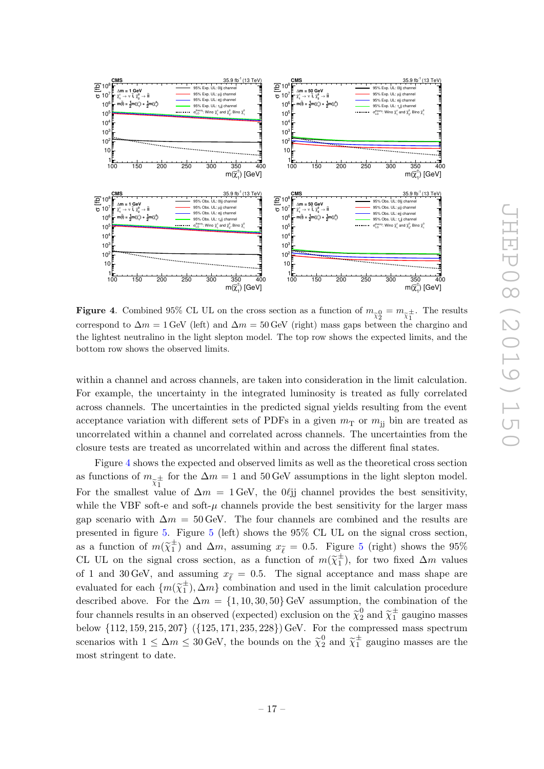

<span id="page-17-0"></span>**Figure 4.** Combined 95% CL UL on the cross section as a function of  $m_{\tilde{\chi}^0_2} = m_{\tilde{\chi}^{\pm}_1}$ . The results correspond to  $\Delta m = 1$  GeV (left) and  $\Delta m = 50$  GeV (right) mass gaps between the chargino and the lightest neutralino in the light slepton model. The top row shows the expected limits, and the bottom row shows the observed limits.

within a channel and across channels, are taken into consideration in the limit calculation. For example, the uncertainty in the integrated luminosity is treated as fully correlated across channels. The uncertainties in the predicted signal yields resulting from the event acceptance variation with different sets of PDFs in a given  $m<sub>T</sub>$  or  $m<sub>ij</sub>$  bin are treated as uncorrelated within a channel and correlated across channels. The uncertainties from the closure tests are treated as uncorrelated within and across the different final states.

Figure [4](#page-17-0) shows the expected and observed limits as well as the theoretical cross section as functions of  $m_{\tilde{\chi}^{\pm}_1}$  for the  $\Delta m = 1$  and 50 GeV assumptions in the light slepton model. For the smallest value of  $\Delta m = 1$  GeV, the 0 $\ell$ jj channel provides the best sensitivity, while the VBF soft-e and soft- $\mu$  channels provide the best sensitivity for the larger mass gap scenario with  $\Delta m = 50$  GeV. The four channels are combined and the results are presented in figure [5.](#page-18-1) Figure [5](#page-18-1) (left) shows the 95% CL UL on the signal cross section, as a function of  $m(\tilde{\chi}_1^{\pm})$  and  $\Delta m$ , assuming  $x_{\tilde{\ell}} = 0.5$  $x_{\tilde{\ell}} = 0.5$ . Figure 5 (right) shows the 95% CL UL on the signal cross section, as a function of  $m(\tilde{\chi}_1^{\pm})$ , for two fixed  $\Delta m$  values of 1 and 30 GeV, and assuming  $x_{\tilde{\ell}} = 0.5$ . The signal acceptance and mass shape are evaluated for each  $\{m(\tilde{\chi}_1^{\pm}), \Delta m\}$  combination and used in the limit calculation procedure described above. For the  $\Delta m = \{1, 10, 30, 50\}$  GeV assumption, the combination of the four channels results in an observed (expected) exclusion on the  $\tilde{\chi}_2^0$  and  $\tilde{\chi}_1^{\pm}$  gaugino masses below {112, 159, 215, 207} ({125, 171, 235, 228}) GeV. For the compressed mass spectrum scenarios with  $1 \leq \Delta m \leq 30$  GeV, the bounds on the  $\tilde{\chi}_2^0$  and  $\tilde{\chi}_1^{\pm}$  gaugino masses are the most stringent to date.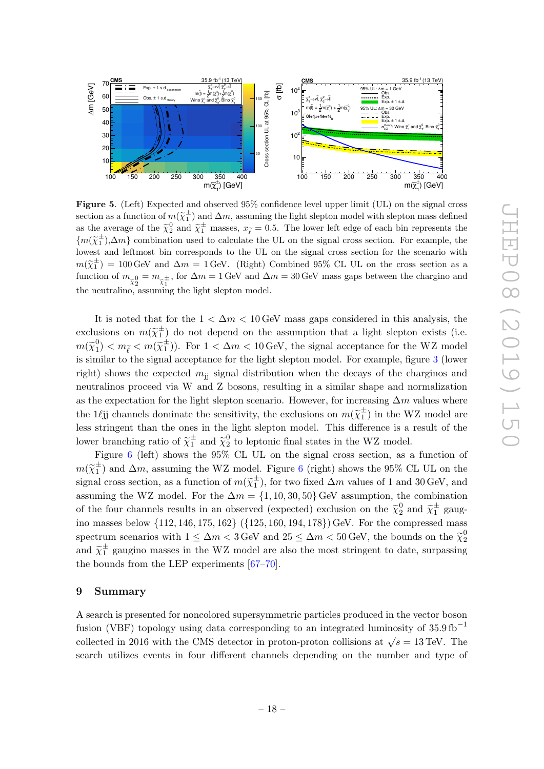

<span id="page-18-1"></span>Figure 5. (Left) Expected and observed 95% confidence level upper limit (UL) on the signal cross section as a function of  $m(\tilde{\chi}_{\perp}^{\pm})$  and  $\Delta m$ , assuming the light slepton model with slepton mass defined as the average of the  $\tilde{\chi}_2^0$  and  $\tilde{\chi}_1^{\pm}$  masses,  $x_{\tilde{\ell}} = 0.5$ . The lower left edge of each bin represents the  $\{m(\tilde{\chi}_{\perp}^{\pm}),\Delta m\}$  combination used to calculate the UL on the signal cross section. For example, the largest and leftmost bin corresponds to the UL on the signal gross section for the secondic with lowest and leftmost bin corresponds to the UL on the signal cross section for the scenario with  $m(\tilde{\chi}_1^{\pm}) = 100 \,\text{GeV}$  and  $\Delta m = 1 \,\text{GeV}$ . (Right) Combined 95% CL UL on the cross section as a function of  $m_{\tilde{\chi}^0_2} = m_{\tilde{\chi}^{\pm}_1}$ , for  $\Delta m = 1$  GeV and  $\Delta m = 30$  GeV mass gaps between the chargino and the controlling controlling the light cluster used in the neutralino, assuming the light slepton model.

It is noted that for the  $1 < \Delta m < 10$  GeV mass gaps considered in this analysis, the exclusions on  $m(\tilde{\chi}_1^{\pm})$  do not depend on the assumption that a light slepton exists (i.e.  $m(\widetilde{\chi}^0_1$  $\frac{1}{1}$   $\leq m_{\tilde{\ell}} \leq m(\tilde{\chi}_1^{\pm})$ . For  $1 < \Delta m < 10$  GeV, the signal acceptance for the WZ model is similar to the signal acceptance for the light slepton model. For example, figure [3](#page-16-0) (lower right) shows the expected  $m_{ij}$  signal distribution when the decays of the charginos and neutralinos proceed via W and Z bosons, resulting in a similar shape and normalization as the expectation for the light slepton scenario. However, for increasing  $\Delta m$  values where the 1 $\ell$ jj channels dominate the sensitivity, the exclusions on  $m(\tilde{\chi}_1^{\pm})$  in the WZ model are less stringent than the ones in the light slepton model. This difference is a result of the lower branching ratio of  $\tilde{\chi}_1^{\pm}$  and  $\tilde{\chi}_2^0$  to leptonic final states in the WZ model.

Figure [6](#page-19-0) (left) shows the 95% CL UL on the signal cross section, as a function of  $m(\tilde{\chi}_1^{\pm})$  and  $\Delta m$ , assuming the WZ model. Figure [6](#page-19-0) (right) shows the 95% CL UL on the signal cross section, as a function of  $m(\tilde{\chi}_1^{\pm})$ , for two fixed  $\Delta m$  values of 1 and 30 GeV, and assuming the WZ model. For the  $\Delta m = \{1, 10, 30, 50\}$  GeV assumption, the combination of the four channels results in an observed (expected) exclusion on the  $\tilde{\chi}_2^0$  and  $\tilde{\chi}_1^{\pm}$  gaugino masses below {112, 146, 175, 162} ({125, 160, 194, 178}) GeV. For the compressed mass spectrum scenarios with  $1 \leq \Delta m < 3$  GeV and  $25 \leq \Delta m < 50$  GeV, the bounds on the  $\tilde{\chi}_2^0$ and  $\tilde{\chi}_1^{\pm}$  gaugino masses in the WZ model are also the most stringent to date, surpassing the bounds from the LEP experiments [\[67](#page-24-7)[–70\]](#page-24-8).

### <span id="page-18-0"></span>9 Summary

A search is presented for noncolored supersymmetric particles produced in the vector boson fusion (VBF) topology using data corresponding to an integrated luminosity of  $35.9 \text{ fb}^{-1}$ collected in 2016 with the CMS detector in proton-proton collisions at  $\sqrt{s} = 13$  TeV. The search utilizes events in four different channels depending on the number and type of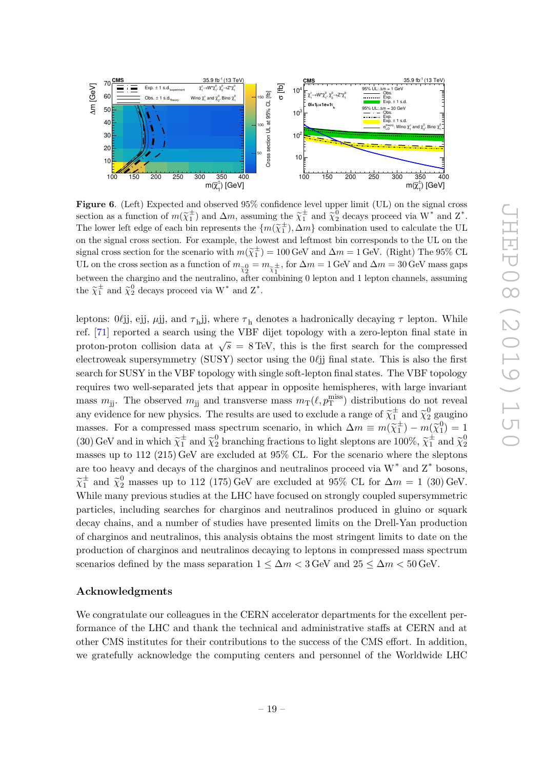

<span id="page-19-0"></span>Figure 6. (Left) Expected and observed 95% confidence level upper limit (UL) on the signal cross section as a function of  $m(\tilde{\chi}_1^{\pm})$  and  $\Delta m$ , assuming the  $\tilde{\chi}_1^{\pm}$  and  $\tilde{\chi}_2^0$  decays proceed via W<sup>∗</sup> and Z<sup>\*</sup>. The lower left edge of each bin represents the  $\{m(\tilde{\chi}^{\pm})$ ,  $\Delta m\}$  combination used to calculate the UL<br>can the signal approximation. For example, the larget and leftmost bin comparently to the UL on the on the signal cross section. For example, the lowest and leftmost bin corresponds to the UL on the signal cross section for the scenario with  $m(\tilde{\chi}_1^{\pm}) = 100 \,\text{GeV}$  and  $\Delta m = 1 \,\text{GeV}$ . (Right) The 95% CL<br>III and he was asstigated function of measure for  $\Delta m = 1 \,\text{GeV}$  and  $\Delta m = 20 \,\text{GeV}$  mass was UL on the cross section as a function of  $m_{\tilde{\chi}^0_2} = m_{\tilde{\chi}^{\pm}_1}$ , for  $\Delta m = 1$  GeV and  $\Delta m = 30$  GeV mass gaps between the chargino and the neutralino, after combining 0 lepton and 1 lepton channels, assuming the  $\tilde{\chi}_1^{\pm}$  and  $\tilde{\chi}_2^0$  decays proceed via W<sup>\*</sup> and Z<sup>\*</sup>.

leptons:  $0 \ell$ jj, ejj,  $\mu$ jj, and  $\tau_h$ jj, where  $\tau_h$  denotes a hadronically decaying  $\tau$  lepton. While ref. [\[71\]](#page-24-9) reported a search using the VBF dijet topology with a zero-lepton final state in proton-proton collision data at  $\sqrt{s} = 8$  TeV, this is the first search for the compressed electroweak supersymmetry (SUSY) sector using the  $0\ell$ j final state. This is also the first search for SUSY in the VBF topology with single soft-lepton final states. The VBF topology requires two well-separated jets that appear in opposite hemispheres, with large invariant mass  $m_{jj}$ . The observed  $m_{jj}$  and transverse mass  $m_T(\ell, p_T^{\text{miss}})$  distributions do not reveal any evidence for new physics. The results are used to exclude a range of  $\tilde{\chi}_1^{\pm}$  and  $\tilde{\chi}_2^0$  gaugino masses. For a compressed mass spectrum scenario, in which  $\Delta m \equiv m(\tilde{\chi}_1^{\pm}) - m(\tilde{\chi}_1^0) = 1$ (30) GeV and in which  $\tilde{\chi}_1^{\pm}$  and  $\tilde{\chi}_2^0$  branching fractions to light sleptons are 100%,  $\tilde{\chi}_1^{\pm}$  and  $\tilde{\chi}_2^0$ <br>messes on to 110 (215) GeV are explieded at 05% GL. Fantly assuming that alutters masses up to 112 (215) GeV are excluded at 95% CL. For the scenario where the sleptons are too heavy and decays of the charginos and neutralinos proceed via  $W^*$  and  $Z^*$  bosons,  $\widetilde{\chi}_1^{\pm}$  and  $\widetilde{\chi}_2^0$  masses up to 112 (175) GeV are excluded at 95% CL for  $\Delta m = 1$  (30) GeV. While many previous studies at the LHC have focused on strongly coupled supersymmetric particles, including searches for charginos and neutralinos produced in gluino or squark decay chains, and a number of studies have presented limits on the Drell-Yan production of charginos and neutralinos, this analysis obtains the most stringent limits to date on the production of charginos and neutralinos decaying to leptons in compressed mass spectrum scenarios defined by the mass separation  $1 \leq \Delta m < 3$  GeV and  $25 \leq \Delta m < 50$  GeV.

## Acknowledgments

We congratulate our colleagues in the CERN accelerator departments for the excellent performance of the LHC and thank the technical and administrative staffs at CERN and at other CMS institutes for their contributions to the success of the CMS effort. In addition, we gratefully acknowledge the computing centers and personnel of the Worldwide LHC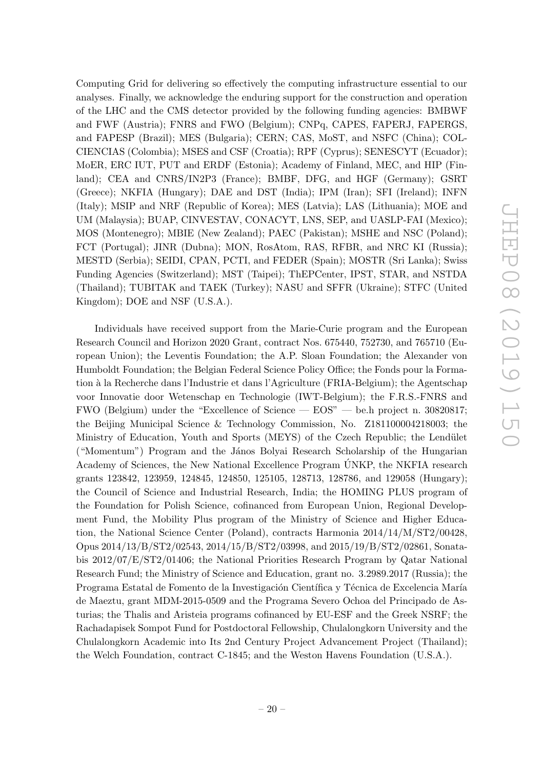Computing Grid for delivering so effectively the computing infrastructure essential to our analyses. Finally, we acknowledge the enduring support for the construction and operation of the LHC and the CMS detector provided by the following funding agencies: BMBWF and FWF (Austria); FNRS and FWO (Belgium); CNPq, CAPES, FAPERJ, FAPERGS, and FAPESP (Brazil); MES (Bulgaria); CERN; CAS, MoST, and NSFC (China); COL-CIENCIAS (Colombia); MSES and CSF (Croatia); RPF (Cyprus); SENESCYT (Ecuador); MoER, ERC IUT, PUT and ERDF (Estonia); Academy of Finland, MEC, and HIP (Finland); CEA and CNRS/IN2P3 (France); BMBF, DFG, and HGF (Germany); GSRT (Greece); NKFIA (Hungary); DAE and DST (India); IPM (Iran); SFI (Ireland); INFN (Italy); MSIP and NRF (Republic of Korea); MES (Latvia); LAS (Lithuania); MOE and UM (Malaysia); BUAP, CINVESTAV, CONACYT, LNS, SEP, and UASLP-FAI (Mexico); MOS (Montenegro); MBIE (New Zealand); PAEC (Pakistan); MSHE and NSC (Poland); FCT (Portugal); JINR (Dubna); MON, RosAtom, RAS, RFBR, and NRC KI (Russia); MESTD (Serbia); SEIDI, CPAN, PCTI, and FEDER (Spain); MOSTR (Sri Lanka); Swiss Funding Agencies (Switzerland); MST (Taipei); ThEPCenter, IPST, STAR, and NSTDA (Thailand); TUBITAK and TAEK (Turkey); NASU and SFFR (Ukraine); STFC (United Kingdom); DOE and NSF (U.S.A.).

Individuals have received support from the Marie-Curie program and the European Research Council and Horizon 2020 Grant, contract Nos. 675440, 752730, and 765710 (European Union); the Leventis Foundation; the A.P. Sloan Foundation; the Alexander von Humboldt Foundation; the Belgian Federal Science Policy Office; the Fonds pour la Formation `a la Recherche dans l'Industrie et dans l'Agriculture (FRIA-Belgium); the Agentschap voor Innovatie door Wetenschap en Technologie (IWT-Belgium); the F.R.S.-FNRS and FWO (Belgium) under the "Excellence of Science — EOS" — be.h project n. 30820817; the Beijing Municipal Science & Technology Commission, No. Z181100004218003; the Ministry of Education, Youth and Sports (MEYS) of the Czech Republic; the Lendület ("Momentum") Program and the J´anos Bolyai Research Scholarship of the Hungarian Academy of Sciences, the New National Excellence Program UNKP, the NKFIA research ´ grants 123842, 123959, 124845, 124850, 125105, 128713, 128786, and 129058 (Hungary); the Council of Science and Industrial Research, India; the HOMING PLUS program of the Foundation for Polish Science, cofinanced from European Union, Regional Development Fund, the Mobility Plus program of the Ministry of Science and Higher Education, the National Science Center (Poland), contracts Harmonia 2014/14/M/ST2/00428, Opus 2014/13/B/ST2/02543, 2014/15/B/ST2/03998, and 2015/19/B/ST2/02861, Sonatabis 2012/07/E/ST2/01406; the National Priorities Research Program by Qatar National Research Fund; the Ministry of Science and Education, grant no. 3.2989.2017 (Russia); the Programa Estatal de Fomento de la Investigación Científica y Técnica de Excelencia María de Maeztu, grant MDM-2015-0509 and the Programa Severo Ochoa del Principado de Asturias; the Thalis and Aristeia programs cofinanced by EU-ESF and the Greek NSRF; the Rachadapisek Sompot Fund for Postdoctoral Fellowship, Chulalongkorn University and the Chulalongkorn Academic into Its 2nd Century Project Advancement Project (Thailand); the Welch Foundation, contract C-1845; and the Weston Havens Foundation (U.S.A.).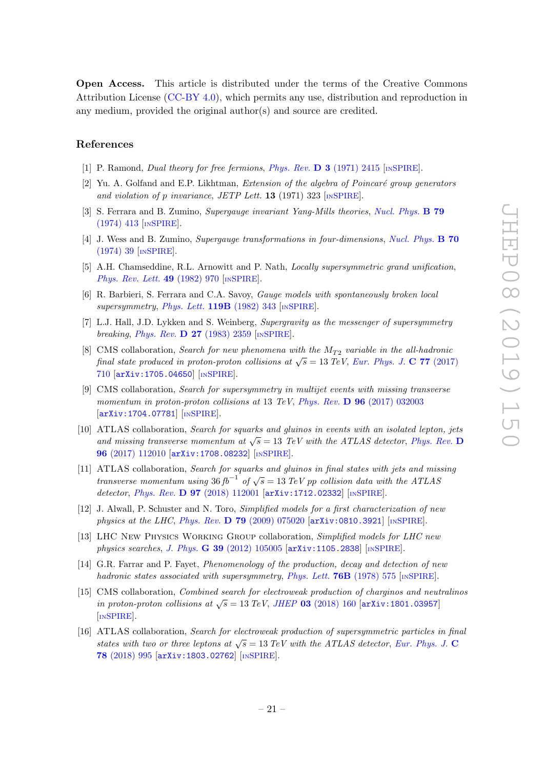Open Access. This article is distributed under the terms of the Creative Commons Attribution License [\(CC-BY 4.0\)](https://creativecommons.org/licenses/by/4.0/), which permits any use, distribution and reproduction in any medium, provided the original author(s) and source are credited.

# References

- <span id="page-21-0"></span>[1] P. Ramond, *Dual theory for free fermions*, *Phys. Rev.* **D 3** [\(1971\) 2415](https://doi.org/10.1103/PhysRevD.3.2415) [IN[SPIRE](https://inspirehep.net/search?p=find+J+%22Phys.Rev.,D3,2415%22)].
- [2] Yu. A. Golfand and E.P. Likhtman, *Extension of the algebra of Poincaré group generators* and violation of p invariance, JETP Lett.  $13$  (1971) 323 [IN[SPIRE](https://inspirehep.net/search?p=find+J+%22JETPLett.,13,323%22)].
- [3] S. Ferrara and B. Zumino, Supergauge invariant Yang-Mills theories, [Nucl. Phys.](https://doi.org/10.1016/0550-3213(74)90559-8) B 79 [\(1974\) 413](https://doi.org/10.1016/0550-3213(74)90559-8) [IN[SPIRE](https://inspirehep.net/search?p=find+J+%22Nucl.Phys.,B79,413%22)].
- [4] J. Wess and B. Zumino, Supergauge transformations in four-dimensions, [Nucl. Phys.](https://doi.org/10.1016/0550-3213(74)90355-1) B 70 [\(1974\) 39](https://doi.org/10.1016/0550-3213(74)90355-1) [IN[SPIRE](https://inspirehep.net/search?p=find+J+%22Nucl.Phys.,B70,39%22)].
- [5] A.H. Chamseddine, R.L. Arnowitt and P. Nath, Locally supersymmetric grand unification, [Phys. Rev. Lett.](https://doi.org/10.1103/PhysRevLett.49.970) 49 (1982) 970 [IN[SPIRE](https://inspirehep.net/search?p=find+J+%22Phys.Rev.Lett.,49,970%22)].
- [6] R. Barbieri, S. Ferrara and C.A. Savoy, Gauge models with spontaneously broken local supersymmetry, [Phys. Lett.](https://doi.org/10.1016/0370-2693(82)90685-2) **119B** (1982) 343 [IN[SPIRE](https://inspirehep.net/search?p=find+J+%22Phys.Lett.,B119,343%22)].
- <span id="page-21-1"></span>[7] L.J. Hall, J.D. Lykken and S. Weinberg, Supergravity as the messenger of supersymmetry breaking, *Phys. Rev.* **D 27** [\(1983\) 2359](https://doi.org/10.1103/PhysRevD.27.2359) [IN[SPIRE](https://inspirehep.net/search?p=find+J+%22Phys.Rev.,D27,2359%22)].
- <span id="page-21-2"></span>[8] CMS collaboration, Search for new phenomena with the  $M_{T2}$  variable in the all-hadronic final state produced in proton-proton collisions at  $\sqrt{s} = 13 \text{ TeV}$ , [Eur. Phys. J.](https://doi.org/10.1140/epjc/s10052-017-5267-x) C 77 (2017) [710](https://doi.org/10.1140/epjc/s10052-017-5267-x) [[arXiv:1705.04650](https://arxiv.org/abs/1705.04650)] [IN[SPIRE](https://inspirehep.net/search?p=find+EPRINT+arXiv:1705.04650)].
- [9] CMS collaboration, Search for supersymmetry in multijet events with missing transverse momentum in proton-proton collisions at 13 TeV, Phys. Rev.  $\bf{D}$  96 [\(2017\) 032003](https://doi.org/10.1103/PhysRevD.96.032003) [[arXiv:1704.07781](https://arxiv.org/abs/1704.07781)] [IN[SPIRE](https://inspirehep.net/search?p=find+EPRINT+arXiv:1704.07781)].
- [10] ATLAS collaboration, Search for squarks and gluinos in events with an isolated lepton, jets and missing transverse momentum at  $\sqrt{s} = 13$  TeV with the ATLAS detector, [Phys. Rev.](https://doi.org/10.1103/PhysRevD.96.112010) D 96 [\(2017\) 112010](https://doi.org/10.1103/PhysRevD.96.112010) [[arXiv:1708.08232](https://arxiv.org/abs/1708.08232)] [IN[SPIRE](https://inspirehep.net/search?p=find+EPRINT+arXiv:1708.08232)].
- [11] ATLAS collaboration, Search for squarks and gluinos in final states with jets and missing transverse momentum using  $36 fb^{-1}$  of  $\sqrt{s} = 13 TeV$  pp collision data with the ATLAS detector, Phys. Rev. D 97 [\(2018\) 112001](https://doi.org/10.1103/PhysRevD.97.112001) [[arXiv:1712.02332](https://arxiv.org/abs/1712.02332)] [IN[SPIRE](https://inspirehep.net/search?p=find+EPRINT+arXiv:1712.02332)].
- [12] J. Alwall, P. Schuster and N. Toro, Simplified models for a first characterization of new physics at the LHC, Phys. Rev. D 79 [\(2009\) 075020](https://doi.org/10.1103/PhysRevD.79.075020) [[arXiv:0810.3921](https://arxiv.org/abs/0810.3921)] [IN[SPIRE](https://inspirehep.net/search?p=find+EPRINT+arXiv:0810.3921)].
- <span id="page-21-3"></span>[13] LHC New Physics Working Group collaboration, Simplified models for LHC new physics searches, J. Phys. G 39 [\(2012\) 105005](https://doi.org/10.1088/0954-3899/39/10/105005)  $\text{arXiv:1105.2838}$  $\text{arXiv:1105.2838}$  $\text{arXiv:1105.2838}$  [IN[SPIRE](https://inspirehep.net/search?p=find+EPRINT+arXiv:1105.2838)].
- <span id="page-21-4"></span>[14] G.R. Farrar and P. Fayet, Phenomenology of the production, decay and detection of new hadronic states associated with supersymmetry, [Phys. Lett.](https://doi.org/10.1016/0370-2693(78)90858-4) **76B** (1978) 575 [IN[SPIRE](https://inspirehep.net/search?p=find+J+%22Phys.Lett.,B76,575%22)].
- <span id="page-21-5"></span>[15] CMS collaboration, Combined search for electroweak production of charginos and neutralinos in proton-proton collisions at  $\sqrt{s} = 13 \text{ TeV}$ , JHEP 03 [\(2018\) 160](https://doi.org/10.1007/JHEP03(2018)160) [[arXiv:1801.03957](https://arxiv.org/abs/1801.03957)] [IN[SPIRE](https://inspirehep.net/search?p=find+EPRINT+arXiv:1801.03957)].
- [16] ATLAS collaboration, Search for electroweak production of supersymmetric particles in final states with two or three leptons at  $\sqrt{s} = 13$  TeV with the ATLAS detector, [Eur. Phys. J.](https://doi.org/10.1140/epjc/s10052-018-6423-7) C 78 [\(2018\) 995](https://doi.org/10.1140/epjc/s10052-018-6423-7) [[arXiv:1803.02762](https://arxiv.org/abs/1803.02762)] [IN[SPIRE](https://inspirehep.net/search?p=find+EPRINT+arXiv:1803.02762)].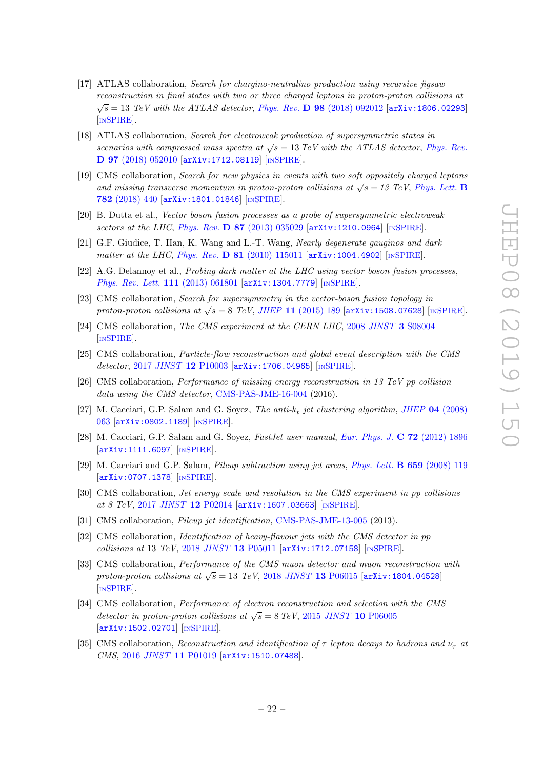- <span id="page-22-0"></span>[17] ATLAS collaboration, Search for chargino-neutralino production using recursive jigsaw reconstruction in final states with two or three charged leptons in proton-proton collisions at  $\sqrt{s} = 13$  TeV with the ATLAS detector, Phys. Rev. **D** 98 [\(2018\) 092012](https://doi.org/10.1103/PhysRevD.98.092012) [[arXiv:1806.02293](https://arxiv.org/abs/1806.02293)] [IN[SPIRE](https://inspirehep.net/search?p=find+EPRINT+arXiv:1806.02293)].
- <span id="page-22-1"></span>[18] ATLAS collaboration, Search for electroweak production of supersymmetric states in scenarios with compressed mass spectra at  $\sqrt{s} = 13 \text{ TeV}$  with the ATLAS detector, [Phys. Rev.](https://doi.org/10.1103/PhysRevD.97.052010) D 97 [\(2018\) 052010](https://doi.org/10.1103/PhysRevD.97.052010) [[arXiv:1712.08119](https://arxiv.org/abs/1712.08119)] [IN[SPIRE](https://inspirehep.net/search?p=find+EPRINT+arXiv:1712.08119)].
- <span id="page-22-2"></span>[19] CMS collaboration, Search for new physics in events with two soft oppositely charged leptons and missing transverse momentum in proton-proton collisions at  $\sqrt{s} = 13$  TeV, [Phys. Lett.](https://doi.org/10.1016/j.physletb.2018.05.062) B 782 [\(2018\) 440](https://doi.org/10.1016/j.physletb.2018.05.062) [[arXiv:1801.01846](https://arxiv.org/abs/1801.01846)] [IN[SPIRE](https://inspirehep.net/search?p=find+EPRINT+arXiv:1801.01846)].
- <span id="page-22-3"></span>[20] B. Dutta et al., Vector boson fusion processes as a probe of supersymmetric electroweak sectors at the LHC, Phys. Rev. D  $87$  [\(2013\) 035029](https://doi.org/10.1103/PhysRevD.87.035029) [[arXiv:1210.0964](https://arxiv.org/abs/1210.0964)] [IN[SPIRE](https://inspirehep.net/search?p=find+EPRINT+arXiv:1210.0964)].
- <span id="page-22-4"></span>[21] G.F. Giudice, T. Han, K. Wang and L.-T. Wang, Nearly degenerate gauginos and dark matter at the LHC, Phys. Rev. D  $81$  [\(2010\) 115011](https://doi.org/10.1103/PhysRevD.81.115011) [[arXiv:1004.4902](https://arxiv.org/abs/1004.4902)] [IN[SPIRE](https://inspirehep.net/search?p=find+EPRINT+arXiv:1004.4902)].
- <span id="page-22-5"></span>[22] A.G. Delannoy et al., *Probing dark matter at the LHC using vector boson fusion processes*, [Phys. Rev. Lett.](https://doi.org/10.1103/PhysRevLett.111.061801) 111 (2013) 061801 [[arXiv:1304.7779](https://arxiv.org/abs/1304.7779)] [IN[SPIRE](https://inspirehep.net/search?p=find+EPRINT+arXiv:1304.7779)].
- <span id="page-22-6"></span>[23] CMS collaboration, Search for supersymmetry in the vector-boson fusion topology in proton-proton collisions at  $\sqrt{s} = 8$  TeV, JHEP 11 [\(2015\) 189](https://doi.org/10.1007/JHEP11(2015)189) [[arXiv:1508.07628](https://arxiv.org/abs/1508.07628)] [IN[SPIRE](https://inspirehep.net/search?p=find+EPRINT+arXiv:1508.07628)].
- <span id="page-22-7"></span>[24] CMS collaboration, The CMS experiment at the CERN LHC, 2008 JINST 3 [S08004](https://doi.org/10.1088/1748-0221/3/08/S08004) [IN[SPIRE](https://inspirehep.net/search?p=find+J+%22JINST,3,S08004%22)].
- <span id="page-22-8"></span>[25] CMS collaboration, Particle-flow reconstruction and global event description with the CMS detector, 2017 JINST 12 [P10003](https://doi.org/10.1088/1748-0221/12/10/P10003) [[arXiv:1706.04965](https://arxiv.org/abs/1706.04965)] [IN[SPIRE](https://inspirehep.net/search?p=find+EPRINT+arXiv:1706.04965)].
- <span id="page-22-9"></span>[26] CMS collaboration, Performance of missing energy reconstruction in 13 TeV pp collision data using the CMS detector, [CMS-PAS-JME-16-004](http://cds.cern.ch/record/2205284) (2016).
- <span id="page-22-10"></span>[27] M. Cacciari, G.P. Salam and G. Soyez, The anti- $k_t$  jet clustering algorithm, JHEP 04 [\(2008\)](https://doi.org/10.1088/1126-6708/2008/04/063) [063](https://doi.org/10.1088/1126-6708/2008/04/063) [[arXiv:0802.1189](https://arxiv.org/abs/0802.1189)] [IN[SPIRE](https://inspirehep.net/search?p=find+EPRINT+arXiv:0802.1189)].
- <span id="page-22-11"></span>[28] M. Cacciari, G.P. Salam and G. Soyez, FastJet user manual, [Eur. Phys. J.](https://doi.org/10.1140/epjc/s10052-012-1896-2) C 72 (2012) 1896  $\left[$ [arXiv:1111.6097](https://arxiv.org/abs/1111.6097) $\right]$  $\left[$ IN[SPIRE](https://inspirehep.net/search?p=find+EPRINT+arXiv:1111.6097) $\right]$ .
- <span id="page-22-12"></span>[29] M. Cacciari and G.P. Salam, Pileup subtraction using jet areas, [Phys. Lett.](https://doi.org/10.1016/j.physletb.2007.09.077) B 659 (2008) 119 [[arXiv:0707.1378](https://arxiv.org/abs/0707.1378)] [IN[SPIRE](https://inspirehep.net/search?p=find+EPRINT+arXiv:0707.1378)].
- <span id="page-22-13"></span>[30] CMS collaboration, *Jet energy scale and resolution in the CMS experiment in pp collisions* at 8 TeV, 2017 JINST 12 [P02014](https://doi.org/10.1088/1748-0221/12/02/P02014) [[arXiv:1607.03663](https://arxiv.org/abs/1607.03663)] [IN[SPIRE](https://inspirehep.net/search?p=find+EPRINT+arXiv:1607.03663)].
- <span id="page-22-14"></span>[31] CMS collaboration, Pileup jet identification, [CMS-PAS-JME-13-005](http://cds.cern.ch/record/1581583) (2013).
- <span id="page-22-15"></span>[32] CMS collaboration, *Identification of heavy-flavour jets with the CMS detector in pp*  $collisions$  at 13 TeV,  $2018$  JINST 13 [P05011](https://doi.org/10.1088/1748-0221/13/05/P05011) [[arXiv:1712.07158](https://arxiv.org/abs/1712.07158)] [IN[SPIRE](https://inspirehep.net/search?p=find+EPRINT+arXiv:1712.07158)].
- <span id="page-22-16"></span>[33] CMS collaboration, *Performance of the CMS muon detector and muon reconstruction with* proton-proton collisions at  $\sqrt{s} = 13$  TeV, 2018 JINST 13 [P06015](https://doi.org/10.1088/1748-0221/13/06/P06015) [[arXiv:1804.04528](https://arxiv.org/abs/1804.04528)] [IN[SPIRE](https://inspirehep.net/search?p=find+EPRINT+arXiv:1804.04528)].
- <span id="page-22-17"></span>[34] CMS collaboration, Performance of electron reconstruction and selection with the CMS  $\alpha$  detector in proton-proton collisions at  $\sqrt{s} = 8 \text{ TeV}$ , 2015 JINST 10 [P06005](https://doi.org/10.1088/1748-0221/10/06/P06005) [[arXiv:1502.02701](https://arxiv.org/abs/1502.02701)] [IN[SPIRE](https://inspirehep.net/search?p=find+EPRINT+arXiv:1502.02701)].
- <span id="page-22-18"></span>[35] CMS collaboration, Reconstruction and identification of  $\tau$  lepton decays to hadrons and  $\nu_{\tau}$  at CMS, 2016 JINST 11 [P01019](https://doi.org/10.1088/1748-0221/11/01/P01019) [[arXiv:1510.07488](https://arxiv.org/abs/1510.07488)].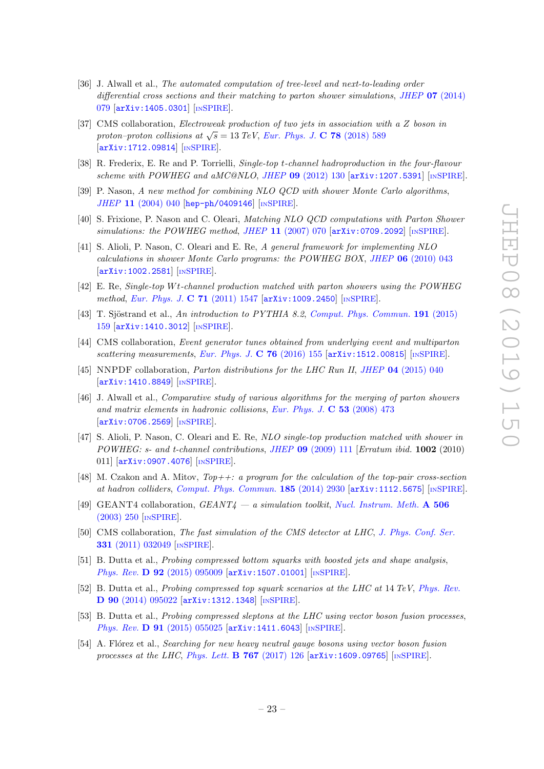- <span id="page-23-0"></span>[36] J. Alwall et al., The automated computation of tree-level and next-to-leading order differential cross sections and their matching to parton shower simulations, JHEP 07 [\(2014\)](https://doi.org/10.1007/JHEP07(2014)079) [079](https://doi.org/10.1007/JHEP07(2014)079) [[arXiv:1405.0301](https://arxiv.org/abs/1405.0301)] [IN[SPIRE](https://inspirehep.net/search?p=find+EPRINT+arXiv:1405.0301)].
- <span id="page-23-1"></span>[37] CMS collaboration, Electroweak production of two jets in association with a Z boson in proton–proton collisions at  $\sqrt{s} = 13 \text{ TeV}$ , [Eur. Phys. J.](https://doi.org/10.1140/epjc/s10052-018-6049-9) C 78 (2018) 589 [[arXiv:1712.09814](https://arxiv.org/abs/1712.09814)] [IN[SPIRE](https://inspirehep.net/search?p=find+EPRINT+arXiv:1712.09814)].
- <span id="page-23-2"></span>[38] R. Frederix, E. Re and P. Torrielli, Single-top t-channel hadroproduction in the four-flavour scheme with POWHEG and aMC@NLO, JHEP  $09$  [\(2012\) 130](https://doi.org/10.1007/JHEP09(2012)130) [[arXiv:1207.5391](https://arxiv.org/abs/1207.5391)] [IN[SPIRE](https://inspirehep.net/search?p=find+EPRINT+arXiv:1207.5391)].
- [39] P. Nason, A new method for combining NLO QCD with shower Monte Carlo algorithms, JHEP 11 [\(2004\) 040](https://doi.org/10.1088/1126-6708/2004/11/040) [[hep-ph/0409146](https://arxiv.org/abs/hep-ph/0409146)] [IN[SPIRE](https://inspirehep.net/search?p=find+EPRINT+hep-ph/0409146)].
- [40] S. Frixione, P. Nason and C. Oleari, Matching NLO QCD computations with Parton Shower simulations: the POWHEG method, JHEP 11  $(2007)$  070  $[$ [arXiv:0709.2092](https://arxiv.org/abs/0709.2092) $]$  [IN[SPIRE](https://inspirehep.net/search?p=find+EPRINT+arXiv:0709.2092)].
- [41] S. Alioli, P. Nason, C. Oleari and E. Re, A general framework for implementing NLO calculations in shower Monte Carlo programs: the POWHEG BOX, JHEP 06 [\(2010\) 043](https://doi.org/10.1007/JHEP06(2010)043) [[arXiv:1002.2581](https://arxiv.org/abs/1002.2581)] [IN[SPIRE](https://inspirehep.net/search?p=find+EPRINT+arXiv:1002.2581)].
- <span id="page-23-3"></span>[42] E. Re, Single-top Wt-channel production matched with parton showers using the POWHEG method, [Eur. Phys. J.](https://doi.org/10.1140/epjc/s10052-011-1547-z) C 71 (2011) 1547 [[arXiv:1009.2450](https://arxiv.org/abs/1009.2450)] [IN[SPIRE](https://inspirehep.net/search?p=find+EPRINT+arXiv:1009.2450)].
- <span id="page-23-4"></span>[43] T. Sjöstrand et al., An introduction to PYTHIA 8.2, [Comput. Phys. Commun.](https://doi.org/10.1016/j.cpc.2015.01.024) 191 (2015) [159](https://doi.org/10.1016/j.cpc.2015.01.024) [[arXiv:1410.3012](https://arxiv.org/abs/1410.3012)] [IN[SPIRE](https://inspirehep.net/search?p=find+EPRINT+arXiv:1410.3012)].
- <span id="page-23-5"></span>[44] CMS collaboration, Event generator tunes obtained from underlying event and multiparton scattering measurements, [Eur. Phys. J.](https://doi.org/10.1140/epjc/s10052-016-3988-x) C  $76$  (2016) 155 [[arXiv:1512.00815](https://arxiv.org/abs/1512.00815)] [IN[SPIRE](https://inspirehep.net/search?p=find+EPRINT+arXiv:1512.00815)].
- <span id="page-23-6"></span>[45] NNPDF collaboration, Parton distributions for the LHC Run II, JHEP 04 [\(2015\) 040](https://doi.org/10.1007/JHEP04(2015)040) [[arXiv:1410.8849](https://arxiv.org/abs/1410.8849)] [IN[SPIRE](https://inspirehep.net/search?p=find+EPRINT+arXiv:1410.8849)].
- <span id="page-23-7"></span>[46] J. Alwall et al., Comparative study of various algorithms for the merging of parton showers and matrix elements in hadronic collisions, [Eur. Phys. J.](https://doi.org/10.1140/epjc/s10052-007-0490-5) C 53 (2008) 473  $\begin{bmatrix} \texttt{arXiv:0706.2569} \end{bmatrix}$  $\begin{bmatrix} \texttt{arXiv:0706.2569} \end{bmatrix}$  $\begin{bmatrix} \texttt{arXiv:0706.2569} \end{bmatrix}$  [IN[SPIRE](https://inspirehep.net/search?p=find+EPRINT+arXiv:0706.2569)].
- <span id="page-23-8"></span>[47] S. Alioli, P. Nason, C. Oleari and E. Re, NLO single-top production matched with shower in POWHEG: s- and t-channel contributions, JHEP 09 [\(2009\) 111](https://doi.org/10.1088/1126-6708/2009/09/111) [Erratum ibid. 1002 (2010) 011] [[arXiv:0907.4076](https://arxiv.org/abs/0907.4076)] [IN[SPIRE](https://inspirehep.net/search?p=find+EPRINT+arXiv:0907.4076)].
- <span id="page-23-9"></span>[48] M. Czakon and A. Mitov,  $Top++: a program for the calculation of the top-pair cross-section$ at hadron colliders, [Comput. Phys. Commun.](https://doi.org/10.1016/j.cpc.2014.06.021) 185 (2014) 2930 [[arXiv:1112.5675](https://arxiv.org/abs/1112.5675)] [IN[SPIRE](https://inspirehep.net/search?p=find+EPRINT+arXiv:1112.5675)].
- <span id="page-23-10"></span>[49] GEANT4 collaboration,  $GEANT4 - a simulation toolkit$ , [Nucl. Instrum. Meth.](https://doi.org/10.1016/S0168-9002(03)01368-8) A 506 [\(2003\) 250](https://doi.org/10.1016/S0168-9002(03)01368-8) [IN[SPIRE](https://inspirehep.net/search?p=find+J+%22Nucl.Instrum.Meth.,A506,250%22)].
- <span id="page-23-11"></span>[50] CMS collaboration, The fast simulation of the CMS detector at LHC, [J. Phys. Conf. Ser.](https://doi.org/10.1088/1742-6596/331/3/032049) 331 [\(2011\) 032049](https://doi.org/10.1088/1742-6596/331/3/032049) [IN[SPIRE](https://inspirehep.net/search?p=find+J+%22J.Phys.Conf.Ser.,331,032049%22)].
- <span id="page-23-12"></span>[51] B. Dutta et al., Probing compressed bottom squarks with boosted jets and shape analysis, Phys. Rev. D 92 [\(2015\) 095009](https://doi.org/10.1103/PhysRevD.92.095009) [[arXiv:1507.01001](https://arxiv.org/abs/1507.01001)] [IN[SPIRE](https://inspirehep.net/search?p=find+EPRINT+arXiv:1507.01001)].
- [52] B. Dutta et al., *Probing compressed top squark scenarios at the LHC at* 14 TeV, *[Phys. Rev.](https://doi.org/10.1103/PhysRevD.90.095022)* D 90 [\(2014\) 095022](https://doi.org/10.1103/PhysRevD.90.095022) [[arXiv:1312.1348](https://arxiv.org/abs/1312.1348)] [IN[SPIRE](https://inspirehep.net/search?p=find+EPRINT+arXiv:1312.1348)].
- [53] B. Dutta et al., *Probing compressed sleptons at the LHC using vector boson fusion processes*, Phys. Rev. D 91 [\(2015\) 055025](https://doi.org/10.1103/PhysRevD.91.055025) [[arXiv:1411.6043](https://arxiv.org/abs/1411.6043)] [IN[SPIRE](https://inspirehep.net/search?p=find+EPRINT+arXiv:1411.6043)].
- [54] A. Flórez et al., Searching for new heavy neutral gauge bosons using vector boson fusion processes at the LHC, [Phys. Lett.](https://doi.org/10.1016/j.physletb.2017.01.062) **B** 767 (2017) 126  $\left[$ [arXiv:1609.09765](https://arxiv.org/abs/1609.09765) $\right]$   $\left[$ IN[SPIRE](https://inspirehep.net/search?p=find+EPRINT+arXiv:1609.09765) $\right]$ .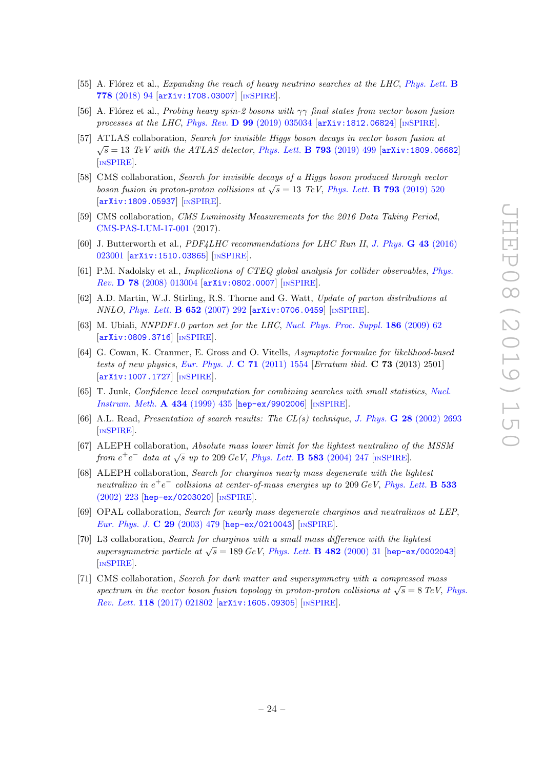- [55] A. Flórez et al., Expanding the reach of heavy neutrino searches at the LHC, [Phys. Lett.](https://doi.org/10.1016/j.physletb.2018.01.009) **B** 778 [\(2018\) 94](https://doi.org/10.1016/j.physletb.2018.01.009) [[arXiv:1708.03007](https://arxiv.org/abs/1708.03007)] [IN[SPIRE](https://inspirehep.net/search?p=find+EPRINT+arXiv:1708.03007)].
- [56] A. Flórez et al., Probing heavy spin-2 bosons with  $\gamma\gamma$  final states from vector boson fusion processes at the LHC, Phys. Rev. D 99 [\(2019\) 035034](https://doi.org/10.1103/PhysRevD.99.035034)  $arXiv:1812.06824$  [IN[SPIRE](https://inspirehep.net/search?p=find+EPRINT+arXiv:1812.06824)].
- [57] ATLAS collaboration, Search for invisible Higgs boson decays in vector boson fusion at  $\sqrt{s} = 13$  TeV with the ATLAS detector, [Phys. Lett.](https://doi.org/10.1016/j.physletb.2019.04.024) **B** 793 (2019) 499 [[arXiv:1809.06682](https://arxiv.org/abs/1809.06682)] [IN[SPIRE](https://inspirehep.net/search?p=find+EPRINT+arXiv:1809.06682)].
- <span id="page-24-0"></span>[58] CMS collaboration, *Search for invisible decays of a Higgs boson produced through vector* boson fusion in proton-proton collisions at  $\sqrt{s} = 13$  TeV, [Phys. Lett.](https://doi.org/10.1016/j.physletb.2019.04.025) **B 793** (2019) 520 [[arXiv:1809.05937](https://arxiv.org/abs/1809.05937)] [IN[SPIRE](https://inspirehep.net/search?p=find+EPRINT+arXiv:1809.05937)].
- <span id="page-24-1"></span>[59] CMS collaboration, CMS Luminosity Measurements for the 2016 Data Taking Period, [CMS-PAS-LUM-17-001](http://cds.cern.ch/record/2257069) (2017).
- <span id="page-24-2"></span>[60] J. Butterworth et al., PDF4LHC recommendations for LHC Run II, [J. Phys.](https://doi.org/10.1088/0954-3899/43/2/023001) G 43 (2016) [023001](https://doi.org/10.1088/0954-3899/43/2/023001) [[arXiv:1510.03865](https://arxiv.org/abs/1510.03865)] [IN[SPIRE](https://inspirehep.net/search?p=find+EPRINT+arXiv:1510.03865)].
- <span id="page-24-3"></span>[61] P.M. Nadolsky et al., Implications of CTEQ global analysis for collider observables, [Phys.](https://doi.org/10.1103/PhysRevD.78.013004) Rev. D 78 [\(2008\) 013004](https://doi.org/10.1103/PhysRevD.78.013004) [[arXiv:0802.0007](https://arxiv.org/abs/0802.0007)] [IN[SPIRE](https://inspirehep.net/search?p=find+EPRINT+arXiv:0802.0007)].
- [62] A.D. Martin, W.J. Stirling, R.S. Thorne and G. Watt, Update of parton distributions at NNLO, [Phys. Lett.](https://doi.org/10.1016/j.physletb.2007.07.040) B 652 (2007) 292 [[arXiv:0706.0459](https://arxiv.org/abs/0706.0459)] [IN[SPIRE](https://inspirehep.net/search?p=find+EPRINT+arXiv:0706.0459)].
- <span id="page-24-4"></span>[63] M. Ubiali, NNPDF1.0 parton set for the LHC, [Nucl. Phys. Proc. Suppl.](https://doi.org/10.1016/j.nuclphysBPS.2008.12.020) 186 (2009) 62 [[arXiv:0809.3716](https://arxiv.org/abs/0809.3716)] [IN[SPIRE](https://inspirehep.net/search?p=find+EPRINT+arXiv:0809.3716)].
- <span id="page-24-5"></span>[64] G. Cowan, K. Cranmer, E. Gross and O. Vitells, Asymptotic formulae for likelihood-based tests of new physics, [Eur. Phys. J.](https://doi.org/10.1140/epjc/s10052-011-1554-0) C  $71$  (2011) 1554 [Erratum ibid. C  $73$  (2013) 2501] [[arXiv:1007.1727](https://arxiv.org/abs/1007.1727)] [IN[SPIRE](https://inspirehep.net/search?p=find+EPRINT+arXiv:1007.1727)].
- [65] T. Junk, Confidence level computation for combining searches with small statistics, [Nucl.](https://doi.org/10.1016/S0168-9002(99)00498-2) [Instrum. Meth.](https://doi.org/10.1016/S0168-9002(99)00498-2) A 434 (1999) 435 [[hep-ex/9902006](https://arxiv.org/abs/hep-ex/9902006)] [IN[SPIRE](https://inspirehep.net/search?p=find+J+%22Nucl.Instrum.Meth.,A434,435%22)].
- <span id="page-24-6"></span>[66] A.L. Read, Presentation of search results: The CL(s) technique, J. Phys. **G 28** [\(2002\) 2693](https://doi.org/10.1088/0954-3899/28/10/313) [IN[SPIRE](https://inspirehep.net/search?p=find+J+%22J.Phys.,G28,2693%22)].
- <span id="page-24-7"></span>[67] ALEPH collaboration, Absolute mass lower limit for the lightest neutralino of the MSSM from  $e^+e^-$  data at  $\sqrt{s}$  up to 209 GeV, [Phys. Lett.](https://doi.org/10.1016/j.physletb.2003.12.066) **B** 583 (2004) 247 [IN[SPIRE](https://inspirehep.net/search?p=find+J+%22Phys.Lett.,B583,247%22)].
- [68] ALEPH collaboration, Search for charginos nearly mass degenerate with the lightest neutralino in  $e^+e^-$  collisions at center-of-mass energies up to 209 GeV, [Phys. Lett.](https://doi.org/10.1016/S0370-2693(02)01584-8) **B 533** [\(2002\) 223](https://doi.org/10.1016/S0370-2693(02)01584-8) [[hep-ex/0203020](https://arxiv.org/abs/hep-ex/0203020)] [IN[SPIRE](https://inspirehep.net/search?p=find+EPRINT+hep-ex/0203020)].
- [69] OPAL collaboration, Search for nearly mass degenerate charginos and neutralinos at LEP, [Eur. Phys. J.](https://doi.org/10.1140/epjc/s2003-01237-x) C 29 (2003) 479 [[hep-ex/0210043](https://arxiv.org/abs/hep-ex/0210043)] [IN[SPIRE](https://inspirehep.net/search?p=find+EPRINT+hep-ex/0210043)].
- <span id="page-24-8"></span>[70] L3 collaboration, Search for charginos with a small mass difference with the lightest  $s_0$  supersymmetric particle at  $\sqrt{s} = 189$  GeV, [Phys. Lett.](https://doi.org/10.1016/S0370-2693(00)00488-3) **B** 482 (2000) 31 [[hep-ex/0002043](https://arxiv.org/abs/hep-ex/0002043)] [IN[SPIRE](https://inspirehep.net/search?p=find+EPRINT+hep-ex/0002043)].
- <span id="page-24-9"></span>[71] CMS collaboration, Search for dark matter and supersymmetry with a compressed mass spectrum in the vector boson fusion topology in proton-proton collisions at  $\sqrt{s} = 8$  TeV, [Phys.](https://doi.org/10.1103/PhysRevLett.118.021802) Rev. Lett. 118 [\(2017\) 021802](https://doi.org/10.1103/PhysRevLett.118.021802) [[arXiv:1605.09305](https://arxiv.org/abs/1605.09305)] [IN[SPIRE](https://inspirehep.net/search?p=find+EPRINT+arXiv:1605.09305)].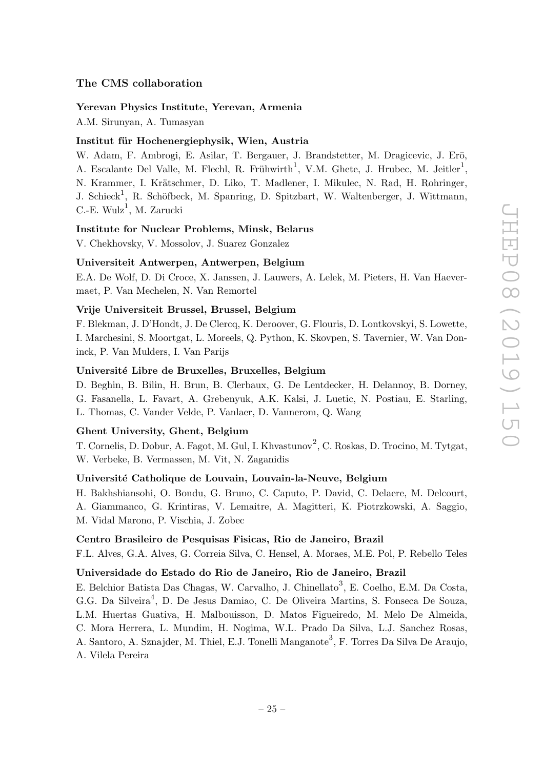# The CMS collaboration

## <span id="page-25-0"></span>Yerevan Physics Institute, Yerevan, Armenia

A.M. Sirunyan, A. Tumasyan

### Institut für Hochenergiephysik, Wien, Austria

W. Adam, F. Ambrogi, E. Asilar, T. Bergauer, J. Brandstetter, M. Dragicevic, J. Erö, A. Escalante Del Valle, M. Flechl, R. Frühwirth<sup>1</sup>, V.M. Ghete, J. Hrubec, M. Jeitler<sup>1</sup>, N. Krammer, I. Krätschmer, D. Liko, T. Madlener, I. Mikulec, N. Rad, H. Rohringer, J. Schieck<sup>1</sup>, R. Schöfbeck, M. Spanring, D. Spitzbart, W. Waltenberger, J. Wittmann, C.-E. Wulz<sup>1</sup>, M. Zarucki

# Institute for Nuclear Problems, Minsk, Belarus

V. Chekhovsky, V. Mossolov, J. Suarez Gonzalez

### Universiteit Antwerpen, Antwerpen, Belgium

E.A. De Wolf, D. Di Croce, X. Janssen, J. Lauwers, A. Lelek, M. Pieters, H. Van Haevermaet, P. Van Mechelen, N. Van Remortel

### Vrije Universiteit Brussel, Brussel, Belgium

F. Blekman, J. D'Hondt, J. De Clercq, K. Deroover, G. Flouris, D. Lontkovskyi, S. Lowette, I. Marchesini, S. Moortgat, L. Moreels, Q. Python, K. Skovpen, S. Tavernier, W. Van Doninck, P. Van Mulders, I. Van Parijs

### Universit´e Libre de Bruxelles, Bruxelles, Belgium

D. Beghin, B. Bilin, H. Brun, B. Clerbaux, G. De Lentdecker, H. Delannoy, B. Dorney, G. Fasanella, L. Favart, A. Grebenyuk, A.K. Kalsi, J. Luetic, N. Postiau, E. Starling, L. Thomas, C. Vander Velde, P. Vanlaer, D. Vannerom, Q. Wang

### Ghent University, Ghent, Belgium

T. Cornelis, D. Dobur, A. Fagot, M. Gul, I. Khvastunov<sup>2</sup>, C. Roskas, D. Trocino, M. Tytgat, W. Verbeke, B. Vermassen, M. Vit, N. Zaganidis

### Université Catholique de Louvain, Louvain-la-Neuve, Belgium

H. Bakhshiansohi, O. Bondu, G. Bruno, C. Caputo, P. David, C. Delaere, M. Delcourt, A. Giammanco, G. Krintiras, V. Lemaitre, A. Magitteri, K. Piotrzkowski, A. Saggio, M. Vidal Marono, P. Vischia, J. Zobec

# Centro Brasileiro de Pesquisas Fisicas, Rio de Janeiro, Brazil

F.L. Alves, G.A. Alves, G. Correia Silva, C. Hensel, A. Moraes, M.E. Pol, P. Rebello Teles

# Universidade do Estado do Rio de Janeiro, Rio de Janeiro, Brazil

E. Belchior Batista Das Chagas, W. Carvalho, J. Chinellato<sup>3</sup>, E. Coelho, E.M. Da Costa, G.G. Da Silveira<sup>4</sup>, D. De Jesus Damiao, C. De Oliveira Martins, S. Fonseca De Souza, L.M. Huertas Guativa, H. Malbouisson, D. Matos Figueiredo, M. Melo De Almeida, C. Mora Herrera, L. Mundim, H. Nogima, W.L. Prado Da Silva, L.J. Sanchez Rosas, A. Santoro, A. Sznajder, M. Thiel, E.J. Tonelli Manganote<sup>3</sup>, F. Torres Da Silva De Araujo, A. Vilela Pereira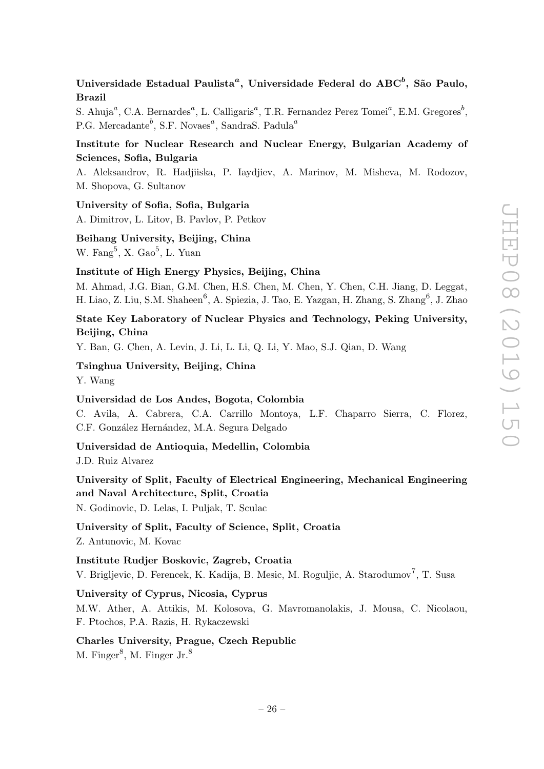# Universidade Estadual Paulista $^a,$  Universidade Federal do ABC $^b,$  São Paulo, Brazil

S. Ahuja<sup>a</sup>, C.A. Bernardes<sup>a</sup>, L. Calligaris<sup>a</sup>, T.R. Fernandez Perez Tomei<sup>a</sup>, E.M. Gregores<sup>b</sup>, P.G. Mercadante $^b$ , S.F. Novaes<sup>a</sup>, SandraS. Padula<sup>a</sup>

# Institute for Nuclear Research and Nuclear Energy, Bulgarian Academy of Sciences, Sofia, Bulgaria

A. Aleksandrov, R. Hadjiiska, P. Iaydjiev, A. Marinov, M. Misheva, M. Rodozov, M. Shopova, G. Sultanov

## University of Sofia, Sofia, Bulgaria

A. Dimitrov, L. Litov, B. Pavlov, P. Petkov

# Beihang University, Beijing, China W.  $\text{Fang}^5$ , X.  $\text{Gao}^5$ , L. Yuan

# Institute of High Energy Physics, Beijing, China

M. Ahmad, J.G. Bian, G.M. Chen, H.S. Chen, M. Chen, Y. Chen, C.H. Jiang, D. Leggat, H. Liao, Z. Liu, S.M. Shaheen<sup>6</sup>, A. Spiezia, J. Tao, E. Yazgan, H. Zhang, S. Zhang<sup>6</sup>, J. Zhao

# State Key Laboratory of Nuclear Physics and Technology, Peking University, Beijing, China

Y. Ban, G. Chen, A. Levin, J. Li, L. Li, Q. Li, Y. Mao, S.J. Qian, D. Wang

# Tsinghua University, Beijing, China

Y. Wang

### Universidad de Los Andes, Bogota, Colombia

C. Avila, A. Cabrera, C.A. Carrillo Montoya, L.F. Chaparro Sierra, C. Florez, C.F. González Hernández, M.A. Segura Delgado

### Universidad de Antioquia, Medellin, Colombia

J.D. Ruiz Alvarez

# University of Split, Faculty of Electrical Engineering, Mechanical Engineering and Naval Architecture, Split, Croatia

N. Godinovic, D. Lelas, I. Puljak, T. Sculac

### University of Split, Faculty of Science, Split, Croatia

Z. Antunovic, M. Kovac

### Institute Rudjer Boskovic, Zagreb, Croatia

V. Brigljevic, D. Ferencek, K. Kadija, B. Mesic, M. Roguljic, A. Starodumov<sup>7</sup>, T. Susa

## University of Cyprus, Nicosia, Cyprus

M.W. Ather, A. Attikis, M. Kolosova, G. Mavromanolakis, J. Mousa, C. Nicolaou, F. Ptochos, P.A. Razis, H. Rykaczewski

# Charles University, Prague, Czech Republic

M. Finger<sup>8</sup>, M. Finger Jr.<sup>8</sup>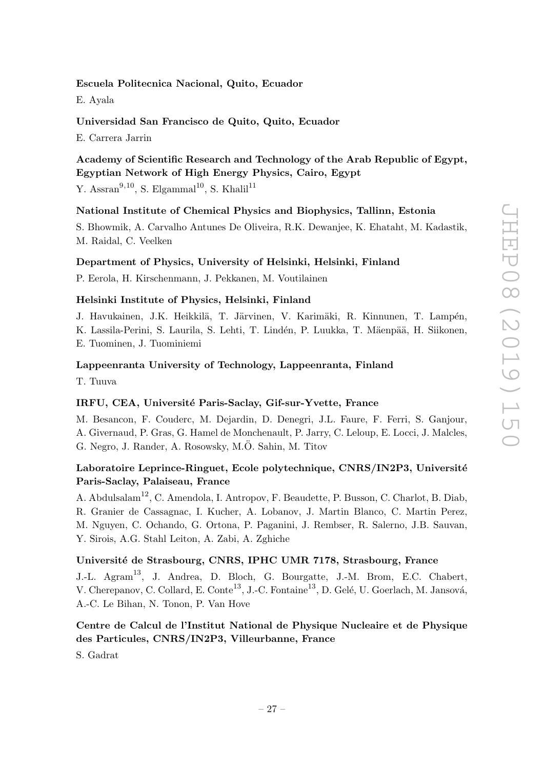## Escuela Politecnica Nacional, Quito, Ecuador

E. Ayala

## Universidad San Francisco de Quito, Quito, Ecuador

E. Carrera Jarrin

# Academy of Scientific Research and Technology of the Arab Republic of Egypt, Egyptian Network of High Energy Physics, Cairo, Egypt

Y. Assran<sup>9,10</sup>, S. Elgammal<sup>10</sup>, S. Khalil<sup>11</sup>

## National Institute of Chemical Physics and Biophysics, Tallinn, Estonia

S. Bhowmik, A. Carvalho Antunes De Oliveira, R.K. Dewanjee, K. Ehataht, M. Kadastik, M. Raidal, C. Veelken

## Department of Physics, University of Helsinki, Helsinki, Finland

P. Eerola, H. Kirschenmann, J. Pekkanen, M. Voutilainen

## Helsinki Institute of Physics, Helsinki, Finland

J. Havukainen, J.K. Heikkilä, T. Järvinen, V. Karimäki, R. Kinnunen, T. Lampén, K. Lassila-Perini, S. Laurila, S. Lehti, T. Lindén, P. Luukka, T. Mäenpää, H. Siikonen, E. Tuominen, J. Tuominiemi

## Lappeenranta University of Technology, Lappeenranta, Finland

T. Tuuva

## IRFU, CEA, Université Paris-Saclay, Gif-sur-Yvette, France

M. Besancon, F. Couderc, M. Dejardin, D. Denegri, J.L. Faure, F. Ferri, S. Ganjour, A. Givernaud, P. Gras, G. Hamel de Monchenault, P. Jarry, C. Leloup, E. Locci, J. Malcles, G. Negro, J. Rander, A. Rosowsky, M.Ö. Sahin, M. Titov

# Laboratoire Leprince-Ringuet, Ecole polytechnique, CNRS/IN2P3, Université Paris-Saclay, Palaiseau, France

A. Abdulsalam12, C. Amendola, I. Antropov, F. Beaudette, P. Busson, C. Charlot, B. Diab, R. Granier de Cassagnac, I. Kucher, A. Lobanov, J. Martin Blanco, C. Martin Perez, M. Nguyen, C. Ochando, G. Ortona, P. Paganini, J. Rembser, R. Salerno, J.B. Sauvan, Y. Sirois, A.G. Stahl Leiton, A. Zabi, A. Zghiche

### Universit´e de Strasbourg, CNRS, IPHC UMR 7178, Strasbourg, France

J.-L. Agram<sup>13</sup>, J. Andrea, D. Bloch, G. Bourgatte, J.-M. Brom, E.C. Chabert, V. Cherepanov, C. Collard, E. Conte<sup>13</sup>, J.-C. Fontaine<sup>13</sup>, D. Gelé, U. Goerlach, M. Jansová, A.-C. Le Bihan, N. Tonon, P. Van Hove

# Centre de Calcul de l'Institut National de Physique Nucleaire et de Physique des Particules, CNRS/IN2P3, Villeurbanne, France

S. Gadrat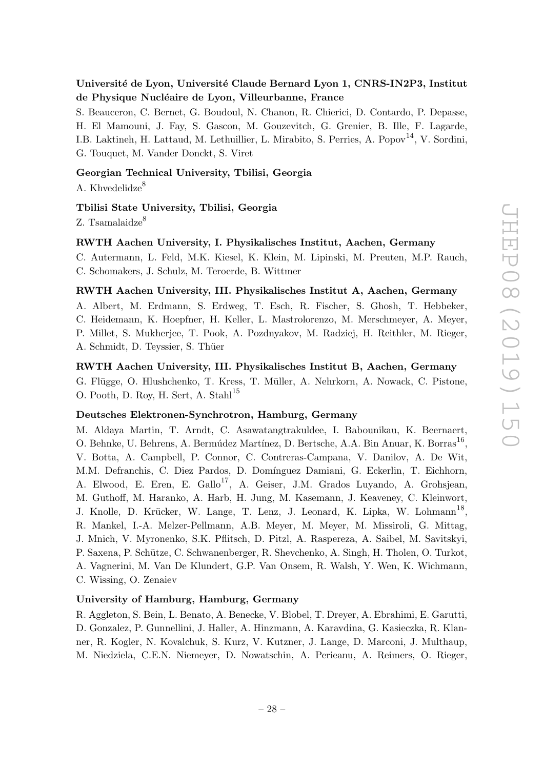# Université de Lyon, Université Claude Bernard Lyon 1, CNRS-IN2P3, Institut de Physique Nucléaire de Lyon, Villeurbanne, France

S. Beauceron, C. Bernet, G. Boudoul, N. Chanon, R. Chierici, D. Contardo, P. Depasse, H. El Mamouni, J. Fay, S. Gascon, M. Gouzevitch, G. Grenier, B. Ille, F. Lagarde, I.B. Laktineh, H. Lattaud, M. Lethuillier, L. Mirabito, S. Perries, A. Popov<sup>14</sup>, V. Sordini, G. Touquet, M. Vander Donckt, S. Viret

# Georgian Technical University, Tbilisi, Georgia

A. Khvedelidze<sup>8</sup>

# Tbilisi State University, Tbilisi, Georgia

Z. Tsamalaidze<sup>8</sup>

## RWTH Aachen University, I. Physikalisches Institut, Aachen, Germany

C. Autermann, L. Feld, M.K. Kiesel, K. Klein, M. Lipinski, M. Preuten, M.P. Rauch, C. Schomakers, J. Schulz, M. Teroerde, B. Wittmer

### RWTH Aachen University, III. Physikalisches Institut A, Aachen, Germany

A. Albert, M. Erdmann, S. Erdweg, T. Esch, R. Fischer, S. Ghosh, T. Hebbeker, C. Heidemann, K. Hoepfner, H. Keller, L. Mastrolorenzo, M. Merschmeyer, A. Meyer, P. Millet, S. Mukherjee, T. Pook, A. Pozdnyakov, M. Radziej, H. Reithler, M. Rieger, A. Schmidt, D. Teyssier, S. Thüer

## RWTH Aachen University, III. Physikalisches Institut B, Aachen, Germany

G. Flügge, O. Hlushchenko, T. Kress, T. Müller, A. Nehrkorn, A. Nowack, C. Pistone, O. Pooth, D. Roy, H. Sert, A. Stahl<sup>15</sup>

## Deutsches Elektronen-Synchrotron, Hamburg, Germany

M. Aldaya Martin, T. Arndt, C. Asawatangtrakuldee, I. Babounikau, K. Beernaert, O. Behnke, U. Behrens, A. Bermúdez Martínez, D. Bertsche, A.A. Bin Anuar, K. Borras<sup>16</sup>, V. Botta, A. Campbell, P. Connor, C. Contreras-Campana, V. Danilov, A. De Wit, M.M. Defranchis, C. Diez Pardos, D. Domínguez Damiani, G. Eckerlin, T. Eichhorn, A. Elwood, E. Eren, E. Gallo<sup>17</sup>, A. Geiser, J.M. Grados Luyando, A. Grohsjean, M. Guthoff, M. Haranko, A. Harb, H. Jung, M. Kasemann, J. Keaveney, C. Kleinwort, J. Knolle, D. Krücker, W. Lange, T. Lenz, J. Leonard, K. Lipka, W. Lohmann<sup>18</sup>, R. Mankel, I.-A. Melzer-Pellmann, A.B. Meyer, M. Meyer, M. Missiroli, G. Mittag, J. Mnich, V. Myronenko, S.K. Pflitsch, D. Pitzl, A. Raspereza, A. Saibel, M. Savitskyi, P. Saxena, P. Schütze, C. Schwanenberger, R. Shevchenko, A. Singh, H. Tholen, O. Turkot, A. Vagnerini, M. Van De Klundert, G.P. Van Onsem, R. Walsh, Y. Wen, K. Wichmann, C. Wissing, O. Zenaiev

## University of Hamburg, Hamburg, Germany

R. Aggleton, S. Bein, L. Benato, A. Benecke, V. Blobel, T. Dreyer, A. Ebrahimi, E. Garutti, D. Gonzalez, P. Gunnellini, J. Haller, A. Hinzmann, A. Karavdina, G. Kasieczka, R. Klanner, R. Kogler, N. Kovalchuk, S. Kurz, V. Kutzner, J. Lange, D. Marconi, J. Multhaup, M. Niedziela, C.E.N. Niemeyer, D. Nowatschin, A. Perieanu, A. Reimers, O. Rieger,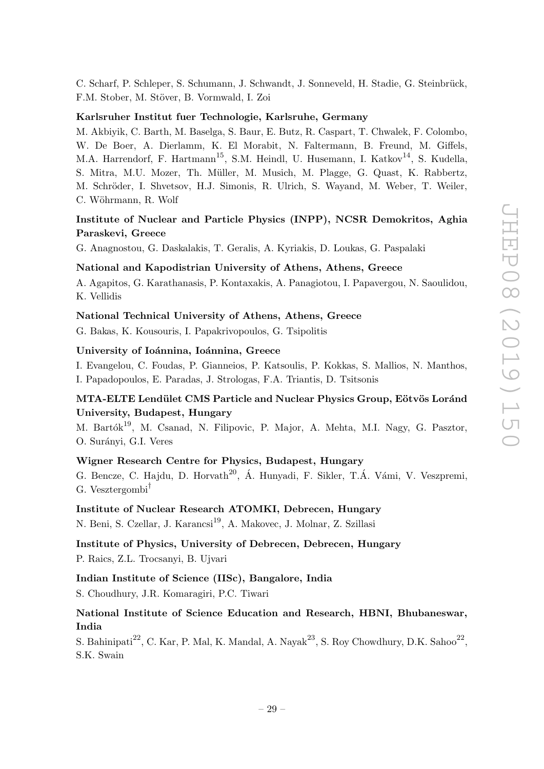C. Scharf, P. Schleper, S. Schumann, J. Schwandt, J. Sonneveld, H. Stadie, G. Steinbrück, F.M. Stober, M. Stöver, B. Vormwald, I. Zoi

## Karlsruher Institut fuer Technologie, Karlsruhe, Germany

M. Akbiyik, C. Barth, M. Baselga, S. Baur, E. Butz, R. Caspart, T. Chwalek, F. Colombo, W. De Boer, A. Dierlamm, K. El Morabit, N. Faltermann, B. Freund, M. Giffels, M.A. Harrendorf, F. Hartmann<sup>15</sup>, S.M. Heindl, U. Husemann, I. Katkov<sup>14</sup>, S. Kudella, S. Mitra, M.U. Mozer, Th. Müller, M. Musich, M. Plagge, G. Quast, K. Rabbertz, M. Schröder, I. Shvetsov, H.J. Simonis, R. Ulrich, S. Wayand, M. Weber, T. Weiler, C. Wöhrmann, R. Wolf

# Institute of Nuclear and Particle Physics (INPP), NCSR Demokritos, Aghia Paraskevi, Greece

G. Anagnostou, G. Daskalakis, T. Geralis, A. Kyriakis, D. Loukas, G. Paspalaki

## National and Kapodistrian University of Athens, Athens, Greece

A. Agapitos, G. Karathanasis, P. Kontaxakis, A. Panagiotou, I. Papavergou, N. Saoulidou, K. Vellidis

# National Technical University of Athens, Athens, Greece

G. Bakas, K. Kousouris, I. Papakrivopoulos, G. Tsipolitis

### University of Ioánnina, Ioánnina, Greece

I. Evangelou, C. Foudas, P. Gianneios, P. Katsoulis, P. Kokkas, S. Mallios, N. Manthos,

I. Papadopoulos, E. Paradas, J. Strologas, F.A. Triantis, D. Tsitsonis

# MTA-ELTE Lendület CMS Particle and Nuclear Physics Group, Eötvös Loránd University, Budapest, Hungary

M. Bartók<sup>19</sup>, M. Csanad, N. Filipovic, P. Major, A. Mehta, M.I. Nagy, G. Pasztor, O. Surányi, G.I. Veres

### Wigner Research Centre for Physics, Budapest, Hungary

G. Bencze, C. Hajdu, D. Horvath<sup>20</sup>, Á. Hunyadi, F. Sikler, T.Á. Vámi, V. Veszpremi, G. Vesztergombi†

# Institute of Nuclear Research ATOMKI, Debrecen, Hungary

N. Beni, S. Czellar, J. Karancsi<sup>19</sup>, A. Makovec, J. Molnar, Z. Szillasi

# Institute of Physics, University of Debrecen, Debrecen, Hungary

P. Raics, Z.L. Trocsanyi, B. Ujvari

# Indian Institute of Science (IISc), Bangalore, India

S. Choudhury, J.R. Komaragiri, P.C. Tiwari

# National Institute of Science Education and Research, HBNI, Bhubaneswar, India

S. Bahinipati<sup>22</sup>, C. Kar, P. Mal, K. Mandal, A. Nayak<sup>23</sup>, S. Roy Chowdhury, D.K. Sahoo<sup>22</sup>, S.K. Swain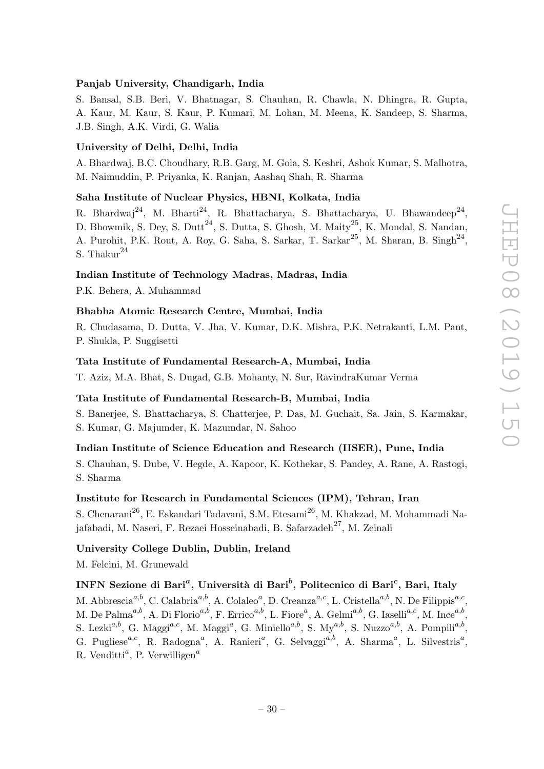## Panjab University, Chandigarh, India

S. Bansal, S.B. Beri, V. Bhatnagar, S. Chauhan, R. Chawla, N. Dhingra, R. Gupta, A. Kaur, M. Kaur, S. Kaur, P. Kumari, M. Lohan, M. Meena, K. Sandeep, S. Sharma, J.B. Singh, A.K. Virdi, G. Walia

### University of Delhi, Delhi, India

A. Bhardwaj, B.C. Choudhary, R.B. Garg, M. Gola, S. Keshri, Ashok Kumar, S. Malhotra, M. Naimuddin, P. Priyanka, K. Ranjan, Aashaq Shah, R. Sharma

## Saha Institute of Nuclear Physics, HBNI, Kolkata, India

R. Bhardwaj<sup>24</sup>, M. Bharti<sup>24</sup>, R. Bhattacharya, S. Bhattacharya, U. Bhawandeep<sup>24</sup>, D. Bhowmik, S. Dey, S. Dutt<sup>24</sup>, S. Dutta, S. Ghosh, M. Maity<sup>25</sup>, K. Mondal, S. Nandan, A. Purohit, P.K. Rout, A. Roy, G. Saha, S. Sarkar, T. Sarkar<sup>25</sup>, M. Sharan, B. Singh<sup>24</sup>, S. Thakur $^{24}$ 

## Indian Institute of Technology Madras, Madras, India

P.K. Behera, A. Muhammad

### Bhabha Atomic Research Centre, Mumbai, India

R. Chudasama, D. Dutta, V. Jha, V. Kumar, D.K. Mishra, P.K. Netrakanti, L.M. Pant, P. Shukla, P. Suggisetti

### Tata Institute of Fundamental Research-A, Mumbai, India

T. Aziz, M.A. Bhat, S. Dugad, G.B. Mohanty, N. Sur, RavindraKumar Verma

## Tata Institute of Fundamental Research-B, Mumbai, India

S. Banerjee, S. Bhattacharya, S. Chatterjee, P. Das, M. Guchait, Sa. Jain, S. Karmakar, S. Kumar, G. Majumder, K. Mazumdar, N. Sahoo

## Indian Institute of Science Education and Research (IISER), Pune, India

S. Chauhan, S. Dube, V. Hegde, A. Kapoor, K. Kothekar, S. Pandey, A. Rane, A. Rastogi, S. Sharma

## Institute for Research in Fundamental Sciences (IPM), Tehran, Iran

S. Chenarani<sup>26</sup>, E. Eskandari Tadavani, S.M. Etesami<sup>26</sup>, M. Khakzad, M. Mohammadi Najafabadi, M. Naseri, F. Rezaei Hosseinabadi, B. Safarzadeh<sup>27</sup>, M. Zeinali

## University College Dublin, Dublin, Ireland

M. Felcini, M. Grunewald

# INFN Sezione di Bari $^a$ , Università di Bari $^b$ , Politecnico di Bari $^c$ , Bari, Italy

M. Abbrescia<sup>a,b</sup>, C. Calabria<sup>a,b</sup>, A. Colaleo<sup>a</sup>, D. Creanza<sup>a,c</sup>, L. Cristella<sup>a,b</sup>, N. De Filippis<sup>a,c</sup>, M. De Palma<sup>a,b</sup>, A. Di Florio<sup>a,b</sup>, F. Errico<sup>a,b</sup>, L. Fiore<sup>a</sup>, A. Gelmi<sup>a,b</sup>, G. Iaselli<sup>a,c</sup>, M. Ince<sup>a,b</sup>, S. Lezki<sup>a,b</sup>, G. Maggi<sup>a,c</sup>, M. Maggi<sup>a</sup>, G. Miniello<sup>a,b</sup>, S. My<sup>a,b</sup>, S. Nuzzo<sup>a,b</sup>, A. Pompili<sup>a,b</sup>, G. Pugliese<sup>a,c</sup>, R. Radogna<sup>a</sup>, A. Ranieri<sup>a</sup>, G. Selvaggi<sup>a,b</sup>, A. Sharma<sup>a</sup>, L. Silvestris<sup>a</sup>, R. Venditti<sup>a</sup>, P. Verwilligen<sup>a</sup>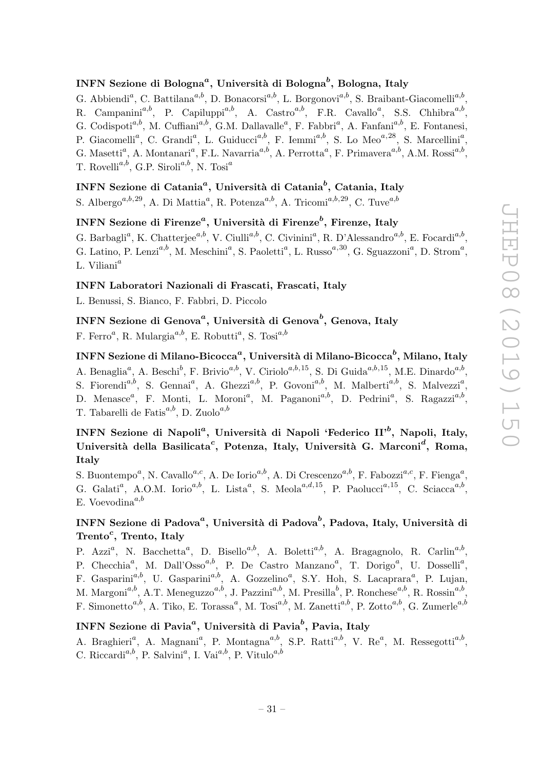# INFN Sezione di Bologna $^a,$  Università di Bologna $^b,$  Bologna, Italy

G. Abbiendi<sup>a</sup>, C. Battilana<sup>a,b</sup>, D. Bonacorsi<sup>a,b</sup>, L. Borgonovi<sup>a,b</sup>, S. Braibant-Giacomelli<sup>a,b</sup>, R. Campanini<sup>a,b</sup>, P. Capiluppi<sup>a,b</sup>, A. Castro<sup>a,b</sup>, F.R. Cavallo<sup>a</sup>, S.S. Chhibra<sup>a,b</sup>, G. Codispoti<sup>a,b</sup>, M. Cuffiani<sup>a,b</sup>, G.M. Dallavalle<sup>a</sup>, F. Fabbri<sup>a</sup>, A. Fanfani<sup>a,b</sup>, E. Fontanesi, P. Giacomelli<sup>a</sup>, C. Grandi<sup>a</sup>, L. Guiducci<sup>a,b</sup>, F. Iemmi<sup>a,b</sup>, S. Lo Meo<sup>a,28</sup>, S. Marcellini<sup>a</sup>, G. Masetti<sup>a</sup>, A. Montanari<sup>a</sup>, F.L. Navarria<sup>a,b</sup>, A. Perrotta<sup>a</sup>, F. Primavera<sup>a,b</sup>, A.M. Rossi<sup>a,b</sup>, T. Rovelli<sup>a,b</sup>, G.P. Siroli<sup>a,b</sup>, N. Tosi<sup>a</sup>

# INFN Sezione di Catania $^a,$  Università di Catania $^b,$  Catania, Italy

S. Albergo<sup>a,b,29</sup>, A. Di Mattia<sup>a</sup>, R. Potenza<sup>a,b</sup>, A. Tricomi<sup>a,b,29</sup>, C. Tuve<sup>a,b</sup>

# INFN Sezione di Firenze $^a,$  Università di Firenze $^b,$  Firenze, Italy

G. Barbagli<sup>a</sup>, K. Chatterjee<sup>a,b</sup>, V. Ciulli<sup>a,b</sup>, C. Civinini<sup>a</sup>, R. D'Alessandro<sup>a,b</sup>, E. Focardi<sup>a,b</sup>, G. Latino, P. Lenzi<sup>a,b</sup>, M. Meschini<sup>a</sup>, S. Paoletti<sup>a</sup>, L. Russo<sup>a, 30</sup>, G. Sguazzoni<sup>a</sup>, D. Strom<sup>a</sup>, L. Viliani $^a$ 

# INFN Laboratori Nazionali di Frascati, Frascati, Italy

L. Benussi, S. Bianco, F. Fabbri, D. Piccolo

# INFN Sezione di Genova $^a,$  Università di Genova $^b,$  Genova, Italy

F. Ferro<sup>a</sup>, R. Mulargia<sup>a,b</sup>, E. Robutti<sup>a</sup>, S. Tosi<sup>a,b</sup>

# INFN Sezione di Milano-Bicocca $^a,$  Università di Milano-Bicocca $^b,$  Milano, Italy

A. Benaglia<sup>a</sup>, A. Beschi<sup>b</sup>, F. Brivio<sup>a,b</sup>, V. Ciriolo<sup>a,b,15</sup>, S. Di Guida<sup>a,b,15</sup>, M.E. Dinardo<sup>a,b</sup>, S. Fiorendi<sup>a,b</sup>, S. Gennai<sup>a</sup>, A. Ghezzi<sup>a,b</sup>, P. Govoni<sup>a,b</sup>, M. Malberti<sup>a,b</sup>, S. Malvezzi<sup>a</sup>, D. Menasce<sup>a</sup>, F. Monti, L. Moroni<sup>a</sup>, M. Paganoni<sup>a,b</sup>, D. Pedrini<sup>a</sup>, S. Ragazzi<sup>a,b</sup>, T. Tabarelli de Fatis $a,b$ , D. Zuolo $a,b$ 

# INFN Sezione di Napoli $^a$ , Università di Napoli 'Federico II' $^b$ , Napoli, Italy, Università della Basilicata $^c$ , Potenza, Italy, Università G. Marconi $^d$ , Roma, Italy

S. Buontempo<sup>a</sup>, N. Cavallo<sup>a,c</sup>, A. De Iorio<sup>a,b</sup>, A. Di Crescenzo<sup>a,b</sup>, F. Fabozzi<sup>a,c</sup>, F. Fienga<sup>a</sup>, G. Galati<sup>a</sup>, A.O.M. Iorio<sup>a,b</sup>, L. Lista<sup>a</sup>, S. Meola<sup>a,d,15</sup>, P. Paolucci<sup>a,15</sup>, C. Sciacca<sup>a,b</sup>, E. Voevodina $a,b$ 

# INFN Sezione di Padova $^a,$  Università di Padova $^b,$  Padova, Italy, Università di  $\operatorname{Trento}^c, \operatorname{Trento}, \operatorname{Italy}$

P. Azzi<sup>a</sup>, N. Bacchetta<sup>a</sup>, D. Bisello<sup>a,b</sup>, A. Boletti<sup>a,b</sup>, A. Bragagnolo, R. Carlin<sup>a,b</sup>, P. Checchia<sup>a</sup>, M. Dall'Osso<sup>a,b</sup>, P. De Castro Manzano<sup>a</sup>, T. Dorigo<sup>a</sup>, U. Dosselli<sup>a</sup>, F. Gasparini<sup>a,b</sup>, U. Gasparini<sup>a,b</sup>, A. Gozzelino<sup>a</sup>, S.Y. Hoh, S. Lacaprara<sup>a</sup>, P. Lujan, M. Margoni<sup>a,b</sup>, A.T. Meneguzzo<sup>a,b</sup>, J. Pazzini<sup>a,b</sup>, M. Presilla<sup>b</sup>, P. Ronchese<sup>a,b</sup>, R. Rossin<sup>a,b</sup>, F. Simonetto<sup>a,b</sup>, A. Tiko, E. Torassa<sup>a</sup>, M. Tosi<sup>a,b</sup>, M. Zanetti<sup>a,b</sup>, P. Zotto<sup>a,b</sup>, G. Zumerle<sup>a,b</sup>

# INFN Sezione di Pavia $^a,$  Università di Pavia $^b,$  Pavia, Italy

A. Braghieri<sup>a</sup>, A. Magnani<sup>a</sup>, P. Montagna<sup>a,b</sup>, S.P. Ratti<sup>a,b</sup>, V. Re<sup>a</sup>, M. Ressegotti<sup>a,b</sup>, C. Riccardi<sup>a,b</sup>, P. Salvini<sup>a</sup>, I. Vai<sup>a,b</sup>, P. Vitulo<sup>a,b</sup>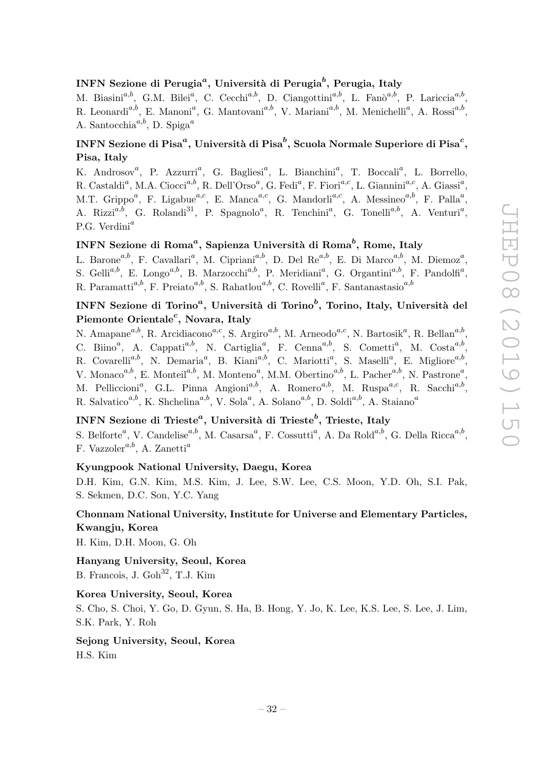# INFN Sezione di Perugia $^a,$  Università di Perugia $^b,$  Perugia, Italy

M. Biasini<sup>a,b</sup>, G.M. Bilei<sup>a</sup>, C. Cecchi<sup>a,b</sup>, D. Ciangottini<sup>a,b</sup>, L. Fanò<sup>a,b</sup>, P. Lariccia<sup>a,b</sup>, R. Leonardi<sup>a,b</sup>, E. Manoni<sup>a</sup>, G. Mantovani<sup>a,b</sup>, V. Mariani<sup>a,b</sup>, M. Menichelli<sup>a</sup>, A. Rossi<sup>a,b</sup>, A. Santocchia<sup>a,b</sup>, D. Spiga<sup>a</sup>

# INFN Sezione di Pisa $^a,$  Università di Pisa $^b,$  Scuola Normale Superiore di Pisa $^c,$ Pisa, Italy

K. Androsov<sup>a</sup>, P. Azzurri<sup>a</sup>, G. Bagliesi<sup>a</sup>, L. Bianchini<sup>a</sup>, T. Boccali<sup>a</sup>, L. Borrello, R. Castaldi<sup>a</sup>, M.A. Ciocci<sup>a,b</sup>, R. Dell'Orso<sup>a</sup>, G. Fedi<sup>a</sup>, F. Fiori<sup>a,c</sup>, L. Giannini<sup>a,c</sup>, A. Giassi<sup>a</sup>, M.T. Grippo<sup>a</sup>, F. Ligabue<sup>a,c</sup>, E. Manca<sup>a,c</sup>, G. Mandorli<sup>a,c</sup>, A. Messineo<sup>a,b</sup>, F. Palla<sup>a</sup>, A. Rizzi<sup>a,b</sup>, G. Rolandi<sup>31</sup>, P. Spagnolo<sup>a</sup>, R. Tenchini<sup>a</sup>, G. Tonelli<sup>a,b</sup>, A. Venturi<sup>a</sup>, P.G. Verdini $^a$ 

# INFN Sezione di Roma $^a,$  Sapienza Università di Roma $^b,$  Rome, Italy

L. Barone<sup>a,b</sup>, F. Cavallari<sup>a</sup>, M. Cipriani<sup>a,b</sup>, D. Del Re<sup>a,b</sup>, E. Di Marco<sup>a,b</sup>, M. Diemoz<sup>a</sup>, S. Gelli<sup>a,b</sup>, E. Longo<sup>a,b</sup>, B. Marzocchi<sup>a,b</sup>, P. Meridiani<sup>a</sup>, G. Organtini<sup>a,b</sup>, F. Pandolfi<sup>a</sup>, R. Paramatti<sup>a,b</sup>, F. Preiato<sup>a,b</sup>, S. Rahatlou<sup>a,b</sup>, C. Rovelli<sup>a</sup>, F. Santanastasio<sup>a,b</sup>

# INFN Sezione di Torino $^a,$  Università di Torino $^b,$  Torino, Italy, Università del Piemonte Orientale $^c$ , Novara, Italy

N. Amapane<sup>a,b</sup>, R. Arcidiacono<sup>a,c</sup>, S. Argiro<sup>a,b</sup>, M. Arneodo<sup>a,c</sup>, N. Bartosik<sup>a</sup>, R. Bellan<sup>a,b</sup>, C. Biino<sup>a</sup>, A. Cappati<sup>a,b</sup>, N. Cartiglia<sup>a</sup>, F. Cenna<sup>a,b</sup>, S. Cometti<sup>a</sup>, M. Costa<sup>a,b</sup>, R. Covarelli<sup>a,b</sup>, N. Demaria<sup>a</sup>, B. Kiani<sup>a,b</sup>, C. Mariotti<sup>a</sup>, S. Maselli<sup>a</sup>, E. Migliore<sup>a,b</sup>, V. Monaco<sup>a,b</sup>, E. Monteil<sup>a,b</sup>, M. Monteno<sup>a</sup>, M.M. Obertino<sup>a,b</sup>, L. Pacher<sup>a,b</sup>, N. Pastrone<sup>a</sup>, M. Pelliccioni<sup>a</sup>, G.L. Pinna Angioni<sup>a,b</sup>, A. Romero<sup>a,b</sup>, M. Ruspa<sup>a,c</sup>, R. Sacchi<sup>a,b</sup>, R. Salvatico<sup>a,b</sup>, K. Shchelina<sup>a,b</sup>, V. Sola<sup>a</sup>, A. Solano<sup>a,b</sup>, D. Soldi<sup>a,b</sup>, A. Staiano<sup>a</sup>

# INFN Sezione di Trieste $^a,$  Università di Trieste $^b,$  Trieste, Italy

S. Belforte<sup>a</sup>, V. Candelise<sup>a,b</sup>, M. Casarsa<sup>a</sup>, F. Cossutti<sup>a</sup>, A. Da Rold<sup>a,b</sup>, G. Della Ricca<sup>a,b</sup>, F. Vazzoler<sup>a,b</sup>, A. Zanetti<sup>a</sup>

# Kyungpook National University, Daegu, Korea

D.H. Kim, G.N. Kim, M.S. Kim, J. Lee, S.W. Lee, C.S. Moon, Y.D. Oh, S.I. Pak, S. Sekmen, D.C. Son, Y.C. Yang

# Chonnam National University, Institute for Universe and Elementary Particles, Kwangju, Korea

H. Kim, D.H. Moon, G. Oh

Hanyang University, Seoul, Korea B. Francois, J.  $\text{Goh}^{32}$ , T.J. Kim

# Korea University, Seoul, Korea

S. Cho, S. Choi, Y. Go, D. Gyun, S. Ha, B. Hong, Y. Jo, K. Lee, K.S. Lee, S. Lee, J. Lim, S.K. Park, Y. Roh

Sejong University, Seoul, Korea H.S. Kim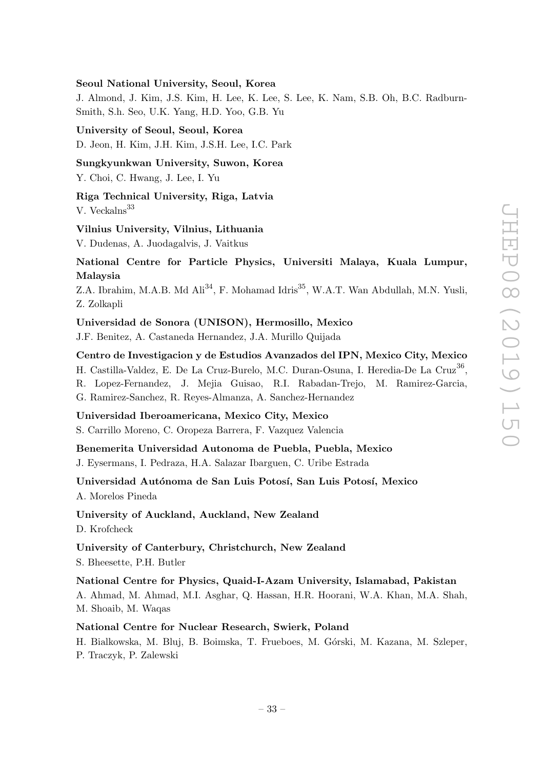### Seoul National University, Seoul, Korea

J. Almond, J. Kim, J.S. Kim, H. Lee, K. Lee, S. Lee, K. Nam, S.B. Oh, B.C. Radburn-Smith, S.h. Seo, U.K. Yang, H.D. Yoo, G.B. Yu

### University of Seoul, Seoul, Korea

D. Jeon, H. Kim, J.H. Kim, J.S.H. Lee, I.C. Park

### Sungkyunkwan University, Suwon, Korea

Y. Choi, C. Hwang, J. Lee, I. Yu

Riga Technical University, Riga, Latvia V. Veckalns<sup>33</sup>

### Vilnius University, Vilnius, Lithuania

V. Dudenas, A. Juodagalvis, J. Vaitkus

# National Centre for Particle Physics, Universiti Malaya, Kuala Lumpur, Malaysia

Z.A. Ibrahim, M.A.B. Md Ali<sup>34</sup>, F. Mohamad Idris<sup>35</sup>, W.A.T. Wan Abdullah, M.N. Yusli, Z. Zolkapli

### Universidad de Sonora (UNISON), Hermosillo, Mexico

J.F. Benitez, A. Castaneda Hernandez, J.A. Murillo Quijada

# Centro de Investigacion y de Estudios Avanzados del IPN, Mexico City, Mexico

H. Castilla-Valdez, E. De La Cruz-Burelo, M.C. Duran-Osuna, I. Heredia-De La Cruz<sup>36</sup>, R. Lopez-Fernandez, J. Mejia Guisao, R.I. Rabadan-Trejo, M. Ramirez-Garcia,

G. Ramirez-Sanchez, R. Reyes-Almanza, A. Sanchez-Hernandez

### Universidad Iberoamericana, Mexico City, Mexico

S. Carrillo Moreno, C. Oropeza Barrera, F. Vazquez Valencia

### Benemerita Universidad Autonoma de Puebla, Puebla, Mexico

J. Eysermans, I. Pedraza, H.A. Salazar Ibarguen, C. Uribe Estrada

### Universidad Autónoma de San Luis Potosí, San Luis Potosí, Mexico

A. Morelos Pineda

### University of Auckland, Auckland, New Zealand

D. Krofcheck

# University of Canterbury, Christchurch, New Zealand

S. Bheesette, P.H. Butler

### National Centre for Physics, Quaid-I-Azam University, Islamabad, Pakistan

A. Ahmad, M. Ahmad, M.I. Asghar, Q. Hassan, H.R. Hoorani, W.A. Khan, M.A. Shah, M. Shoaib, M. Waqas

### National Centre for Nuclear Research, Swierk, Poland

H. Bialkowska, M. Bluj, B. Boimska, T. Frueboes, M. G´orski, M. Kazana, M. Szleper, P. Traczyk, P. Zalewski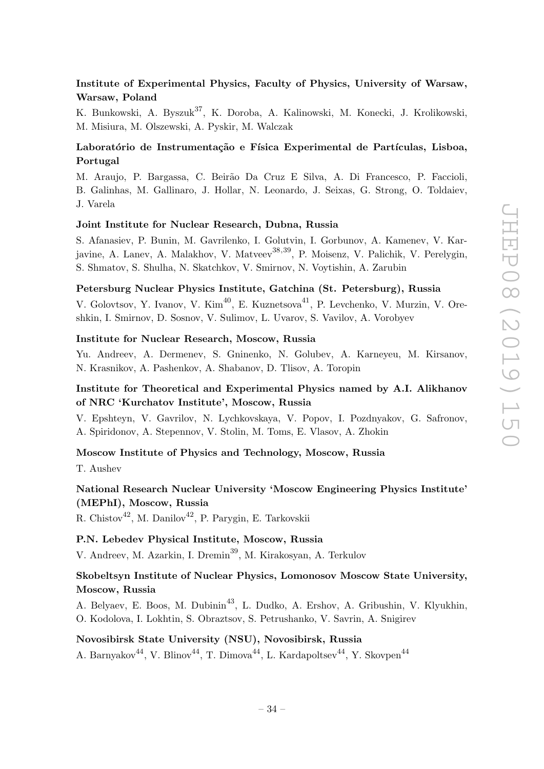# Institute of Experimental Physics, Faculty of Physics, University of Warsaw, Warsaw, Poland

K. Bunkowski, A. Byszuk<sup>37</sup>, K. Doroba, A. Kalinowski, M. Konecki, J. Krolikowski, M. Misiura, M. Olszewski, A. Pyskir, M. Walczak

# Laboratório de Instrumentação e Física Experimental de Partículas, Lisboa, Portugal

M. Araujo, P. Bargassa, C. Beirão Da Cruz E Silva, A. Di Francesco, P. Faccioli, B. Galinhas, M. Gallinaro, J. Hollar, N. Leonardo, J. Seixas, G. Strong, O. Toldaiev, J. Varela

# Joint Institute for Nuclear Research, Dubna, Russia

S. Afanasiev, P. Bunin, M. Gavrilenko, I. Golutvin, I. Gorbunov, A. Kamenev, V. Karjavine, A. Lanev, A. Malakhov, V. Matveev<sup>38,39</sup>, P. Moisenz, V. Palichik, V. Perelygin, S. Shmatov, S. Shulha, N. Skatchkov, V. Smirnov, N. Voytishin, A. Zarubin

# Petersburg Nuclear Physics Institute, Gatchina (St. Petersburg), Russia

V. Golovtsov, Y. Ivanov, V. Kim<sup>40</sup>, E. Kuznetsova<sup>41</sup>, P. Levchenko, V. Murzin, V. Oreshkin, I. Smirnov, D. Sosnov, V. Sulimov, L. Uvarov, S. Vavilov, A. Vorobyev

## Institute for Nuclear Research, Moscow, Russia

Yu. Andreev, A. Dermenev, S. Gninenko, N. Golubev, A. Karneyeu, M. Kirsanov, N. Krasnikov, A. Pashenkov, A. Shabanov, D. Tlisov, A. Toropin

# Institute for Theoretical and Experimental Physics named by A.I. Alikhanov of NRC 'Kurchatov Institute', Moscow, Russia

V. Epshteyn, V. Gavrilov, N. Lychkovskaya, V. Popov, I. Pozdnyakov, G. Safronov, A. Spiridonov, A. Stepennov, V. Stolin, M. Toms, E. Vlasov, A. Zhokin

## Moscow Institute of Physics and Technology, Moscow, Russia

T. Aushev

# National Research Nuclear University 'Moscow Engineering Physics Institute' (MEPhI), Moscow, Russia

R. Chistov<sup>42</sup>, M. Danilov<sup>42</sup>, P. Parygin, E. Tarkovskii

# P.N. Lebedev Physical Institute, Moscow, Russia

V. Andreev, M. Azarkin, I. Dremin<sup>39</sup>, M. Kirakosyan, A. Terkulov

# Skobeltsyn Institute of Nuclear Physics, Lomonosov Moscow State University, Moscow, Russia

A. Belyaev, E. Boos, M. Dubinin<sup>43</sup>, L. Dudko, A. Ershov, A. Gribushin, V. Klyukhin, O. Kodolova, I. Lokhtin, S. Obraztsov, S. Petrushanko, V. Savrin, A. Snigirev

# Novosibirsk State University (NSU), Novosibirsk, Russia

A. Barnyakov<sup>44</sup>, V. Blinov<sup>44</sup>, T. Dimova<sup>44</sup>, L. Kardapoltsev<sup>44</sup>, Y. Skovpen<sup>44</sup>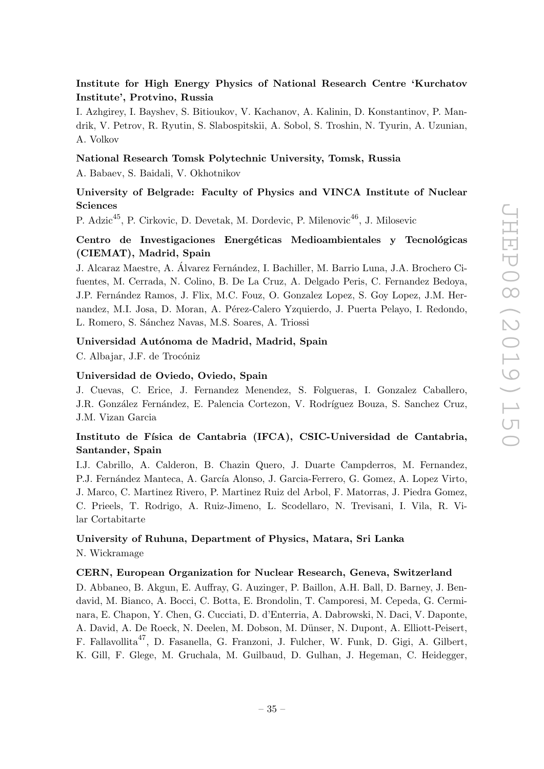# Institute for High Energy Physics of National Research Centre 'Kurchatov Institute', Protvino, Russia

I. Azhgirey, I. Bayshev, S. Bitioukov, V. Kachanov, A. Kalinin, D. Konstantinov, P. Mandrik, V. Petrov, R. Ryutin, S. Slabospitskii, A. Sobol, S. Troshin, N. Tyurin, A. Uzunian, A. Volkov

## National Research Tomsk Polytechnic University, Tomsk, Russia

A. Babaev, S. Baidali, V. Okhotnikov

# University of Belgrade: Faculty of Physics and VINCA Institute of Nuclear Sciences

P. Adzic<sup>45</sup>, P. Cirkovic, D. Devetak, M. Dordevic, P. Milenovic<sup>46</sup>, J. Milosevic

# Centro de Investigaciones Energéticas Medioambientales y Tecnológicas (CIEMAT), Madrid, Spain

J. Alcaraz Maestre, A. Alvarez Fern´andez, I. Bachiller, M. Barrio Luna, J.A. Brochero Ci- ´ fuentes, M. Cerrada, N. Colino, B. De La Cruz, A. Delgado Peris, C. Fernandez Bedoya, J.P. Fernández Ramos, J. Flix, M.C. Fouz, O. Gonzalez Lopez, S. Goy Lopez, J.M. Hernandez, M.I. Josa, D. Moran, A. Pérez-Calero Yzquierdo, J. Puerta Pelayo, I. Redondo, L. Romero, S. Sánchez Navas, M.S. Soares, A. Triossi

# Universidad Autónoma de Madrid, Madrid, Spain

C. Albajar, J.F. de Trocóniz

# Universidad de Oviedo, Oviedo, Spain

J. Cuevas, C. Erice, J. Fernandez Menendez, S. Folgueras, I. Gonzalez Caballero, J.R. González Fernández, E. Palencia Cortezon, V. Rodríguez Bouza, S. Sanchez Cruz, J.M. Vizan Garcia

# Instituto de Física de Cantabria (IFCA), CSIC-Universidad de Cantabria, Santander, Spain

I.J. Cabrillo, A. Calderon, B. Chazin Quero, J. Duarte Campderros, M. Fernandez, P.J. Fernández Manteca, A. García Alonso, J. Garcia-Ferrero, G. Gomez, A. Lopez Virto, J. Marco, C. Martinez Rivero, P. Martinez Ruiz del Arbol, F. Matorras, J. Piedra Gomez, C. Prieels, T. Rodrigo, A. Ruiz-Jimeno, L. Scodellaro, N. Trevisani, I. Vila, R. Vilar Cortabitarte

# University of Ruhuna, Department of Physics, Matara, Sri Lanka

N. Wickramage

## CERN, European Organization for Nuclear Research, Geneva, Switzerland

D. Abbaneo, B. Akgun, E. Auffray, G. Auzinger, P. Baillon, A.H. Ball, D. Barney, J. Bendavid, M. Bianco, A. Bocci, C. Botta, E. Brondolin, T. Camporesi, M. Cepeda, G. Cerminara, E. Chapon, Y. Chen, G. Cucciati, D. d'Enterria, A. Dabrowski, N. Daci, V. Daponte, A. David, A. De Roeck, N. Deelen, M. Dobson, M. Dünser, N. Dupont, A. Elliott-Peisert, F. Fallavollita47, D. Fasanella, G. Franzoni, J. Fulcher, W. Funk, D. Gigi, A. Gilbert, K. Gill, F. Glege, M. Gruchala, M. Guilbaud, D. Gulhan, J. Hegeman, C. Heidegger,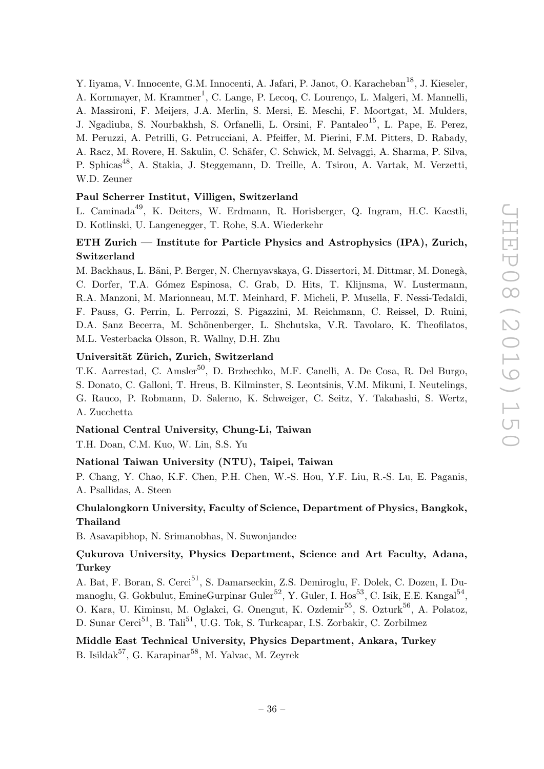Y. Iiyama, V. Innocente, G.M. Innocenti, A. Jafari, P. Janot, O. Karacheban<sup>18</sup>, J. Kieseler, A. Kornmayer, M. Krammer<sup>1</sup>, C. Lange, P. Lecoq, C. Lourenço, L. Malgeri, M. Mannelli, A. Massironi, F. Meijers, J.A. Merlin, S. Mersi, E. Meschi, F. Moortgat, M. Mulders, J. Ngadiuba, S. Nourbakhsh, S. Orfanelli, L. Orsini, F. Pantaleo<sup>15</sup>, L. Pape, E. Perez, M. Peruzzi, A. Petrilli, G. Petrucciani, A. Pfeiffer, M. Pierini, F.M. Pitters, D. Rabady, A. Racz, M. Rovere, H. Sakulin, C. Schäfer, C. Schwick, M. Selvaggi, A. Sharma, P. Silva, P. Sphicas<sup>48</sup>, A. Stakia, J. Steggemann, D. Treille, A. Tsirou, A. Vartak, M. Verzetti, W.D. Zeuner

## Paul Scherrer Institut, Villigen, Switzerland

L. Caminada<sup>49</sup>, K. Deiters, W. Erdmann, R. Horisberger, Q. Ingram, H.C. Kaestli, D. Kotlinski, U. Langenegger, T. Rohe, S.A. Wiederkehr

# ETH Zurich — Institute for Particle Physics and Astrophysics (IPA), Zurich, Switzerland

M. Backhaus, L. Bäni, P. Berger, N. Chernyavskaya, G. Dissertori, M. Dittmar, M. Donegà, C. Dorfer, T.A. Gómez Espinosa, C. Grab, D. Hits, T. Klijnsma, W. Lustermann, R.A. Manzoni, M. Marionneau, M.T. Meinhard, F. Micheli, P. Musella, F. Nessi-Tedaldi, F. Pauss, G. Perrin, L. Perrozzi, S. Pigazzini, M. Reichmann, C. Reissel, D. Ruini, D.A. Sanz Becerra, M. Schönenberger, L. Shchutska, V.R. Tavolaro, K. Theofilatos, M.L. Vesterbacka Olsson, R. Wallny, D.H. Zhu

# Universität Zürich, Zurich, Switzerland

T.K. Aarrestad, C. Amsler<sup>50</sup>, D. Brzhechko, M.F. Canelli, A. De Cosa, R. Del Burgo, S. Donato, C. Galloni, T. Hreus, B. Kilminster, S. Leontsinis, V.M. Mikuni, I. Neutelings, G. Rauco, P. Robmann, D. Salerno, K. Schweiger, C. Seitz, Y. Takahashi, S. Wertz, A. Zucchetta

### National Central University, Chung-Li, Taiwan

T.H. Doan, C.M. Kuo, W. Lin, S.S. Yu

### National Taiwan University (NTU), Taipei, Taiwan

P. Chang, Y. Chao, K.F. Chen, P.H. Chen, W.-S. Hou, Y.F. Liu, R.-S. Lu, E. Paganis, A. Psallidas, A. Steen

# Chulalongkorn University, Faculty of Science, Department of Physics, Bangkok, Thailand

B. Asavapibhop, N. Srimanobhas, N. Suwonjandee

# Cukurova University, Physics Department, Science and Art Faculty, Adana, **Turkey**

A. Bat, F. Boran, S. Cerci<sup>51</sup>, S. Damarseckin, Z.S. Demiroglu, F. Dolek, C. Dozen, I. Dumanoglu, G. Gokbulut, EmineGurpinar Guler<sup>52</sup>, Y. Guler, I. Hos<sup>53</sup>, C. Isik, E.E. Kangal<sup>54</sup>, O. Kara, U. Kiminsu, M. Oglakci, G. Onengut, K. Ozdemir<sup>55</sup>, S. Ozturk<sup>56</sup>, A. Polatoz, D. Sunar Cerci<sup>51</sup>, B. Tali<sup>51</sup>, U.G. Tok, S. Turkcapar, I.S. Zorbakir, C. Zorbilmez

# Middle East Technical University, Physics Department, Ankara, Turkey B. Isildak<sup>57</sup>, G. Karapinar<sup>58</sup>, M. Yalvac, M. Zeyrek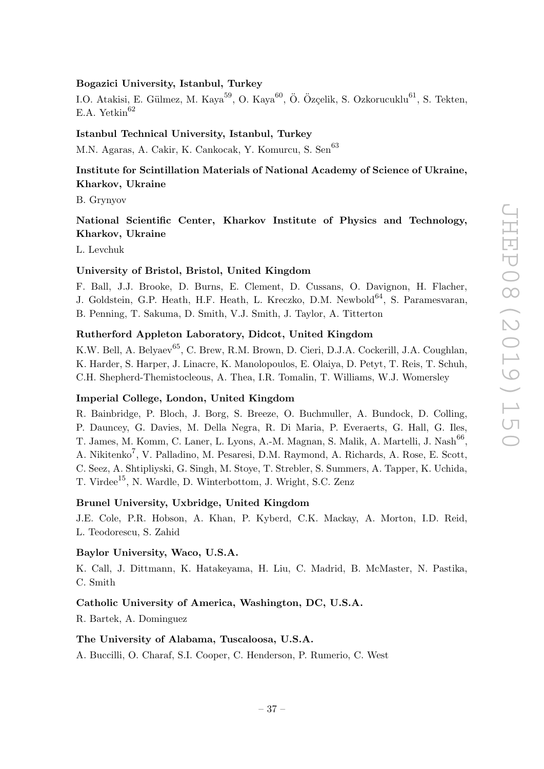## Bogazici University, Istanbul, Turkey

I.O. Atakisi, E. Gülmez, M. Kaya<sup>59</sup>, O. Kaya<sup>60</sup>, Ö. Özçelik, S. Ozkorucuklu<sup>61</sup>, S. Tekten, E.A. Yetkin<sup>62</sup>

### Istanbul Technical University, Istanbul, Turkey

M.N. Agaras, A. Cakir, K. Cankocak, Y. Komurcu, S. Sen<sup>63</sup>

# Institute for Scintillation Materials of National Academy of Science of Ukraine, Kharkov, Ukraine

B. Grynyov

# National Scientific Center, Kharkov Institute of Physics and Technology, Kharkov, Ukraine

L. Levchuk

### University of Bristol, Bristol, United Kingdom

F. Ball, J.J. Brooke, D. Burns, E. Clement, D. Cussans, O. Davignon, H. Flacher, J. Goldstein, G.P. Heath, H.F. Heath, L. Kreczko, D.M. Newbold<sup>64</sup>, S. Paramesvaran. B. Penning, T. Sakuma, D. Smith, V.J. Smith, J. Taylor, A. Titterton

### Rutherford Appleton Laboratory, Didcot, United Kingdom

K.W. Bell, A. Belyaev<sup>65</sup>, C. Brew, R.M. Brown, D. Cieri, D.J.A. Cockerill, J.A. Coughlan, K. Harder, S. Harper, J. Linacre, K. Manolopoulos, E. Olaiya, D. Petyt, T. Reis, T. Schuh, C.H. Shepherd-Themistocleous, A. Thea, I.R. Tomalin, T. Williams, W.J. Womersley

### Imperial College, London, United Kingdom

R. Bainbridge, P. Bloch, J. Borg, S. Breeze, O. Buchmuller, A. Bundock, D. Colling, P. Dauncey, G. Davies, M. Della Negra, R. Di Maria, P. Everaerts, G. Hall, G. Iles, T. James, M. Komm, C. Laner, L. Lyons, A.-M. Magnan, S. Malik, A. Martelli, J. Nash<sup>66</sup>, A. Nikitenko<sup>7</sup>, V. Palladino, M. Pesaresi, D.M. Raymond, A. Richards, A. Rose, E. Scott, C. Seez, A. Shtipliyski, G. Singh, M. Stoye, T. Strebler, S. Summers, A. Tapper, K. Uchida, T. Virdee<sup>15</sup>, N. Wardle, D. Winterbottom, J. Wright, S.C. Zenz

### Brunel University, Uxbridge, United Kingdom

J.E. Cole, P.R. Hobson, A. Khan, P. Kyberd, C.K. Mackay, A. Morton, I.D. Reid, L. Teodorescu, S. Zahid

### Baylor University, Waco, U.S.A.

K. Call, J. Dittmann, K. Hatakeyama, H. Liu, C. Madrid, B. McMaster, N. Pastika, C. Smith

### Catholic University of America, Washington, DC, U.S.A.

R. Bartek, A. Dominguez

### The University of Alabama, Tuscaloosa, U.S.A.

A. Buccilli, O. Charaf, S.I. Cooper, C. Henderson, P. Rumerio, C. West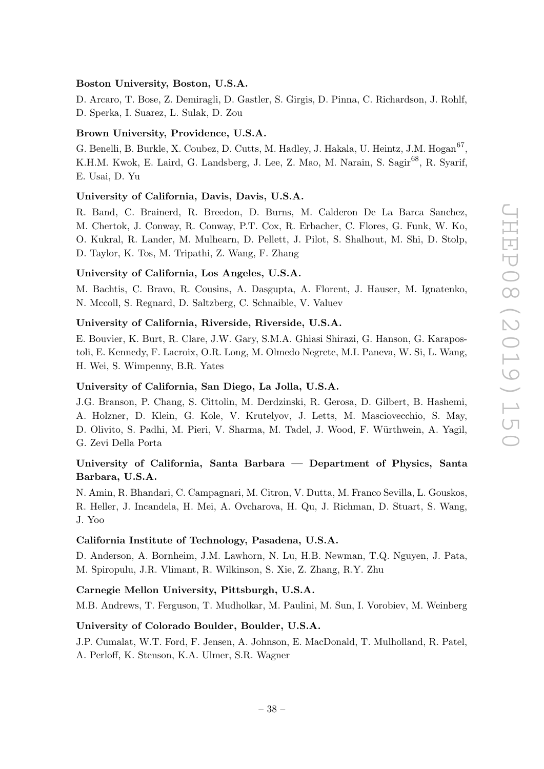## Boston University, Boston, U.S.A.

D. Arcaro, T. Bose, Z. Demiragli, D. Gastler, S. Girgis, D. Pinna, C. Richardson, J. Rohlf, D. Sperka, I. Suarez, L. Sulak, D. Zou

### Brown University, Providence, U.S.A.

G. Benelli, B. Burkle, X. Coubez, D. Cutts, M. Hadley, J. Hakala, U. Heintz, J.M. Hogan<sup>67</sup>, K.H.M. Kwok, E. Laird, G. Landsberg, J. Lee, Z. Mao, M. Narain, S. Sagir<sup>68</sup>, R. Syarif, E. Usai, D. Yu

## University of California, Davis, Davis, U.S.A.

R. Band, C. Brainerd, R. Breedon, D. Burns, M. Calderon De La Barca Sanchez, M. Chertok, J. Conway, R. Conway, P.T. Cox, R. Erbacher, C. Flores, G. Funk, W. Ko, O. Kukral, R. Lander, M. Mulhearn, D. Pellett, J. Pilot, S. Shalhout, M. Shi, D. Stolp, D. Taylor, K. Tos, M. Tripathi, Z. Wang, F. Zhang

### University of California, Los Angeles, U.S.A.

M. Bachtis, C. Bravo, R. Cousins, A. Dasgupta, A. Florent, J. Hauser, M. Ignatenko, N. Mccoll, S. Regnard, D. Saltzberg, C. Schnaible, V. Valuev

# University of California, Riverside, Riverside, U.S.A.

E. Bouvier, K. Burt, R. Clare, J.W. Gary, S.M.A. Ghiasi Shirazi, G. Hanson, G. Karapostoli, E. Kennedy, F. Lacroix, O.R. Long, M. Olmedo Negrete, M.I. Paneva, W. Si, L. Wang, H. Wei, S. Wimpenny, B.R. Yates

### University of California, San Diego, La Jolla, U.S.A.

J.G. Branson, P. Chang, S. Cittolin, M. Derdzinski, R. Gerosa, D. Gilbert, B. Hashemi, A. Holzner, D. Klein, G. Kole, V. Krutelyov, J. Letts, M. Masciovecchio, S. May, D. Olivito, S. Padhi, M. Pieri, V. Sharma, M. Tadel, J. Wood, F. Würthwein, A. Yagil, G. Zevi Della Porta

# University of California, Santa Barbara — Department of Physics, Santa Barbara, U.S.A.

N. Amin, R. Bhandari, C. Campagnari, M. Citron, V. Dutta, M. Franco Sevilla, L. Gouskos, R. Heller, J. Incandela, H. Mei, A. Ovcharova, H. Qu, J. Richman, D. Stuart, S. Wang, J. Yoo

### California Institute of Technology, Pasadena, U.S.A.

D. Anderson, A. Bornheim, J.M. Lawhorn, N. Lu, H.B. Newman, T.Q. Nguyen, J. Pata, M. Spiropulu, J.R. Vlimant, R. Wilkinson, S. Xie, Z. Zhang, R.Y. Zhu

## Carnegie Mellon University, Pittsburgh, U.S.A.

M.B. Andrews, T. Ferguson, T. Mudholkar, M. Paulini, M. Sun, I. Vorobiev, M. Weinberg

# University of Colorado Boulder, Boulder, U.S.A.

J.P. Cumalat, W.T. Ford, F. Jensen, A. Johnson, E. MacDonald, T. Mulholland, R. Patel, A. Perloff, K. Stenson, K.A. Ulmer, S.R. Wagner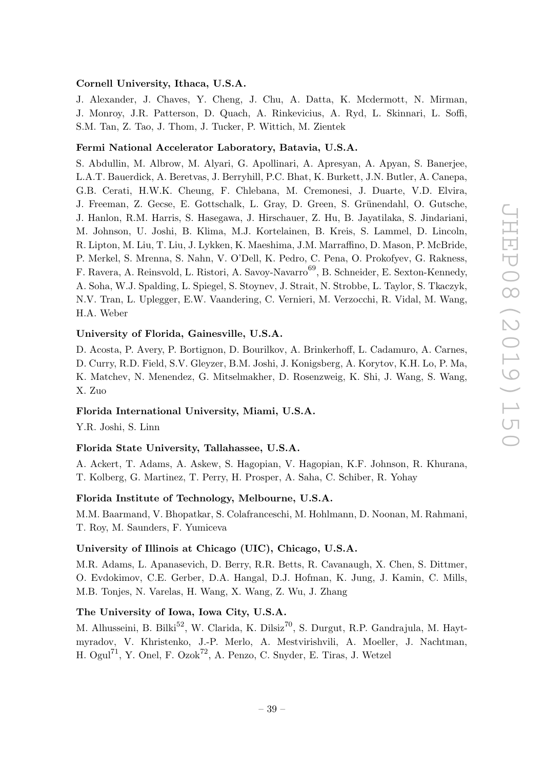# Cornell University, Ithaca, U.S.A.

J. Alexander, J. Chaves, Y. Cheng, J. Chu, A. Datta, K. Mcdermott, N. Mirman, J. Monroy, J.R. Patterson, D. Quach, A. Rinkevicius, A. Ryd, L. Skinnari, L. Soffi, S.M. Tan, Z. Tao, J. Thom, J. Tucker, P. Wittich, M. Zientek

## Fermi National Accelerator Laboratory, Batavia, U.S.A.

S. Abdullin, M. Albrow, M. Alyari, G. Apollinari, A. Apresyan, A. Apyan, S. Banerjee, L.A.T. Bauerdick, A. Beretvas, J. Berryhill, P.C. Bhat, K. Burkett, J.N. Butler, A. Canepa, G.B. Cerati, H.W.K. Cheung, F. Chlebana, M. Cremonesi, J. Duarte, V.D. Elvira, J. Freeman, Z. Gecse, E. Gottschalk, L. Gray, D. Green, S. Grünendahl, O. Gutsche, J. Hanlon, R.M. Harris, S. Hasegawa, J. Hirschauer, Z. Hu, B. Jayatilaka, S. Jindariani, M. Johnson, U. Joshi, B. Klima, M.J. Kortelainen, B. Kreis, S. Lammel, D. Lincoln, R. Lipton, M. Liu, T. Liu, J. Lykken, K. Maeshima, J.M. Marraffino, D. Mason, P. McBride, P. Merkel, S. Mrenna, S. Nahn, V. O'Dell, K. Pedro, C. Pena, O. Prokofyev, G. Rakness, F. Ravera, A. Reinsvold, L. Ristori, A. Savoy-Navarro<sup>69</sup>, B. Schneider, E. Sexton-Kennedy, A. Soha, W.J. Spalding, L. Spiegel, S. Stoynev, J. Strait, N. Strobbe, L. Taylor, S. Tkaczyk, N.V. Tran, L. Uplegger, E.W. Vaandering, C. Vernieri, M. Verzocchi, R. Vidal, M. Wang, H.A. Weber

## University of Florida, Gainesville, U.S.A.

D. Acosta, P. Avery, P. Bortignon, D. Bourilkov, A. Brinkerhoff, L. Cadamuro, A. Carnes, D. Curry, R.D. Field, S.V. Gleyzer, B.M. Joshi, J. Konigsberg, A. Korytov, K.H. Lo, P. Ma, K. Matchev, N. Menendez, G. Mitselmakher, D. Rosenzweig, K. Shi, J. Wang, S. Wang, X. Zuo

## Florida International University, Miami, U.S.A.

Y.R. Joshi, S. Linn

## Florida State University, Tallahassee, U.S.A.

A. Ackert, T. Adams, A. Askew, S. Hagopian, V. Hagopian, K.F. Johnson, R. Khurana, T. Kolberg, G. Martinez, T. Perry, H. Prosper, A. Saha, C. Schiber, R. Yohay

# Florida Institute of Technology, Melbourne, U.S.A.

M.M. Baarmand, V. Bhopatkar, S. Colafranceschi, M. Hohlmann, D. Noonan, M. Rahmani, T. Roy, M. Saunders, F. Yumiceva

# University of Illinois at Chicago (UIC), Chicago, U.S.A.

M.R. Adams, L. Apanasevich, D. Berry, R.R. Betts, R. Cavanaugh, X. Chen, S. Dittmer, O. Evdokimov, C.E. Gerber, D.A. Hangal, D.J. Hofman, K. Jung, J. Kamin, C. Mills, M.B. Tonjes, N. Varelas, H. Wang, X. Wang, Z. Wu, J. Zhang

# The University of Iowa, Iowa City, U.S.A.

M. Alhusseini, B. Bilki<sup>52</sup>, W. Clarida, K. Dilsiz<sup>70</sup>, S. Durgut, R.P. Gandrajula, M. Haytmyradov, V. Khristenko, J.-P. Merlo, A. Mestvirishvili, A. Moeller, J. Nachtman, H. Ogul71, Y. Onel, F. Ozok72, A. Penzo, C. Snyder, E. Tiras, J. Wetzel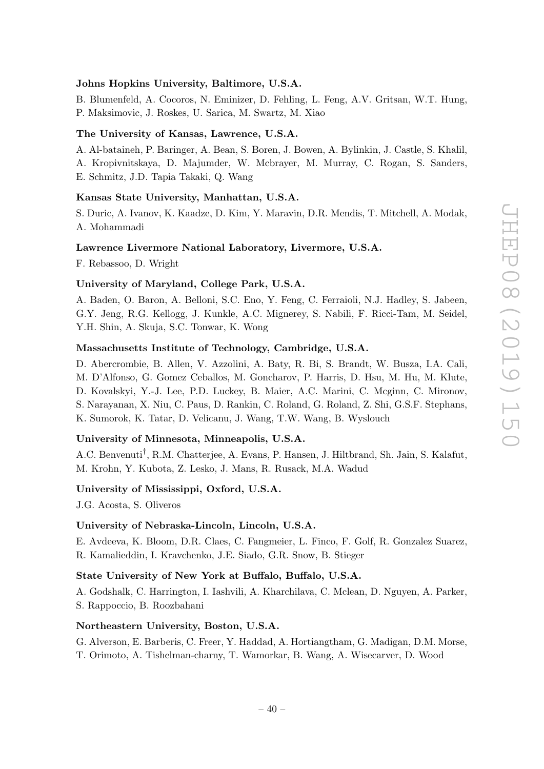### Johns Hopkins University, Baltimore, U.S.A.

B. Blumenfeld, A. Cocoros, N. Eminizer, D. Fehling, L. Feng, A.V. Gritsan, W.T. Hung, P. Maksimovic, J. Roskes, U. Sarica, M. Swartz, M. Xiao

## The University of Kansas, Lawrence, U.S.A.

A. Al-bataineh, P. Baringer, A. Bean, S. Boren, J. Bowen, A. Bylinkin, J. Castle, S. Khalil, A. Kropivnitskaya, D. Majumder, W. Mcbrayer, M. Murray, C. Rogan, S. Sanders, E. Schmitz, J.D. Tapia Takaki, Q. Wang

## Kansas State University, Manhattan, U.S.A.

S. Duric, A. Ivanov, K. Kaadze, D. Kim, Y. Maravin, D.R. Mendis, T. Mitchell, A. Modak, A. Mohammadi

### Lawrence Livermore National Laboratory, Livermore, U.S.A.

F. Rebassoo, D. Wright

## University of Maryland, College Park, U.S.A.

A. Baden, O. Baron, A. Belloni, S.C. Eno, Y. Feng, C. Ferraioli, N.J. Hadley, S. Jabeen, G.Y. Jeng, R.G. Kellogg, J. Kunkle, A.C. Mignerey, S. Nabili, F. Ricci-Tam, M. Seidel, Y.H. Shin, A. Skuja, S.C. Tonwar, K. Wong

### Massachusetts Institute of Technology, Cambridge, U.S.A.

D. Abercrombie, B. Allen, V. Azzolini, A. Baty, R. Bi, S. Brandt, W. Busza, I.A. Cali, M. D'Alfonso, G. Gomez Ceballos, M. Goncharov, P. Harris, D. Hsu, M. Hu, M. Klute, D. Kovalskyi, Y.-J. Lee, P.D. Luckey, B. Maier, A.C. Marini, C. Mcginn, C. Mironov, S. Narayanan, X. Niu, C. Paus, D. Rankin, C. Roland, G. Roland, Z. Shi, G.S.F. Stephans, K. Sumorok, K. Tatar, D. Velicanu, J. Wang, T.W. Wang, B. Wyslouch

# University of Minnesota, Minneapolis, U.S.A.

A.C. Benvenuti† , R.M. Chatterjee, A. Evans, P. Hansen, J. Hiltbrand, Sh. Jain, S. Kalafut, M. Krohn, Y. Kubota, Z. Lesko, J. Mans, R. Rusack, M.A. Wadud

### University of Mississippi, Oxford, U.S.A.

J.G. Acosta, S. Oliveros

### University of Nebraska-Lincoln, Lincoln, U.S.A.

E. Avdeeva, K. Bloom, D.R. Claes, C. Fangmeier, L. Finco, F. Golf, R. Gonzalez Suarez, R. Kamalieddin, I. Kravchenko, J.E. Siado, G.R. Snow, B. Stieger

### State University of New York at Buffalo, Buffalo, U.S.A.

A. Godshalk, C. Harrington, I. Iashvili, A. Kharchilava, C. Mclean, D. Nguyen, A. Parker, S. Rappoccio, B. Roozbahani

## Northeastern University, Boston, U.S.A.

G. Alverson, E. Barberis, C. Freer, Y. Haddad, A. Hortiangtham, G. Madigan, D.M. Morse, T. Orimoto, A. Tishelman-charny, T. Wamorkar, B. Wang, A. Wisecarver, D. Wood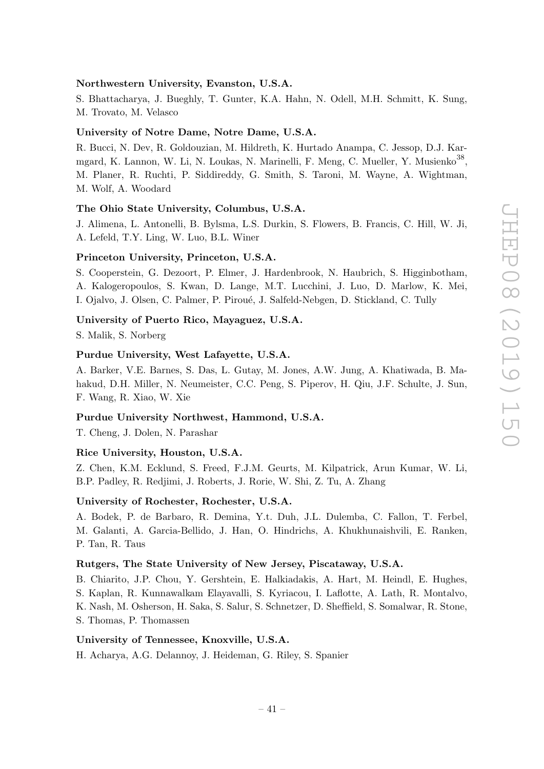## Northwestern University, Evanston, U.S.A.

S. Bhattacharya, J. Bueghly, T. Gunter, K.A. Hahn, N. Odell, M.H. Schmitt, K. Sung, M. Trovato, M. Velasco

### University of Notre Dame, Notre Dame, U.S.A.

R. Bucci, N. Dev, R. Goldouzian, M. Hildreth, K. Hurtado Anampa, C. Jessop, D.J. Karmgard, K. Lannon, W. Li, N. Loukas, N. Marinelli, F. Meng, C. Mueller, Y. Musienko<sup>38</sup>, M. Planer, R. Ruchti, P. Siddireddy, G. Smith, S. Taroni, M. Wayne, A. Wightman, M. Wolf, A. Woodard

## The Ohio State University, Columbus, U.S.A.

J. Alimena, L. Antonelli, B. Bylsma, L.S. Durkin, S. Flowers, B. Francis, C. Hill, W. Ji, A. Lefeld, T.Y. Ling, W. Luo, B.L. Winer

### Princeton University, Princeton, U.S.A.

S. Cooperstein, G. Dezoort, P. Elmer, J. Hardenbrook, N. Haubrich, S. Higginbotham, A. Kalogeropoulos, S. Kwan, D. Lange, M.T. Lucchini, J. Luo, D. Marlow, K. Mei, I. Ojalvo, J. Olsen, C. Palmer, P. Piroué, J. Salfeld-Nebgen, D. Stickland, C. Tully

### University of Puerto Rico, Mayaguez, U.S.A.

S. Malik, S. Norberg

# Purdue University, West Lafayette, U.S.A.

A. Barker, V.E. Barnes, S. Das, L. Gutay, M. Jones, A.W. Jung, A. Khatiwada, B. Mahakud, D.H. Miller, N. Neumeister, C.C. Peng, S. Piperov, H. Qiu, J.F. Schulte, J. Sun, F. Wang, R. Xiao, W. Xie

## Purdue University Northwest, Hammond, U.S.A.

T. Cheng, J. Dolen, N. Parashar

### Rice University, Houston, U.S.A.

Z. Chen, K.M. Ecklund, S. Freed, F.J.M. Geurts, M. Kilpatrick, Arun Kumar, W. Li, B.P. Padley, R. Redjimi, J. Roberts, J. Rorie, W. Shi, Z. Tu, A. Zhang

### University of Rochester, Rochester, U.S.A.

A. Bodek, P. de Barbaro, R. Demina, Y.t. Duh, J.L. Dulemba, C. Fallon, T. Ferbel, M. Galanti, A. Garcia-Bellido, J. Han, O. Hindrichs, A. Khukhunaishvili, E. Ranken, P. Tan, R. Taus

## Rutgers, The State University of New Jersey, Piscataway, U.S.A.

B. Chiarito, J.P. Chou, Y. Gershtein, E. Halkiadakis, A. Hart, M. Heindl, E. Hughes, S. Kaplan, R. Kunnawalkam Elayavalli, S. Kyriacou, I. Laflotte, A. Lath, R. Montalvo, K. Nash, M. Osherson, H. Saka, S. Salur, S. Schnetzer, D. Sheffield, S. Somalwar, R. Stone, S. Thomas, P. Thomassen

### University of Tennessee, Knoxville, U.S.A.

H. Acharya, A.G. Delannoy, J. Heideman, G. Riley, S. Spanier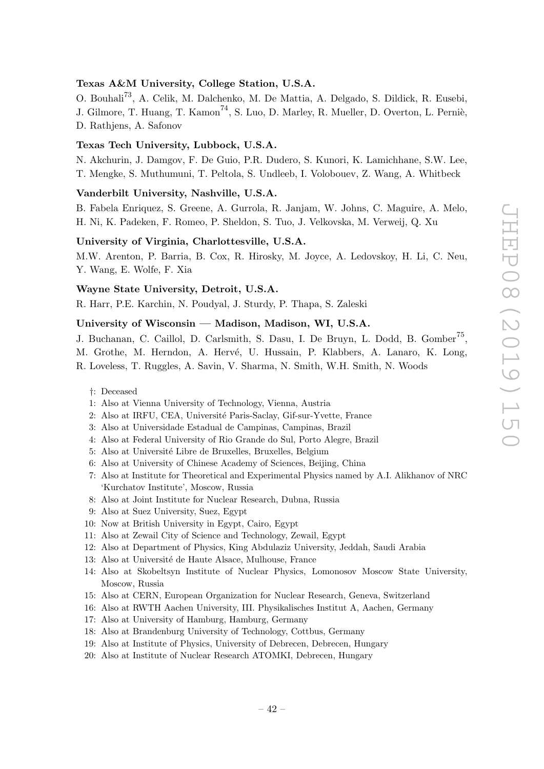# Texas A&M University, College Station, U.S.A.

O. Bouhali73, A. Celik, M. Dalchenko, M. De Mattia, A. Delgado, S. Dildick, R. Eusebi, J. Gilmore, T. Huang, T. Kamon<sup>74</sup>, S. Luo, D. Marley, R. Mueller, D. Overton, L. Perniè, D. Rathjens, A. Safonov

### Texas Tech University, Lubbock, U.S.A.

N. Akchurin, J. Damgov, F. De Guio, P.R. Dudero, S. Kunori, K. Lamichhane, S.W. Lee, T. Mengke, S. Muthumuni, T. Peltola, S. Undleeb, I. Volobouev, Z. Wang, A. Whitbeck

### Vanderbilt University, Nashville, U.S.A.

B. Fabela Enriquez, S. Greene, A. Gurrola, R. Janjam, W. Johns, C. Maguire, A. Melo, H. Ni, K. Padeken, F. Romeo, P. Sheldon, S. Tuo, J. Velkovska, M. Verweij, Q. Xu

### University of Virginia, Charlottesville, U.S.A.

M.W. Arenton, P. Barria, B. Cox, R. Hirosky, M. Joyce, A. Ledovskoy, H. Li, C. Neu, Y. Wang, E. Wolfe, F. Xia

### Wayne State University, Detroit, U.S.A.

R. Harr, P.E. Karchin, N. Poudyal, J. Sturdy, P. Thapa, S. Zaleski

## University of Wisconsin — Madison, Madison, WI, U.S.A.

J. Buchanan, C. Caillol, D. Carlsmith, S. Dasu, I. De Bruyn, L. Dodd, B. Gomber<sup>75</sup>, M. Grothe, M. Herndon, A. Hervé, U. Hussain, P. Klabbers, A. Lanaro, K. Long, R. Loveless, T. Ruggles, A. Savin, V. Sharma, N. Smith, W.H. Smith, N. Woods

†: Deceased

- 1: Also at Vienna University of Technology, Vienna, Austria
- 2: Also at IRFU, CEA, Université Paris-Saclay, Gif-sur-Yvette, France
- 3: Also at Universidade Estadual de Campinas, Campinas, Brazil
- 4: Also at Federal University of Rio Grande do Sul, Porto Alegre, Brazil
- 5: Also at Université Libre de Bruxelles, Bruxelles, Belgium
- 6: Also at University of Chinese Academy of Sciences, Beijing, China
- 7: Also at Institute for Theoretical and Experimental Physics named by A.I. Alikhanov of NRC 'Kurchatov Institute', Moscow, Russia
- 8: Also at Joint Institute for Nuclear Research, Dubna, Russia
- 9: Also at Suez University, Suez, Egypt
- 10: Now at British University in Egypt, Cairo, Egypt
- 11: Also at Zewail City of Science and Technology, Zewail, Egypt
- 12: Also at Department of Physics, King Abdulaziz University, Jeddah, Saudi Arabia
- 13: Also at Université de Haute Alsace, Mulhouse, France
- 14: Also at Skobeltsyn Institute of Nuclear Physics, Lomonosov Moscow State University, Moscow, Russia
- 15: Also at CERN, European Organization for Nuclear Research, Geneva, Switzerland
- 16: Also at RWTH Aachen University, III. Physikalisches Institut A, Aachen, Germany
- 17: Also at University of Hamburg, Hamburg, Germany
- 18: Also at Brandenburg University of Technology, Cottbus, Germany
- 19: Also at Institute of Physics, University of Debrecen, Debrecen, Hungary
- 20: Also at Institute of Nuclear Research ATOMKI, Debrecen, Hungary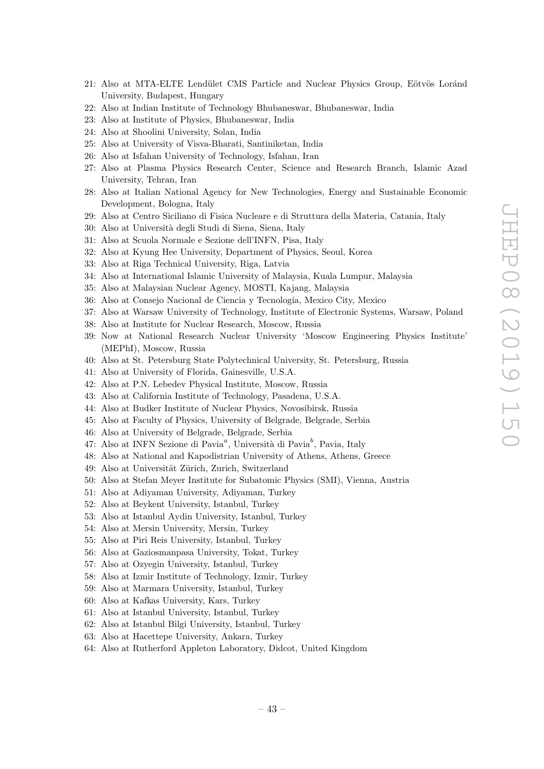- 21: Also at MTA-ELTE Lendület CMS Particle and Nuclear Physics Group, Eötvös Loránd University, Budapest, Hungary
- 22: Also at Indian Institute of Technology Bhubaneswar, Bhubaneswar, India
- 23: Also at Institute of Physics, Bhubaneswar, India
- 24: Also at Shoolini University, Solan, India
- 25: Also at University of Visva-Bharati, Santiniketan, India
- 26: Also at Isfahan University of Technology, Isfahan, Iran
- 27: Also at Plasma Physics Research Center, Science and Research Branch, Islamic Azad University, Tehran, Iran
- 28: Also at Italian National Agency for New Technologies, Energy and Sustainable Economic Development, Bologna, Italy
- 29: Also at Centro Siciliano di Fisica Nucleare e di Struttura della Materia, Catania, Italy
- 30: Also at Universit`a degli Studi di Siena, Siena, Italy
- 31: Also at Scuola Normale e Sezione dell'INFN, Pisa, Italy
- 32: Also at Kyung Hee University, Department of Physics, Seoul, Korea
- 33: Also at Riga Technical University, Riga, Latvia
- 34: Also at International Islamic University of Malaysia, Kuala Lumpur, Malaysia
- 35: Also at Malaysian Nuclear Agency, MOSTI, Kajang, Malaysia
- 36: Also at Consejo Nacional de Ciencia y Tecnología, Mexico City, Mexico
- 37: Also at Warsaw University of Technology, Institute of Electronic Systems, Warsaw, Poland
- 38: Also at Institute for Nuclear Research, Moscow, Russia
- 39: Now at National Research Nuclear University 'Moscow Engineering Physics Institute' (MEPhI), Moscow, Russia
- 40: Also at St. Petersburg State Polytechnical University, St. Petersburg, Russia
- 41: Also at University of Florida, Gainesville, U.S.A.
- 42: Also at P.N. Lebedev Physical Institute, Moscow, Russia
- 43: Also at California Institute of Technology, Pasadena, U.S.A.
- 44: Also at Budker Institute of Nuclear Physics, Novosibirsk, Russia
- 45: Also at Faculty of Physics, University of Belgrade, Belgrade, Serbia
- 46: Also at University of Belgrade, Belgrade, Serbia
- 47: Also at INFN Sezione di Pavia<sup>a</sup>, Università di Pavia<sup>b</sup>, Pavia, Italy
- 48: Also at National and Kapodistrian University of Athens, Athens, Greece
- 49: Also at Universität Zürich, Zurich, Switzerland
- 50: Also at Stefan Meyer Institute for Subatomic Physics (SMI), Vienna, Austria
- 51: Also at Adiyaman University, Adiyaman, Turkey
- 52: Also at Beykent University, Istanbul, Turkey
- 53: Also at Istanbul Aydin University, Istanbul, Turkey
- 54: Also at Mersin University, Mersin, Turkey
- 55: Also at Piri Reis University, Istanbul, Turkey
- 56: Also at Gaziosmanpasa University, Tokat, Turkey
- 57: Also at Ozyegin University, Istanbul, Turkey
- 58: Also at Izmir Institute of Technology, Izmir, Turkey
- 59: Also at Marmara University, Istanbul, Turkey
- 60: Also at Kafkas University, Kars, Turkey
- 61: Also at Istanbul University, Istanbul, Turkey
- 62: Also at Istanbul Bilgi University, Istanbul, Turkey
- 63: Also at Hacettepe University, Ankara, Turkey
- 64: Also at Rutherford Appleton Laboratory, Didcot, United Kingdom